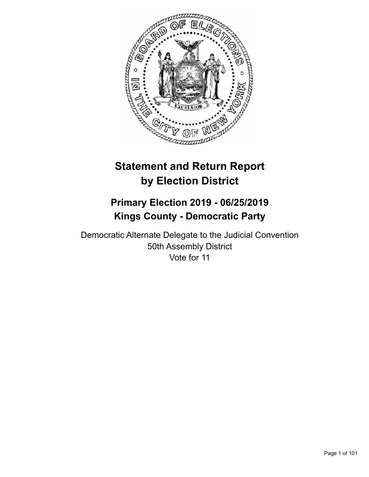

# **Statement and Return Report by Election District**

# **Primary Election 2019 - 06/25/2019 Kings County - Democratic Party**

Democratic Alternate Delegate to the Judicial Convention 50th Assembly District Vote for 11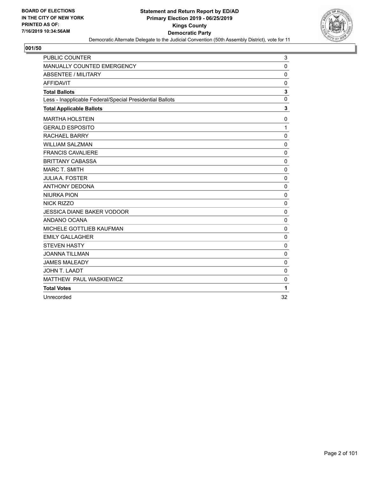

| PUBLIC COUNTER                                           | 3            |
|----------------------------------------------------------|--------------|
| MANUALLY COUNTED EMERGENCY                               | 0            |
| <b>ABSENTEE / MILITARY</b>                               | $\mathbf 0$  |
| <b>AFFIDAVIT</b>                                         | 0            |
| <b>Total Ballots</b>                                     | $\mathbf{3}$ |
| Less - Inapplicable Federal/Special Presidential Ballots | $\mathbf 0$  |
| <b>Total Applicable Ballots</b>                          | 3            |
| <b>MARTHA HOLSTEIN</b>                                   | $\mathbf 0$  |
| <b>GERALD ESPOSITO</b>                                   | $\mathbf{1}$ |
| RACHAEL BARRY                                            | $\mathbf{0}$ |
| <b>WILLIAM SALZMAN</b>                                   | $\mathbf 0$  |
| <b>FRANCIS CAVALIERE</b>                                 | 0            |
| <b>BRITTANY CABASSA</b>                                  | $\mathbf 0$  |
| <b>MARC T. SMITH</b>                                     | 0            |
| <b>JULIA A. FOSTER</b>                                   | $\mathbf 0$  |
| <b>ANTHONY DEDONA</b>                                    | $\mathbf 0$  |
| <b>NIURKA PION</b>                                       | $\mathbf 0$  |
| <b>NICK RIZZO</b>                                        | $\mathbf{0}$ |
| JESSICA DIANE BAKER VODOOR                               | $\mathbf 0$  |
| ANDANO OCANA                                             | 0            |
| MICHELE GOTTLIEB KAUFMAN                                 | $\mathbf 0$  |
| <b>EMILY GALLAGHER</b>                                   | $\mathbf 0$  |
| <b>STEVEN HASTY</b>                                      | $\mathbf 0$  |
| <b>JOANNA TILLMAN</b>                                    | $\mathbf 0$  |
| <b>JAMES MALEADY</b>                                     | $\mathbf 0$  |
| <b>JOHN T. LAADT</b>                                     | $\mathbf 0$  |
| MATTHEW PAUL WASKIEWICZ                                  | $\mathbf 0$  |
| <b>Total Votes</b>                                       | 1            |
| Unrecorded                                               | 32           |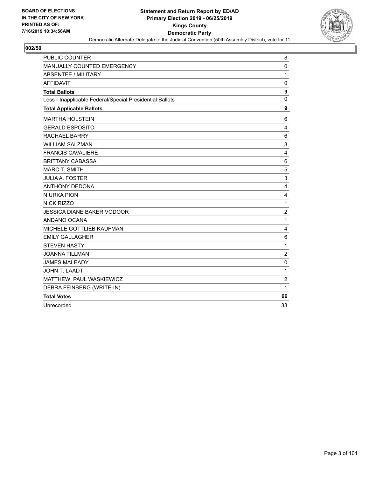

| <b>PUBLIC COUNTER</b>                                    | 8              |
|----------------------------------------------------------|----------------|
| <b>MANUALLY COUNTED EMERGENCY</b>                        | 0              |
| ABSENTEE / MILITARY                                      | 1              |
| <b>AFFIDAVIT</b>                                         | $\mathbf 0$    |
| <b>Total Ballots</b>                                     | 9              |
| Less - Inapplicable Federal/Special Presidential Ballots | $\mathbf 0$    |
| <b>Total Applicable Ballots</b>                          | 9              |
| <b>MARTHA HOLSTEIN</b>                                   | 6              |
| <b>GERALD ESPOSITO</b>                                   | 4              |
| <b>RACHAEL BARRY</b>                                     | 6              |
| <b>WILLIAM SALZMAN</b>                                   | 3              |
| <b>FRANCIS CAVALIERE</b>                                 | $\overline{4}$ |
| <b>BRITTANY CABASSA</b>                                  | 6              |
| <b>MARC T. SMITH</b>                                     | 5              |
| <b>JULIA A. FOSTER</b>                                   | 3              |
| <b>ANTHONY DEDONA</b>                                    | 4              |
| <b>NIURKA PION</b>                                       | 4              |
| <b>NICK RIZZO</b>                                        | $\mathbf 1$    |
| <b>JESSICA DIANE BAKER VODOOR</b>                        | $\overline{c}$ |
| ANDANO OCANA                                             | 1              |
| MICHELE GOTTLIEB KAUFMAN                                 | 4              |
| <b>EMILY GALLAGHER</b>                                   | 6              |
| <b>STEVEN HASTY</b>                                      | 1              |
| <b>JOANNA TILLMAN</b>                                    | $\overline{2}$ |
| <b>JAMES MALEADY</b>                                     | $\mathbf 0$    |
| JOHN T. LAADT                                            | 1              |
| MATTHEW PAUL WASKIEWICZ                                  | $\overline{c}$ |
| DEBRA FEINBERG (WRITE-IN)                                | 1              |
| <b>Total Votes</b>                                       | 66             |
| Unrecorded                                               | 33             |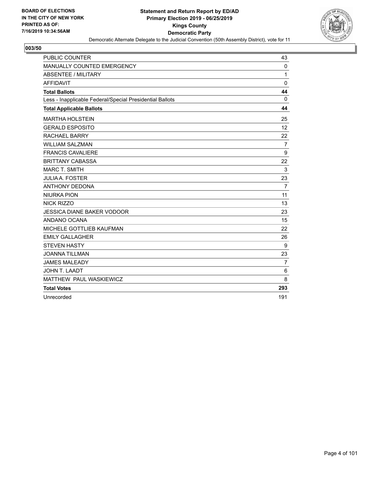

| <b>PUBLIC COUNTER</b>                                    | 43             |
|----------------------------------------------------------|----------------|
| MANUALLY COUNTED EMERGENCY                               | 0              |
| <b>ABSENTEE / MILITARY</b>                               | 1              |
| <b>AFFIDAVIT</b>                                         | $\mathbf 0$    |
| <b>Total Ballots</b>                                     | 44             |
| Less - Inapplicable Federal/Special Presidential Ballots | $\mathbf 0$    |
| <b>Total Applicable Ballots</b>                          | 44             |
| <b>MARTHA HOLSTEIN</b>                                   | 25             |
| <b>GERALD ESPOSITO</b>                                   | 12             |
| <b>RACHAEL BARRY</b>                                     | 22             |
| <b>WILLIAM SALZMAN</b>                                   | $\overline{7}$ |
| <b>FRANCIS CAVALIERE</b>                                 | 9              |
| <b>BRITTANY CABASSA</b>                                  | 22             |
| <b>MARC T. SMITH</b>                                     | 3              |
| <b>JULIA A. FOSTER</b>                                   | 23             |
| <b>ANTHONY DEDONA</b>                                    | $\overline{7}$ |
| <b>NIURKA PION</b>                                       | 11             |
| NICK RIZZO                                               | 13             |
| <b>JESSICA DIANE BAKER VODOOR</b>                        | 23             |
| ANDANO OCANA                                             | 15             |
| MICHELE GOTTLIEB KAUFMAN                                 | 22             |
| <b>EMILY GALLAGHER</b>                                   | 26             |
| <b>STEVEN HASTY</b>                                      | 9              |
| <b>JOANNA TILLMAN</b>                                    | 23             |
| <b>JAMES MALEADY</b>                                     | $\overline{7}$ |
| <b>JOHN T. LAADT</b>                                     | 6              |
| MATTHEW PAUL WASKIEWICZ                                  | 8              |
| <b>Total Votes</b>                                       | 293            |
| Unrecorded                                               | 191            |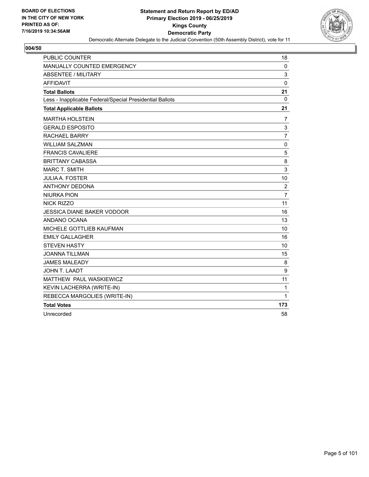

| PUBLIC COUNTER                                           | 18             |
|----------------------------------------------------------|----------------|
| <b>MANUALLY COUNTED EMERGENCY</b>                        | 0              |
| <b>ABSENTEE / MILITARY</b>                               | 3              |
| <b>AFFIDAVIT</b>                                         | $\mathbf 0$    |
| <b>Total Ballots</b>                                     | 21             |
| Less - Inapplicable Federal/Special Presidential Ballots | 0              |
| <b>Total Applicable Ballots</b>                          | 21             |
| <b>MARTHA HOLSTEIN</b>                                   | 7              |
| <b>GERALD ESPOSITO</b>                                   | 3              |
| <b>RACHAEL BARRY</b>                                     | $\overline{7}$ |
| <b>WILLIAM SALZMAN</b>                                   | 0              |
| <b>FRANCIS CAVALIERE</b>                                 | 5              |
| <b>BRITTANY CABASSA</b>                                  | 8              |
| <b>MARC T. SMITH</b>                                     | 3              |
| <b>JULIA A. FOSTER</b>                                   | 10             |
| <b>ANTHONY DEDONA</b>                                    | $\overline{c}$ |
| <b>NIURKA PION</b>                                       | $\overline{7}$ |
| NICK RIZZO                                               | 11             |
| JESSICA DIANE BAKER VODOOR                               | 16             |
| ANDANO OCANA                                             | 13             |
| MICHELE GOTTLIEB KAUFMAN                                 | 10             |
| <b>EMILY GALLAGHER</b>                                   | 16             |
| <b>STEVEN HASTY</b>                                      | 10             |
| <b>JOANNA TILLMAN</b>                                    | 15             |
| <b>JAMES MALEADY</b>                                     | 8              |
| <b>JOHN T. LAADT</b>                                     | 9              |
| MATTHEW PAUL WASKIEWICZ                                  | 11             |
| KEVIN LACHERRA (WRITE-IN)                                | 1              |
| REBECCA MARGOLIES (WRITE-IN)                             | 1              |
| <b>Total Votes</b>                                       | 173            |
| Unrecorded                                               | 58             |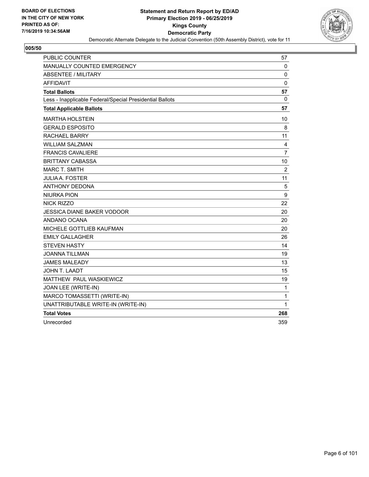

| <b>PUBLIC COUNTER</b>                                    | 57             |
|----------------------------------------------------------|----------------|
| MANUALLY COUNTED EMERGENCY                               | $\mathbf 0$    |
| <b>ABSENTEE / MILITARY</b>                               | 0              |
| <b>AFFIDAVIT</b>                                         | $\mathbf 0$    |
| <b>Total Ballots</b>                                     | 57             |
| Less - Inapplicable Federal/Special Presidential Ballots | 0              |
| <b>Total Applicable Ballots</b>                          | 57             |
| <b>MARTHA HOLSTEIN</b>                                   | 10             |
| <b>GERALD ESPOSITO</b>                                   | 8              |
| RACHAEL BARRY                                            | 11             |
| WILLIAM SALZMAN                                          | 4              |
| <b>FRANCIS CAVALIERE</b>                                 | $\overline{7}$ |
| <b>BRITTANY CABASSA</b>                                  | 10             |
| <b>MARC T. SMITH</b>                                     | $\overline{c}$ |
| <b>JULIA A. FOSTER</b>                                   | 11             |
| <b>ANTHONY DEDONA</b>                                    | 5              |
| <b>NIURKA PION</b>                                       | 9              |
| <b>NICK RIZZO</b>                                        | 22             |
| <b>JESSICA DIANE BAKER VODOOR</b>                        | 20             |
| ANDANO OCANA                                             | 20             |
| MICHELE GOTTLIEB KAUFMAN                                 | 20             |
| <b>EMILY GALLAGHER</b>                                   | 26             |
| <b>STEVEN HASTY</b>                                      | 14             |
| <b>JOANNA TILLMAN</b>                                    | 19             |
| <b>JAMES MALEADY</b>                                     | 13             |
| JOHN T. LAADT                                            | 15             |
| MATTHEW PAUL WASKIEWICZ                                  | 19             |
| JOAN LEE (WRITE-IN)                                      | 1              |
| MARCO TOMASSETTI (WRITE-IN)                              | 1              |
| UNATTRIBUTABLE WRITE-IN (WRITE-IN)                       | 1              |
| <b>Total Votes</b>                                       | 268            |
| Unrecorded                                               | 359            |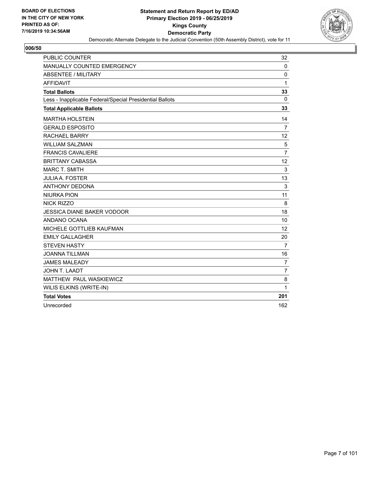

| PUBLIC COUNTER                                           | 32             |
|----------------------------------------------------------|----------------|
| <b>MANUALLY COUNTED EMERGENCY</b>                        | $\mathbf 0$    |
| ABSENTEE / MILITARY                                      | 0              |
| <b>AFFIDAVIT</b>                                         | $\mathbf{1}$   |
| <b>Total Ballots</b>                                     | 33             |
| Less - Inapplicable Federal/Special Presidential Ballots | $\mathbf{0}$   |
| <b>Total Applicable Ballots</b>                          | 33             |
| <b>MARTHA HOLSTEIN</b>                                   | 14             |
| <b>GERALD ESPOSITO</b>                                   | $\overline{7}$ |
| <b>RACHAEL BARRY</b>                                     | 12             |
| <b>WILLIAM SALZMAN</b>                                   | 5              |
| <b>FRANCIS CAVALIERE</b>                                 | $\overline{7}$ |
| <b>BRITTANY CABASSA</b>                                  | 12             |
| <b>MARC T. SMITH</b>                                     | 3              |
| <b>JULIA A. FOSTER</b>                                   | 13             |
| <b>ANTHONY DEDONA</b>                                    | 3              |
| <b>NIURKA PION</b>                                       | 11             |
| <b>NICK RIZZO</b>                                        | 8              |
| <b>JESSICA DIANE BAKER VODOOR</b>                        | 18             |
| ANDANO OCANA                                             | 10             |
| MICHELE GOTTLIEB KAUFMAN                                 | 12             |
| <b>EMILY GALLAGHER</b>                                   | 20             |
| <b>STEVEN HASTY</b>                                      | $\overline{7}$ |
| <b>JOANNA TILLMAN</b>                                    | 16             |
| <b>JAMES MALEADY</b>                                     | $\overline{7}$ |
| <b>JOHN T. LAADT</b>                                     | $\overline{7}$ |
| MATTHEW PAUL WASKIEWICZ                                  | 8              |
| WILIS ELKINS (WRITE-IN)                                  | 1              |
| <b>Total Votes</b>                                       | 201            |
| Unrecorded                                               | 162            |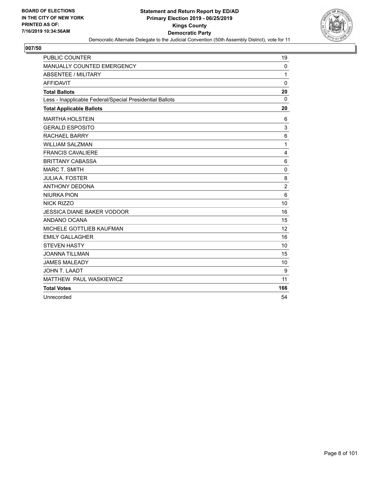

| PUBLIC COUNTER                                           | 19             |
|----------------------------------------------------------|----------------|
| MANUALLY COUNTED EMERGENCY                               | $\Omega$       |
| <b>ABSENTEE / MILITARY</b>                               | 1              |
| <b>AFFIDAVIT</b>                                         | 0              |
| <b>Total Ballots</b>                                     | 20             |
| Less - Inapplicable Federal/Special Presidential Ballots | $\Omega$       |
| <b>Total Applicable Ballots</b>                          | 20             |
| <b>MARTHA HOLSTEIN</b>                                   | 6              |
| <b>GERALD ESPOSITO</b>                                   | 3              |
| <b>RACHAEL BARRY</b>                                     | 6              |
| <b>WILLIAM SALZMAN</b>                                   | 1              |
| <b>FRANCIS CAVALIERE</b>                                 | $\overline{4}$ |
| <b>BRITTANY CABASSA</b>                                  | 6              |
| <b>MARC T. SMITH</b>                                     | 0              |
| <b>JULIA A. FOSTER</b>                                   | 8              |
| <b>ANTHONY DEDONA</b>                                    | $\overline{c}$ |
| <b>NIURKA PION</b>                                       | 6              |
| NICK RIZZO                                               | 10             |
| <b>JESSICA DIANE BAKER VODOOR</b>                        | 16             |
| ANDANO OCANA                                             | 15             |
| MICHELE GOTTLIEB KAUFMAN                                 | 12             |
| <b>EMILY GALLAGHER</b>                                   | 16             |
| <b>STEVEN HASTY</b>                                      | 10             |
| <b>JOANNA TILLMAN</b>                                    | 15             |
| <b>JAMES MALEADY</b>                                     | 10             |
| <b>JOHN T. LAADT</b>                                     | 9              |
| MATTHEW PAUL WASKIEWICZ                                  | 11             |
| <b>Total Votes</b>                                       | 166            |
| Unrecorded                                               | 54             |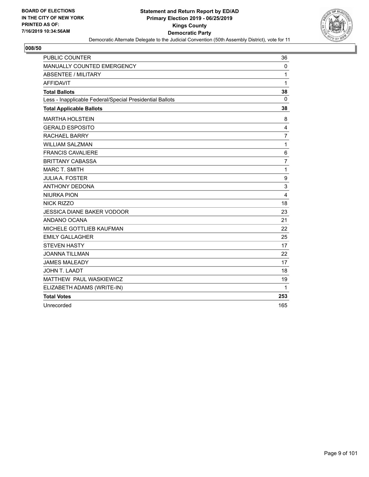

| PUBLIC COUNTER                                           | 36             |
|----------------------------------------------------------|----------------|
| <b>MANUALLY COUNTED EMERGENCY</b>                        | 0              |
| ABSENTEE / MILITARY                                      | 1              |
| <b>AFFIDAVIT</b>                                         | 1              |
| <b>Total Ballots</b>                                     | 38             |
| Less - Inapplicable Federal/Special Presidential Ballots | $\Omega$       |
| <b>Total Applicable Ballots</b>                          | 38             |
| <b>MARTHA HOLSTEIN</b>                                   | 8              |
| <b>GERALD ESPOSITO</b>                                   | 4              |
| <b>RACHAEL BARRY</b>                                     | $\overline{7}$ |
| <b>WILLIAM SALZMAN</b>                                   | $\mathbf{1}$   |
| <b>FRANCIS CAVALIERE</b>                                 | 6              |
| <b>BRITTANY CABASSA</b>                                  | $\overline{7}$ |
| <b>MARC T. SMITH</b>                                     | $\mathbf{1}$   |
| <b>JULIA A. FOSTER</b>                                   | 9              |
| <b>ANTHONY DEDONA</b>                                    | 3              |
| <b>NIURKA PION</b>                                       | $\overline{4}$ |
| <b>NICK RIZZO</b>                                        | 18             |
| <b>JESSICA DIANE BAKER VODOOR</b>                        | 23             |
| ANDANO OCANA                                             | 21             |
| MICHELE GOTTLIEB KAUFMAN                                 | 22             |
| <b>EMILY GALLAGHER</b>                                   | 25             |
| <b>STEVEN HASTY</b>                                      | 17             |
| <b>JOANNA TILLMAN</b>                                    | 22             |
| <b>JAMES MALEADY</b>                                     | 17             |
| JOHN T. LAADT                                            | 18             |
| MATTHEW PAUL WASKIEWICZ                                  | 19             |
| ELIZABETH ADAMS (WRITE-IN)                               | 1              |
| <b>Total Votes</b>                                       | 253            |
| Unrecorded                                               | 165            |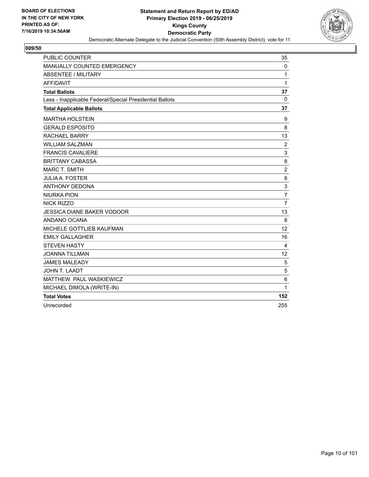

| <b>PUBLIC COUNTER</b>                                    | 35                        |
|----------------------------------------------------------|---------------------------|
| MANUALLY COUNTED EMERGENCY                               | 0                         |
| <b>ABSENTEE / MILITARY</b>                               | 1                         |
| <b>AFFIDAVIT</b>                                         | 1                         |
| <b>Total Ballots</b>                                     | 37                        |
| Less - Inapplicable Federal/Special Presidential Ballots | $\Omega$                  |
| <b>Total Applicable Ballots</b>                          | 37                        |
| <b>MARTHA HOLSTEIN</b>                                   | 9                         |
| <b>GERALD ESPOSITO</b>                                   | 8                         |
| <b>RACHAEL BARRY</b>                                     | 13                        |
| <b>WILLIAM SALZMAN</b>                                   | $\overline{c}$            |
| <b>FRANCIS CAVALIERE</b>                                 | $\ensuremath{\mathsf{3}}$ |
| <b>BRITTANY CABASSA</b>                                  | 8                         |
| <b>MARC T. SMITH</b>                                     | $\boldsymbol{2}$          |
| <b>JULIA A. FOSTER</b>                                   | 8                         |
| <b>ANTHONY DEDONA</b>                                    | 3                         |
| <b>NIURKA PION</b>                                       | $\overline{7}$            |
| NICK RIZZO                                               | $\overline{7}$            |
| <b>JESSICA DIANE BAKER VODOOR</b>                        | 13                        |
| ANDANO OCANA                                             | 8                         |
| MICHELE GOTTLIEB KAUFMAN                                 | 12                        |
| <b>EMILY GALLAGHER</b>                                   | 16                        |
| <b>STEVEN HASTY</b>                                      | 4                         |
| <b>JOANNA TILLMAN</b>                                    | 12                        |
| <b>JAMES MALEADY</b>                                     | 5                         |
| JOHN T. LAADT                                            | 5                         |
| MATTHEW PAUL WASKIEWICZ                                  | 6                         |
| MICHAEL DIMOLA (WRITE-IN)                                | 1                         |
| <b>Total Votes</b>                                       | 152                       |
| Unrecorded                                               | 255                       |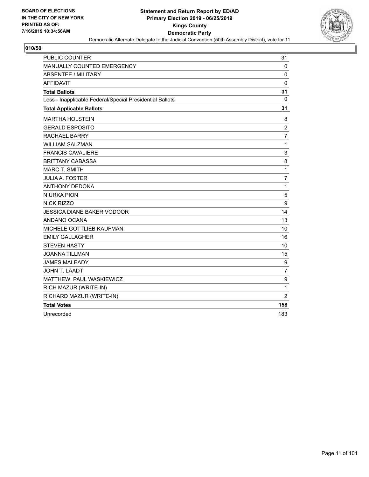

| <b>PUBLIC COUNTER</b>                                    | 31               |
|----------------------------------------------------------|------------------|
| MANUALLY COUNTED EMERGENCY                               | 0                |
| <b>ABSENTEE / MILITARY</b>                               | 0                |
| <b>AFFIDAVIT</b>                                         | $\mathbf{0}$     |
| <b>Total Ballots</b>                                     | 31               |
| Less - Inapplicable Federal/Special Presidential Ballots | $\mathbf{0}$     |
| <b>Total Applicable Ballots</b>                          | 31               |
| <b>MARTHA HOLSTEIN</b>                                   | 8                |
| <b>GERALD ESPOSITO</b>                                   | $\overline{c}$   |
| <b>RACHAEL BARRY</b>                                     | $\overline{7}$   |
| <b>WILLIAM SALZMAN</b>                                   | $\mathbf 1$      |
| <b>FRANCIS CAVALIERE</b>                                 | 3                |
| <b>BRITTANY CABASSA</b>                                  | 8                |
| <b>MARC T. SMITH</b>                                     | 1                |
| <b>JULIA A. FOSTER</b>                                   | 7                |
| <b>ANTHONY DEDONA</b>                                    | $\mathbf 1$      |
| <b>NIURKA PION</b>                                       | 5                |
| <b>NICK RIZZO</b>                                        | $\boldsymbol{9}$ |
| JESSICA DIANE BAKER VODOOR                               | 14               |
| ANDANO OCANA                                             | 13               |
| MICHELE GOTTLIEB KAUFMAN                                 | 10               |
| <b>EMILY GALLAGHER</b>                                   | 16               |
| <b>STEVEN HASTY</b>                                      | 10               |
| <b>JOANNA TILLMAN</b>                                    | 15               |
| <b>JAMES MALEADY</b>                                     | 9                |
| JOHN T. LAADT                                            | $\overline{7}$   |
| MATTHEW PAUL WASKIEWICZ                                  | $\boldsymbol{9}$ |
| RICH MAZUR (WRITE-IN)                                    | 1                |
| RICHARD MAZUR (WRITE-IN)                                 | $\overline{2}$   |
| <b>Total Votes</b>                                       | 158              |
| Unrecorded                                               | 183              |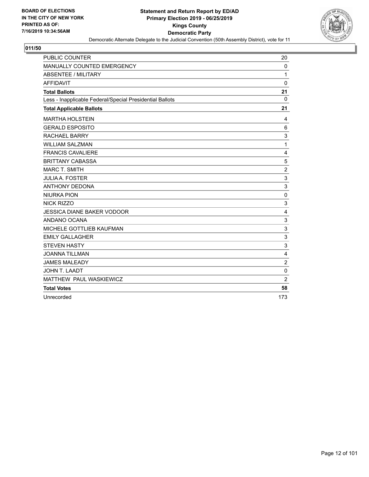

| PUBLIC COUNTER                                           | 20                        |
|----------------------------------------------------------|---------------------------|
| MANUALLY COUNTED EMERGENCY                               | 0                         |
| <b>ABSENTEE / MILITARY</b>                               | 1                         |
| <b>AFFIDAVIT</b>                                         | $\mathbf 0$               |
| <b>Total Ballots</b>                                     | 21                        |
| Less - Inapplicable Federal/Special Presidential Ballots | 0                         |
| <b>Total Applicable Ballots</b>                          | 21                        |
| <b>MARTHA HOLSTEIN</b>                                   | 4                         |
| <b>GERALD ESPOSITO</b>                                   | 6                         |
| <b>RACHAEL BARRY</b>                                     | 3                         |
| <b>WILLIAM SALZMAN</b>                                   | 1                         |
| <b>FRANCIS CAVALIERE</b>                                 | 4                         |
| <b>BRITTANY CABASSA</b>                                  | 5                         |
| <b>MARC T. SMITH</b>                                     | $\overline{c}$            |
| <b>JULIA A. FOSTER</b>                                   | $\ensuremath{\mathsf{3}}$ |
| <b>ANTHONY DEDONA</b>                                    | 3                         |
| <b>NIURKA PION</b>                                       | 0                         |
| <b>NICK RIZZO</b>                                        | 3                         |
| <b>JESSICA DIANE BAKER VODOOR</b>                        | 4                         |
| ANDANO OCANA                                             | 3                         |
| MICHELE GOTTLIEB KAUFMAN                                 | 3                         |
| <b>EMILY GALLAGHER</b>                                   | $\mathsf 3$               |
| <b>STEVEN HASTY</b>                                      | 3                         |
| <b>JOANNA TILLMAN</b>                                    | 4                         |
| <b>JAMES MALEADY</b>                                     | $\overline{c}$            |
| JOHN T. LAADT                                            | $\mathbf 0$               |
| MATTHEW PAUL WASKIEWICZ                                  | $\overline{2}$            |
| <b>Total Votes</b>                                       | 58                        |
| Unrecorded                                               | 173                       |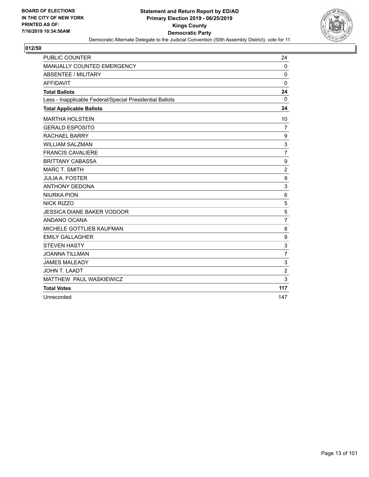

| PUBLIC COUNTER                                           | 24                        |
|----------------------------------------------------------|---------------------------|
| MANUALLY COUNTED EMERGENCY                               | $\mathbf{0}$              |
| <b>ABSENTEE / MILITARY</b>                               | 0                         |
| <b>AFFIDAVIT</b>                                         | 0                         |
| <b>Total Ballots</b>                                     | 24                        |
| Less - Inapplicable Federal/Special Presidential Ballots | $\Omega$                  |
| <b>Total Applicable Ballots</b>                          | 24                        |
| <b>MARTHA HOLSTEIN</b>                                   | 10                        |
| <b>GERALD ESPOSITO</b>                                   | $\overline{7}$            |
| <b>RACHAEL BARRY</b>                                     | 9                         |
| <b>WILLIAM SALZMAN</b>                                   | $\ensuremath{\mathsf{3}}$ |
| <b>FRANCIS CAVALIERE</b>                                 | $\overline{7}$            |
| <b>BRITTANY CABASSA</b>                                  | $\boldsymbol{9}$          |
| <b>MARC T. SMITH</b>                                     | $\overline{c}$            |
| <b>JULIA A. FOSTER</b>                                   | $\boldsymbol{9}$          |
| <b>ANTHONY DEDONA</b>                                    | 3                         |
| <b>NIURKA PION</b>                                       | 6                         |
| <b>NICK RIZZO</b>                                        | 5                         |
| <b>JESSICA DIANE BAKER VODOOR</b>                        | 5                         |
| ANDANO OCANA                                             | $\overline{7}$            |
| MICHELE GOTTLIEB KAUFMAN                                 | 8                         |
| <b>EMILY GALLAGHER</b>                                   | $\boldsymbol{9}$          |
| <b>STEVEN HASTY</b>                                      | 3                         |
| <b>JOANNA TILLMAN</b>                                    | $\overline{7}$            |
| <b>JAMES MALEADY</b>                                     | 3                         |
| <b>JOHN T. LAADT</b>                                     | $\overline{c}$            |
| MATTHEW PAUL WASKIEWICZ                                  | 3                         |
| <b>Total Votes</b>                                       | 117                       |
| Unrecorded                                               | 147                       |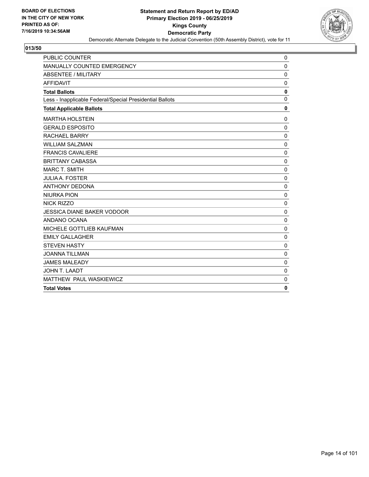

| <b>PUBLIC COUNTER</b>                                    | 0           |
|----------------------------------------------------------|-------------|
| MANUALLY COUNTED EMERGENCY                               | 0           |
| <b>ABSENTEE / MILITARY</b>                               | $\mathbf 0$ |
| <b>AFFIDAVIT</b>                                         | $\mathbf 0$ |
| <b>Total Ballots</b>                                     | $\pmb{0}$   |
| Less - Inapplicable Federal/Special Presidential Ballots | $\mathbf 0$ |
| <b>Total Applicable Ballots</b>                          | $\mathbf 0$ |
| <b>MARTHA HOLSTEIN</b>                                   | $\mathbf 0$ |
| <b>GERALD ESPOSITO</b>                                   | $\mathbf 0$ |
| <b>RACHAEL BARRY</b>                                     | $\mathbf 0$ |
| <b>WILLIAM SALZMAN</b>                                   | $\Omega$    |
| <b>FRANCIS CAVALIERE</b>                                 | 0           |
| <b>BRITTANY CABASSA</b>                                  | $\mathbf 0$ |
| <b>MARC T. SMITH</b>                                     | $\mathbf 0$ |
| <b>JULIA A. FOSTER</b>                                   | $\pmb{0}$   |
| <b>ANTHONY DEDONA</b>                                    | $\mathbf 0$ |
| <b>NIURKA PION</b>                                       | $\mathbf 0$ |
| <b>NICK RIZZO</b>                                        | $\mathbf 0$ |
| <b>JESSICA DIANE BAKER VODOOR</b>                        | $\mathbf 0$ |
| ANDANO OCANA                                             | 0           |
| MICHELE GOTTLIEB KAUFMAN                                 | $\Omega$    |
| <b>EMILY GALLAGHER</b>                                   | $\mathbf 0$ |
| <b>STEVEN HASTY</b>                                      | $\mathbf 0$ |
| <b>JOANNA TILLMAN</b>                                    | $\mathbf 0$ |
| <b>JAMES MALEADY</b>                                     | $\mathbf 0$ |
| JOHN T. LAADT                                            | $\mathbf 0$ |
| MATTHEW PAUL WASKIEWICZ                                  | $\mathbf 0$ |
| <b>Total Votes</b>                                       | 0           |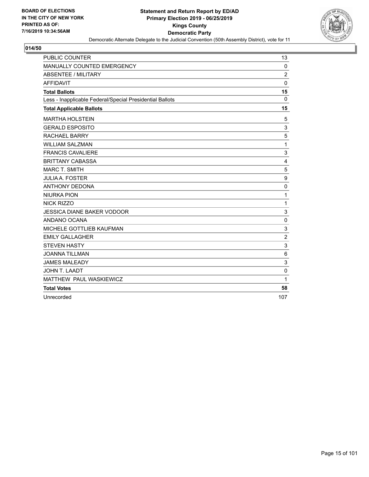

| <b>PUBLIC COUNTER</b>                                    | 13               |
|----------------------------------------------------------|------------------|
| MANUALLY COUNTED EMERGENCY                               | $\mathbf 0$      |
| <b>ABSENTEE / MILITARY</b>                               | $\overline{c}$   |
| <b>AFFIDAVIT</b>                                         | $\mathbf 0$      |
| <b>Total Ballots</b>                                     | 15               |
| Less - Inapplicable Federal/Special Presidential Ballots | $\Omega$         |
| <b>Total Applicable Ballots</b>                          | 15               |
| <b>MARTHA HOLSTEIN</b>                                   | 5                |
| <b>GERALD ESPOSITO</b>                                   | 3                |
| <b>RACHAEL BARRY</b>                                     | 5                |
| <b>WILLIAM SALZMAN</b>                                   | 1                |
| <b>FRANCIS CAVALIERE</b>                                 | 3                |
| <b>BRITTANY CABASSA</b>                                  | 4                |
| <b>MARC T. SMITH</b>                                     | 5                |
| <b>JULIA A. FOSTER</b>                                   | $\boldsymbol{9}$ |
| <b>ANTHONY DEDONA</b>                                    | $\mathbf 0$      |
| <b>NIURKA PION</b>                                       | 1                |
| NICK RIZZO                                               | 1                |
| <b>JESSICA DIANE BAKER VODOOR</b>                        | 3                |
| ANDANO OCANA                                             | $\mathbf 0$      |
| MICHELE GOTTLIEB KAUFMAN                                 | 3                |
| <b>EMILY GALLAGHER</b>                                   | $\overline{c}$   |
| <b>STEVEN HASTY</b>                                      | 3                |
| <b>JOANNA TILLMAN</b>                                    | 6                |
| <b>JAMES MALEADY</b>                                     | 3                |
| JOHN T. LAADT                                            | $\mathbf 0$      |
| MATTHEW PAUL WASKIEWICZ                                  | 1                |
| <b>Total Votes</b>                                       | 58               |
| Unrecorded                                               | 107              |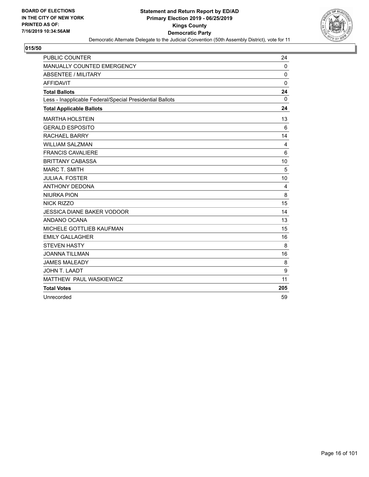

| PUBLIC COUNTER                                           | 24           |
|----------------------------------------------------------|--------------|
| MANUALLY COUNTED EMERGENCY                               | $\mathbf 0$  |
| <b>ABSENTEE / MILITARY</b>                               | $\Omega$     |
| <b>AFFIDAVIT</b>                                         | $\mathbf{0}$ |
| <b>Total Ballots</b>                                     | 24           |
| Less - Inapplicable Federal/Special Presidential Ballots | $\mathbf 0$  |
| <b>Total Applicable Ballots</b>                          | 24           |
| <b>MARTHA HOLSTEIN</b>                                   | 13           |
| <b>GERALD ESPOSITO</b>                                   | 6            |
| <b>RACHAEL BARRY</b>                                     | 14           |
| <b>WILLIAM SALZMAN</b>                                   | 4            |
| <b>FRANCIS CAVALIERE</b>                                 | 6            |
| <b>BRITTANY CABASSA</b>                                  | 10           |
| <b>MARC T. SMITH</b>                                     | 5            |
| <b>JULIA A. FOSTER</b>                                   | 10           |
| <b>ANTHONY DEDONA</b>                                    | 4            |
| <b>NIURKA PION</b>                                       | 8            |
| <b>NICK RIZZO</b>                                        | 15           |
| <b>JESSICA DIANE BAKER VODOOR</b>                        | 14           |
| ANDANO OCANA                                             | 13           |
| MICHELE GOTTLIEB KAUFMAN                                 | 15           |
| <b>EMILY GALLAGHER</b>                                   | 16           |
| <b>STEVEN HASTY</b>                                      | 8            |
| <b>JOANNA TILLMAN</b>                                    | 16           |
| <b>JAMES MALEADY</b>                                     | 8            |
| <b>JOHN T. LAADT</b>                                     | 9            |
| MATTHEW PAUL WASKIEWICZ                                  | 11           |
| <b>Total Votes</b>                                       | 205          |
| Unrecorded                                               | 59           |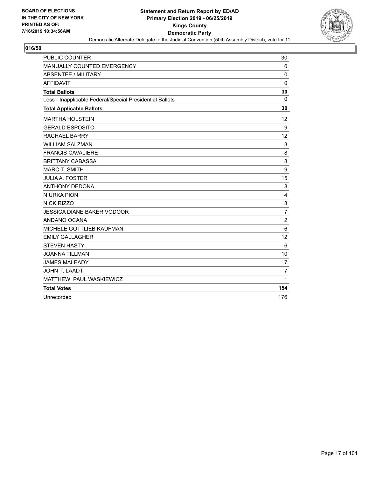

| PUBLIC COUNTER                                           | 30             |
|----------------------------------------------------------|----------------|
| MANUALLY COUNTED EMERGENCY                               | 0              |
| <b>ABSENTEE / MILITARY</b>                               | 0              |
| <b>AFFIDAVIT</b>                                         | $\mathbf 0$    |
| <b>Total Ballots</b>                                     | 30             |
| Less - Inapplicable Federal/Special Presidential Ballots | 0              |
| <b>Total Applicable Ballots</b>                          | 30             |
| <b>MARTHA HOLSTEIN</b>                                   | 12             |
| <b>GERALD ESPOSITO</b>                                   | 9              |
| <b>RACHAEL BARRY</b>                                     | 12             |
| <b>WILLIAM SALZMAN</b>                                   | 3              |
| <b>FRANCIS CAVALIERE</b>                                 | 8              |
| <b>BRITTANY CABASSA</b>                                  | 8              |
| <b>MARC T. SMITH</b>                                     | 9              |
| <b>JULIA A. FOSTER</b>                                   | 15             |
| <b>ANTHONY DEDONA</b>                                    | 8              |
| <b>NIURKA PION</b>                                       | 4              |
| <b>NICK RIZZO</b>                                        | 8              |
| <b>JESSICA DIANE BAKER VODOOR</b>                        | 7              |
| ANDANO OCANA                                             | $\overline{2}$ |
| MICHELE GOTTLIEB KAUFMAN                                 | 6              |
| <b>EMILY GALLAGHER</b>                                   | 12             |
| <b>STEVEN HASTY</b>                                      | 6              |
| <b>JOANNA TILLMAN</b>                                    | 10             |
| <b>JAMES MALEADY</b>                                     | $\overline{7}$ |
| JOHN T. LAADT                                            | $\overline{7}$ |
| MATTHEW PAUL WASKIEWICZ                                  | $\mathbf{1}$   |
| <b>Total Votes</b>                                       | 154            |
| Unrecorded                                               | 176            |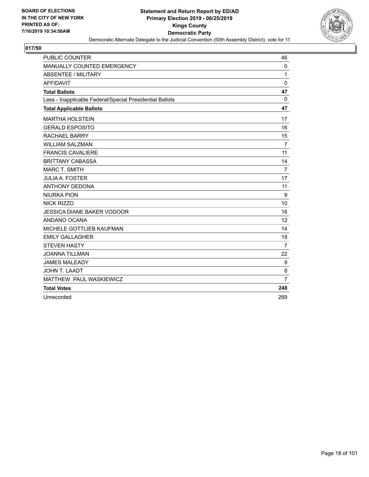

| PUBLIC COUNTER                                           | 46             |
|----------------------------------------------------------|----------------|
| MANUALLY COUNTED EMERGENCY                               | $\mathbf 0$    |
| <b>ABSENTEE / MILITARY</b>                               | 1              |
| <b>AFFIDAVIT</b>                                         | 0              |
| <b>Total Ballots</b>                                     | 47             |
| Less - Inapplicable Federal/Special Presidential Ballots | 0              |
| <b>Total Applicable Ballots</b>                          | 47             |
| <b>MARTHA HOLSTEIN</b>                                   | 17             |
| <b>GERALD ESPOSITO</b>                                   | 16             |
| <b>RACHAEL BARRY</b>                                     | 15             |
| <b>WILLIAM SALZMAN</b>                                   | $\overline{7}$ |
| <b>FRANCIS CAVALIERE</b>                                 | 11             |
| <b>BRITTANY CABASSA</b>                                  | 14             |
| <b>MARC T. SMITH</b>                                     | $\overline{7}$ |
| <b>JULIA A. FOSTER</b>                                   | 17             |
| <b>ANTHONY DEDONA</b>                                    | 11             |
| <b>NIURKA PION</b>                                       | 9              |
| <b>NICK RIZZO</b>                                        | 10             |
| <b>JESSICA DIANE BAKER VODOOR</b>                        | 16             |
| ANDANO OCANA                                             | 12             |
| MICHELE GOTTLIEB KAUFMAN                                 | 14             |
| <b>EMILY GALLAGHER</b>                                   | 19             |
| <b>STEVEN HASTY</b>                                      | $\overline{7}$ |
| <b>JOANNA TILLMAN</b>                                    | 22             |
| <b>JAMES MALEADY</b>                                     | 9              |
| <b>JOHN T. LAADT</b>                                     | 8              |
| MATTHEW PAUL WASKIEWICZ                                  | $\overline{7}$ |
| <b>Total Votes</b>                                       | 248            |
| Unrecorded                                               | 269            |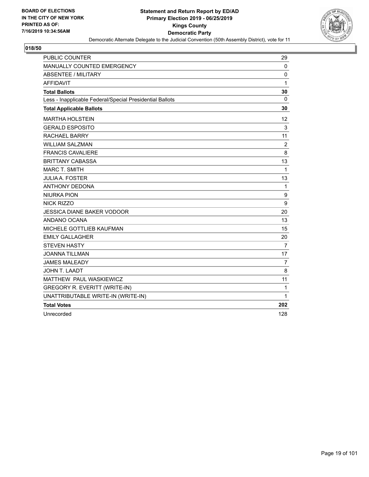

| PUBLIC COUNTER                                           | 29             |
|----------------------------------------------------------|----------------|
| <b>MANUALLY COUNTED EMERGENCY</b>                        | 0              |
| <b>ABSENTEE / MILITARY</b>                               | $\mathbf 0$    |
| <b>AFFIDAVIT</b>                                         | 1              |
| <b>Total Ballots</b>                                     | 30             |
| Less - Inapplicable Federal/Special Presidential Ballots | 0              |
| <b>Total Applicable Ballots</b>                          | 30             |
| <b>MARTHA HOLSTEIN</b>                                   | 12             |
| <b>GERALD ESPOSITO</b>                                   | 3              |
| <b>RACHAEL BARRY</b>                                     | 11             |
| <b>WILLIAM SALZMAN</b>                                   | $\overline{2}$ |
| <b>FRANCIS CAVALIERE</b>                                 | 8              |
| <b>BRITTANY CABASSA</b>                                  | 13             |
| <b>MARC T. SMITH</b>                                     | 1              |
| <b>JULIA A. FOSTER</b>                                   | 13             |
| <b>ANTHONY DEDONA</b>                                    | $\mathbf{1}$   |
| <b>NIURKA PION</b>                                       | 9              |
| <b>NICK RIZZO</b>                                        | 9              |
| JESSICA DIANE BAKER VODOOR                               | 20             |
| ANDANO OCANA                                             | 13             |
| MICHELE GOTTLIEB KAUFMAN                                 | 15             |
| <b>EMILY GALLAGHER</b>                                   | 20             |
| <b>STEVEN HASTY</b>                                      | $\overline{7}$ |
| <b>JOANNA TILLMAN</b>                                    | 17             |
| <b>JAMES MALEADY</b>                                     | 7              |
| <b>JOHN T. LAADT</b>                                     | 8              |
| MATTHEW PAUL WASKIEWICZ                                  | 11             |
| <b>GREGORY R. EVERITT (WRITE-IN)</b>                     | 1              |
| UNATTRIBUTABLE WRITE-IN (WRITE-IN)                       | 1              |
| <b>Total Votes</b>                                       | 202            |
| Unrecorded                                               | 128            |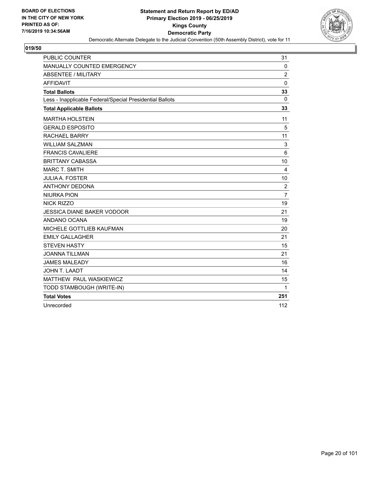

| PUBLIC COUNTER                                           | 31               |
|----------------------------------------------------------|------------------|
| <b>MANUALLY COUNTED EMERGENCY</b>                        | 0                |
| ABSENTEE / MILITARY                                      | 2                |
| <b>AFFIDAVIT</b>                                         | $\Omega$         |
| <b>Total Ballots</b>                                     | 33               |
| Less - Inapplicable Federal/Special Presidential Ballots | $\mathbf{0}$     |
| <b>Total Applicable Ballots</b>                          | 33               |
| <b>MARTHA HOLSTEIN</b>                                   | 11               |
| <b>GERALD ESPOSITO</b>                                   | 5                |
| <b>RACHAEL BARRY</b>                                     | 11               |
| <b>WILLIAM SALZMAN</b>                                   | 3                |
| <b>FRANCIS CAVALIERE</b>                                 | 6                |
| <b>BRITTANY CABASSA</b>                                  | 10               |
| <b>MARC T. SMITH</b>                                     | $\overline{4}$   |
| <b>JULIA A. FOSTER</b>                                   | 10               |
| <b>ANTHONY DEDONA</b>                                    | $\boldsymbol{2}$ |
| <b>NIURKA PION</b>                                       | $\overline{7}$   |
| NICK RIZZO                                               | 19               |
| <b>JESSICA DIANE BAKER VODOOR</b>                        | 21               |
| ANDANO OCANA                                             | 19               |
| MICHELE GOTTLIEB KAUFMAN                                 | 20               |
| <b>EMILY GALLAGHER</b>                                   | 21               |
| <b>STEVEN HASTY</b>                                      | 15               |
| <b>JOANNA TILLMAN</b>                                    | 21               |
| <b>JAMES MALEADY</b>                                     | 16               |
| <b>JOHN T. LAADT</b>                                     | 14               |
| MATTHEW PAUL WASKIEWICZ                                  | 15               |
| TODD STAMBOUGH (WRITE-IN)                                | 1                |
| <b>Total Votes</b>                                       | 251              |
| Unrecorded                                               | 112              |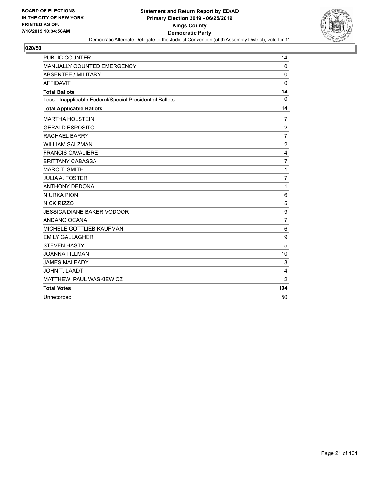

| PUBLIC COUNTER                                           | 14               |
|----------------------------------------------------------|------------------|
| MANUALLY COUNTED EMERGENCY                               | $\mathbf 0$      |
| <b>ABSENTEE / MILITARY</b>                               | $\Omega$         |
| <b>AFFIDAVIT</b>                                         | $\Omega$         |
| <b>Total Ballots</b>                                     | 14               |
| Less - Inapplicable Federal/Special Presidential Ballots | $\mathbf 0$      |
| <b>Total Applicable Ballots</b>                          | 14               |
| <b>MARTHA HOLSTEIN</b>                                   | 7                |
| <b>GERALD ESPOSITO</b>                                   | $\overline{2}$   |
| <b>RACHAEL BARRY</b>                                     | $\overline{7}$   |
| <b>WILLIAM SALZMAN</b>                                   | $\overline{2}$   |
| <b>FRANCIS CAVALIERE</b>                                 | $\overline{4}$   |
| <b>BRITTANY CABASSA</b>                                  | $\overline{7}$   |
| <b>MARC T. SMITH</b>                                     | 1                |
| <b>JULIA A. FOSTER</b>                                   | $\overline{7}$   |
| <b>ANTHONY DEDONA</b>                                    | 1                |
| <b>NIURKA PION</b>                                       | 6                |
| <b>NICK RIZZO</b>                                        | 5                |
| <b>JESSICA DIANE BAKER VODOOR</b>                        | $\boldsymbol{9}$ |
| ANDANO OCANA                                             | $\overline{7}$   |
| MICHELE GOTTLIEB KAUFMAN                                 | 6                |
| <b>EMILY GALLAGHER</b>                                   | 9                |
| <b>STEVEN HASTY</b>                                      | 5                |
| <b>JOANNA TILLMAN</b>                                    | 10               |
| <b>JAMES MALEADY</b>                                     | 3                |
| <b>JOHN T. LAADT</b>                                     | 4                |
| MATTHEW PAUL WASKIEWICZ                                  | $\overline{2}$   |
| <b>Total Votes</b>                                       | 104              |
| Unrecorded                                               | 50               |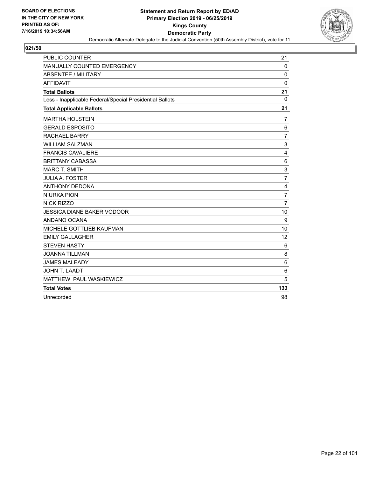

| PUBLIC COUNTER                                           | 21                      |
|----------------------------------------------------------|-------------------------|
| MANUALLY COUNTED EMERGENCY                               | $\mathbf{0}$            |
| <b>ABSENTEE / MILITARY</b>                               | 0                       |
| <b>AFFIDAVIT</b>                                         | 0                       |
| <b>Total Ballots</b>                                     | 21                      |
| Less - Inapplicable Federal/Special Presidential Ballots | $\Omega$                |
| <b>Total Applicable Ballots</b>                          | 21                      |
| <b>MARTHA HOLSTEIN</b>                                   | $\overline{7}$          |
| <b>GERALD ESPOSITO</b>                                   | 6                       |
| <b>RACHAEL BARRY</b>                                     | $\overline{7}$          |
| <b>WILLIAM SALZMAN</b>                                   | 3                       |
| <b>FRANCIS CAVALIERE</b>                                 | $\overline{\mathbf{4}}$ |
| <b>BRITTANY CABASSA</b>                                  | 6                       |
| <b>MARC T. SMITH</b>                                     | 3                       |
| <b>JULIA A. FOSTER</b>                                   | $\overline{7}$          |
| <b>ANTHONY DEDONA</b>                                    | 4                       |
| <b>NIURKA PION</b>                                       | 7                       |
| <b>NICK RIZZO</b>                                        | $\overline{7}$          |
| <b>JESSICA DIANE BAKER VODOOR</b>                        | 10                      |
| ANDANO OCANA                                             | 9                       |
| MICHELE GOTTLIEB KAUFMAN                                 | 10                      |
| <b>EMILY GALLAGHER</b>                                   | 12                      |
| <b>STEVEN HASTY</b>                                      | 6                       |
| <b>JOANNA TILLMAN</b>                                    | 8                       |
| <b>JAMES MALEADY</b>                                     | 6                       |
| <b>JOHN T. LAADT</b>                                     | 6                       |
| MATTHEW PAUL WASKIEWICZ                                  | 5                       |
| <b>Total Votes</b>                                       | 133                     |
| Unrecorded                                               | 98                      |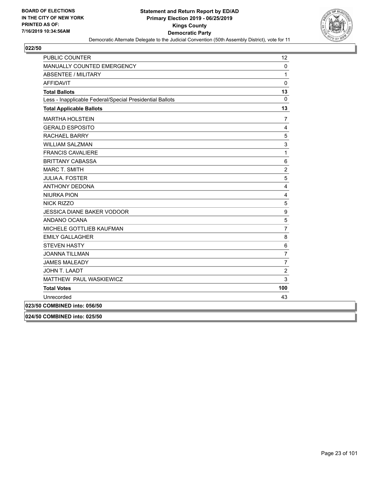

| PUBLIC COUNTER                                           | 12             |
|----------------------------------------------------------|----------------|
| MANUALLY COUNTED EMERGENCY                               | 0              |
| <b>ABSENTEE / MILITARY</b>                               | $\mathbf{1}$   |
| <b>AFFIDAVIT</b>                                         | 0              |
| <b>Total Ballots</b>                                     | 13             |
| Less - Inapplicable Federal/Special Presidential Ballots | $\overline{0}$ |
| <b>Total Applicable Ballots</b>                          | 13             |
| <b>MARTHA HOLSTEIN</b>                                   | 7              |
| <b>GERALD ESPOSITO</b>                                   | 4              |
| <b>RACHAEL BARRY</b>                                     | 5              |
| <b>WILLIAM SALZMAN</b>                                   | 3              |
| <b>FRANCIS CAVALIERE</b>                                 | $\mathbf{1}$   |
| <b>BRITTANY CABASSA</b>                                  | 6              |
| MARC T. SMITH                                            | $\overline{c}$ |
| <b>JULIA A. FOSTER</b>                                   | 5              |
| <b>ANTHONY DEDONA</b>                                    | $\overline{4}$ |
| <b>NIURKA PION</b>                                       | 4              |
| <b>NICK RIZZO</b>                                        | 5              |
| <b>JESSICA DIANE BAKER VODOOR</b>                        | 9              |
| ANDANO OCANA                                             | 5              |
| MICHELE GOTTLIEB KAUFMAN                                 | $\overline{7}$ |
| <b>EMILY GALLAGHER</b>                                   | 8              |
| <b>STEVEN HASTY</b>                                      | $\,6$          |
| <b>JOANNA TILLMAN</b>                                    | $\overline{7}$ |
| <b>JAMES MALEADY</b>                                     | $\overline{7}$ |
| JOHN T. LAADT                                            | $\overline{c}$ |
| MATTHEW PAUL WASKIEWICZ                                  | 3              |
| <b>Total Votes</b>                                       | 100            |
| Unrecorded                                               | 43             |
| 023/50 COMBINED into: 056/50                             |                |
|                                                          |                |

**024/50 COMBINED into: 025/50**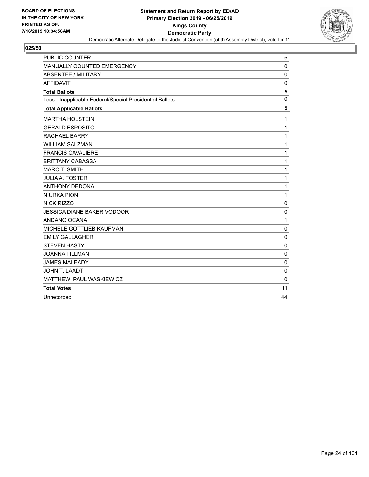

| <b>PUBLIC COUNTER</b>                                    | 5            |
|----------------------------------------------------------|--------------|
| MANUALLY COUNTED EMERGENCY                               | $\mathbf 0$  |
| <b>ABSENTEE / MILITARY</b>                               | $\mathbf 0$  |
| <b>AFFIDAVIT</b>                                         | 0            |
| <b>Total Ballots</b>                                     | 5            |
| Less - Inapplicable Federal/Special Presidential Ballots | $\mathbf{0}$ |
| <b>Total Applicable Ballots</b>                          | 5            |
| <b>MARTHA HOLSTEIN</b>                                   | 1            |
| <b>GERALD ESPOSITO</b>                                   | 1            |
| <b>RACHAEL BARRY</b>                                     | 1            |
| <b>WILLIAM SALZMAN</b>                                   | 1            |
| <b>FRANCIS CAVALIERE</b>                                 | 1            |
| <b>BRITTANY CABASSA</b>                                  | 1            |
| <b>MARC T. SMITH</b>                                     | 1            |
| <b>JULIA A. FOSTER</b>                                   | 1            |
| <b>ANTHONY DEDONA</b>                                    | 1            |
| <b>NIURKA PION</b>                                       | 1            |
| NICK RIZZO                                               | $\mathbf 0$  |
| <b>JESSICA DIANE BAKER VODOOR</b>                        | $\mathbf 0$  |
| ANDANO OCANA                                             | 1            |
| MICHELE GOTTLIEB KAUFMAN                                 | 0            |
| <b>EMILY GALLAGHER</b>                                   | $\mathbf 0$  |
| <b>STEVEN HASTY</b>                                      | $\mathbf 0$  |
| <b>JOANNA TILLMAN</b>                                    | $\mathbf 0$  |
| <b>JAMES MALEADY</b>                                     | 0            |
| JOHN T. LAADT                                            | $\mathbf 0$  |
| MATTHEW PAUL WASKIEWICZ                                  | $\Omega$     |
| <b>Total Votes</b>                                       | 11           |
| Unrecorded                                               | 44           |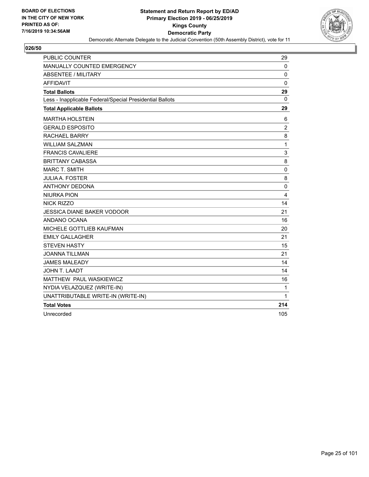

| <b>PUBLIC COUNTER</b>                                    | 29             |
|----------------------------------------------------------|----------------|
| <b>MANUALLY COUNTED EMERGENCY</b>                        | 0              |
| ABSENTEE / MILITARY                                      | $\mathbf 0$    |
| <b>AFFIDAVIT</b>                                         | 0              |
| <b>Total Ballots</b>                                     | 29             |
| Less - Inapplicable Federal/Special Presidential Ballots | 0              |
| <b>Total Applicable Ballots</b>                          | 29             |
| <b>MARTHA HOLSTEIN</b>                                   | 6              |
| <b>GERALD ESPOSITO</b>                                   | $\overline{2}$ |
| <b>RACHAEL BARRY</b>                                     | 8              |
| <b>WILLIAM SALZMAN</b>                                   | $\mathbf{1}$   |
| <b>FRANCIS CAVALIERE</b>                                 | 3              |
| <b>BRITTANY CABASSA</b>                                  | 8              |
| <b>MARC T. SMITH</b>                                     | 0              |
| <b>JULIA A. FOSTER</b>                                   | 8              |
| <b>ANTHONY DEDONA</b>                                    | $\mathbf 0$    |
| <b>NIURKA PION</b>                                       | $\overline{4}$ |
| <b>NICK RIZZO</b>                                        | 14             |
| <b>JESSICA DIANE BAKER VODOOR</b>                        | 21             |
| ANDANO OCANA                                             | 16             |
| MICHELE GOTTLIEB KAUFMAN                                 | 20             |
| <b>EMILY GALLAGHER</b>                                   | 21             |
| <b>STEVEN HASTY</b>                                      | 15             |
| <b>JOANNA TILLMAN</b>                                    | 21             |
| <b>JAMES MALEADY</b>                                     | 14             |
| <b>JOHN T. LAADT</b>                                     | 14             |
| MATTHEW PAUL WASKIEWICZ                                  | 16             |
| NYDIA VELAZQUEZ (WRITE-IN)                               | 1              |
| UNATTRIBUTABLE WRITE-IN (WRITE-IN)                       | 1              |
| <b>Total Votes</b>                                       | 214            |
| Unrecorded                                               | 105            |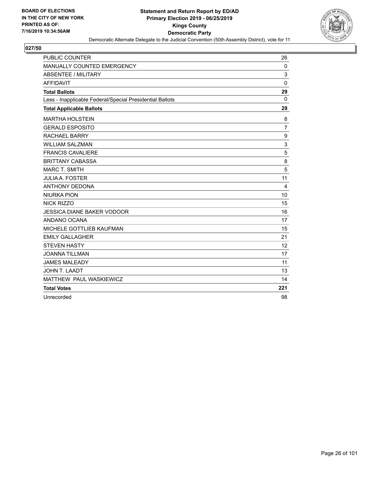

| PUBLIC COUNTER                                           | 26             |
|----------------------------------------------------------|----------------|
| MANUALLY COUNTED EMERGENCY                               | $\mathbf 0$    |
| <b>ABSENTEE / MILITARY</b>                               | 3              |
| <b>AFFIDAVIT</b>                                         | $\mathbf{0}$   |
| <b>Total Ballots</b>                                     | 29             |
| Less - Inapplicable Federal/Special Presidential Ballots | $\Omega$       |
| <b>Total Applicable Ballots</b>                          | 29             |
| <b>MARTHA HOLSTEIN</b>                                   | 8              |
| <b>GERALD ESPOSITO</b>                                   | $\overline{7}$ |
| <b>RACHAEL BARRY</b>                                     | 9              |
| <b>WILLIAM SALZMAN</b>                                   | 3              |
| <b>FRANCIS CAVALIERE</b>                                 | 5              |
| <b>BRITTANY CABASSA</b>                                  | 8              |
| <b>MARC T. SMITH</b>                                     | 5              |
| <b>JULIA A. FOSTER</b>                                   | 11             |
| <b>ANTHONY DEDONA</b>                                    | 4              |
| <b>NIURKA PION</b>                                       | 10             |
| <b>NICK RIZZO</b>                                        | 15             |
| <b>JESSICA DIANE BAKER VODOOR</b>                        | 16             |
| ANDANO OCANA                                             | 17             |
| MICHELE GOTTLIEB KAUFMAN                                 | 15             |
| <b>EMILY GALLAGHER</b>                                   | 21             |
| <b>STEVEN HASTY</b>                                      | 12             |
| <b>JOANNA TILLMAN</b>                                    | 17             |
| <b>JAMES MALEADY</b>                                     | 11             |
| <b>JOHN T. LAADT</b>                                     | 13             |
| MATTHEW PAUL WASKIEWICZ                                  | 14             |
| <b>Total Votes</b>                                       | 221            |
| Unrecorded                                               | 98             |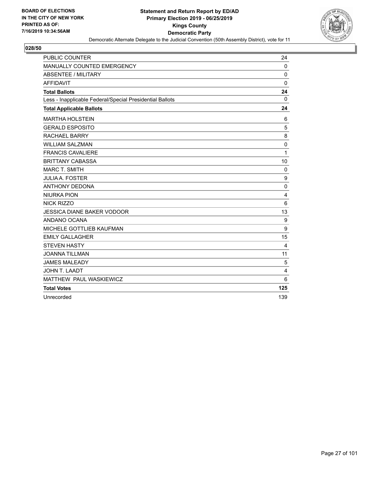

| PUBLIC COUNTER                                           | 24               |
|----------------------------------------------------------|------------------|
| MANUALLY COUNTED EMERGENCY                               | $\Omega$         |
| <b>ABSENTEE / MILITARY</b>                               | 0                |
| <b>AFFIDAVIT</b>                                         | 0                |
| <b>Total Ballots</b>                                     | 24               |
| Less - Inapplicable Federal/Special Presidential Ballots | $\Omega$         |
| <b>Total Applicable Ballots</b>                          | 24               |
| <b>MARTHA HOLSTEIN</b>                                   | 6                |
| <b>GERALD ESPOSITO</b>                                   | 5                |
| <b>RACHAEL BARRY</b>                                     | 8                |
| <b>WILLIAM SALZMAN</b>                                   | $\mathbf 0$      |
| <b>FRANCIS CAVALIERE</b>                                 | 1                |
| <b>BRITTANY CABASSA</b>                                  | 10               |
| <b>MARC T. SMITH</b>                                     | 0                |
| <b>JULIA A. FOSTER</b>                                   | $\boldsymbol{9}$ |
| <b>ANTHONY DEDONA</b>                                    | $\mathbf 0$      |
| <b>NIURKA PION</b>                                       | 4                |
| NICK RIZZO                                               | 6                |
| <b>JESSICA DIANE BAKER VODOOR</b>                        | 13               |
| ANDANO OCANA                                             | 9                |
| MICHELE GOTTLIEB KAUFMAN                                 | 9                |
| <b>EMILY GALLAGHER</b>                                   | 15               |
| <b>STEVEN HASTY</b>                                      | 4                |
| <b>JOANNA TILLMAN</b>                                    | 11               |
| <b>JAMES MALEADY</b>                                     | 5                |
| <b>JOHN T. LAADT</b>                                     | 4                |
| MATTHEW PAUL WASKIEWICZ                                  | 6                |
| <b>Total Votes</b>                                       | 125              |
| Unrecorded                                               | 139              |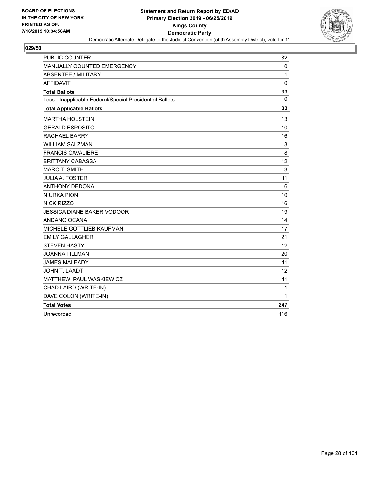

| PUBLIC COUNTER                                           | 32                |
|----------------------------------------------------------|-------------------|
| MANUALLY COUNTED EMERGENCY                               | 0                 |
| <b>ABSENTEE / MILITARY</b>                               | 1                 |
| <b>AFFIDAVIT</b>                                         | $\mathbf 0$       |
| <b>Total Ballots</b>                                     | 33                |
| Less - Inapplicable Federal/Special Presidential Ballots | 0                 |
| <b>Total Applicable Ballots</b>                          | 33                |
| <b>MARTHA HOLSTEIN</b>                                   | 13                |
| <b>GERALD ESPOSITO</b>                                   | 10                |
| <b>RACHAEL BARRY</b>                                     | 16                |
| <b>WILLIAM SALZMAN</b>                                   | 3                 |
| <b>FRANCIS CAVALIERE</b>                                 | 8                 |
| <b>BRITTANY CABASSA</b>                                  | 12                |
| <b>MARC T. SMITH</b>                                     | 3                 |
| <b>JULIA A. FOSTER</b>                                   | 11                |
| <b>ANTHONY DEDONA</b>                                    | 6                 |
| <b>NIURKA PION</b>                                       | 10                |
| NICK RIZZO                                               | 16                |
| JESSICA DIANE BAKER VODOOR                               | 19                |
| ANDANO OCANA                                             | 14                |
| MICHELE GOTTLIEB KAUFMAN                                 | 17                |
| <b>EMILY GALLAGHER</b>                                   | 21                |
| <b>STEVEN HASTY</b>                                      | 12                |
| <b>JOANNA TILLMAN</b>                                    | 20                |
| <b>JAMES MALEADY</b>                                     | 11                |
| <b>JOHN T. LAADT</b>                                     | $12 \overline{ }$ |
| MATTHEW PAUL WASKIEWICZ                                  | 11                |
| CHAD LAIRD (WRITE-IN)                                    | 1                 |
| DAVE COLON (WRITE-IN)                                    | $\mathbf{1}$      |
| <b>Total Votes</b>                                       | 247               |
| Unrecorded                                               | 116               |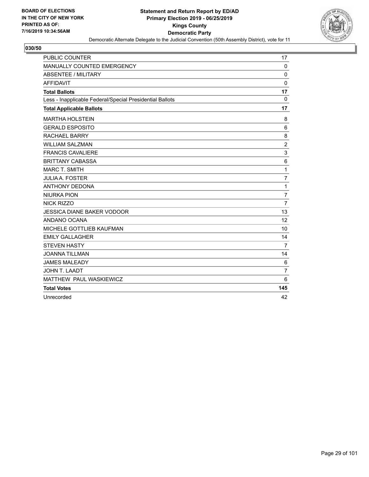

| PUBLIC COUNTER                                           | 17             |
|----------------------------------------------------------|----------------|
| MANUALLY COUNTED EMERGENCY                               | $\mathbf 0$    |
| <b>ABSENTEE / MILITARY</b>                               | $\Omega$       |
| <b>AFFIDAVIT</b>                                         | $\Omega$       |
| <b>Total Ballots</b>                                     | 17             |
| Less - Inapplicable Federal/Special Presidential Ballots | $\mathbf 0$    |
| <b>Total Applicable Ballots</b>                          | 17             |
| <b>MARTHA HOLSTEIN</b>                                   | 8              |
| <b>GERALD ESPOSITO</b>                                   | 6              |
| <b>RACHAEL BARRY</b>                                     | 8              |
| <b>WILLIAM SALZMAN</b>                                   | $\overline{c}$ |
| <b>FRANCIS CAVALIERE</b>                                 | 3              |
| <b>BRITTANY CABASSA</b>                                  | 6              |
| <b>MARC T. SMITH</b>                                     | 1              |
| <b>JULIA A. FOSTER</b>                                   | $\overline{7}$ |
| <b>ANTHONY DEDONA</b>                                    | 1              |
| <b>NIURKA PION</b>                                       | 7              |
| <b>NICK RIZZO</b>                                        | $\overline{7}$ |
| <b>JESSICA DIANE BAKER VODOOR</b>                        | 13             |
| ANDANO OCANA                                             | 12             |
| MICHELE GOTTLIEB KAUFMAN                                 | 10             |
| <b>EMILY GALLAGHER</b>                                   | 14             |
| <b>STEVEN HASTY</b>                                      | $\overline{7}$ |
| <b>JOANNA TILLMAN</b>                                    | 14             |
| <b>JAMES MALEADY</b>                                     | 6              |
| <b>JOHN T. LAADT</b>                                     | $\overline{7}$ |
| MATTHEW PAUL WASKIEWICZ                                  | 6              |
| <b>Total Votes</b>                                       | 145            |
| Unrecorded                                               | 42             |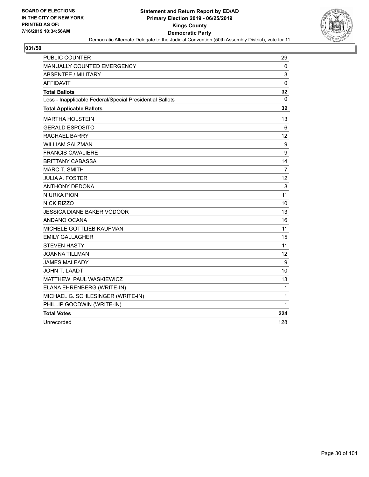

| <b>PUBLIC COUNTER</b>                                    | 29                |
|----------------------------------------------------------|-------------------|
| MANUALLY COUNTED EMERGENCY                               | $\mathbf 0$       |
| <b>ABSENTEE / MILITARY</b>                               | 3                 |
| <b>AFFIDAVIT</b>                                         | 0                 |
| <b>Total Ballots</b>                                     | 32                |
| Less - Inapplicable Federal/Special Presidential Ballots | 0                 |
| <b>Total Applicable Ballots</b>                          | 32                |
| <b>MARTHA HOLSTEIN</b>                                   | 13                |
| <b>GERALD ESPOSITO</b>                                   | 6                 |
| RACHAEL BARRY                                            | $12 \overline{ }$ |
| WILLIAM SALZMAN                                          | 9                 |
| <b>FRANCIS CAVALIERE</b>                                 | 9                 |
| <b>BRITTANY CABASSA</b>                                  | 14                |
| <b>MARC T. SMITH</b>                                     | $\overline{7}$    |
| <b>JULIA A. FOSTER</b>                                   | 12                |
| <b>ANTHONY DEDONA</b>                                    | 8                 |
| <b>NIURKA PION</b>                                       | 11                |
| NICK RIZZO                                               | 10                |
| <b>JESSICA DIANE BAKER VODOOR</b>                        | 13                |
| ANDANO OCANA                                             | 16                |
| MICHELE GOTTLIEB KAUFMAN                                 | 11                |
| <b>EMILY GALLAGHER</b>                                   | 15                |
| <b>STEVEN HASTY</b>                                      | 11                |
| JOANNA TILLMAN                                           | 12                |
| <b>JAMES MALEADY</b>                                     | 9                 |
| JOHN T. LAADT                                            | 10                |
| MATTHEW PAUL WASKIEWICZ                                  | 13                |
| ELANA EHRENBERG (WRITE-IN)                               | $\mathbf{1}$      |
| MICHAEL G. SCHLESINGER (WRITE-IN)                        | 1                 |
| PHILLIP GOODWIN (WRITE-IN)                               | 1                 |
| <b>Total Votes</b>                                       | 224               |
| Unrecorded                                               | 128               |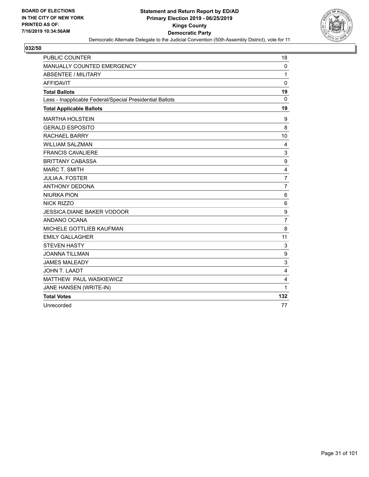

| <b>PUBLIC COUNTER</b>                                    | 18                        |
|----------------------------------------------------------|---------------------------|
| MANUALLY COUNTED EMERGENCY                               | 0                         |
| ABSENTEE / MILITARY                                      | 1                         |
| <b>AFFIDAVIT</b>                                         | $\Omega$                  |
| <b>Total Ballots</b>                                     | 19                        |
| Less - Inapplicable Federal/Special Presidential Ballots | $\Omega$                  |
| <b>Total Applicable Ballots</b>                          | 19                        |
| <b>MARTHA HOLSTEIN</b>                                   | 9                         |
| <b>GERALD ESPOSITO</b>                                   | 8                         |
| RACHAEL BARRY                                            | 10                        |
| <b>WILLIAM SALZMAN</b>                                   | 4                         |
| <b>FRANCIS CAVALIERE</b>                                 | $\ensuremath{\mathsf{3}}$ |
| <b>BRITTANY CABASSA</b>                                  | $\boldsymbol{9}$          |
| <b>MARC T. SMITH</b>                                     | $\overline{\mathbf{4}}$   |
| <b>JULIA A. FOSTER</b>                                   | $\overline{7}$            |
| <b>ANTHONY DEDONA</b>                                    | $\overline{7}$            |
| <b>NIURKA PION</b>                                       | 6                         |
| NICK RIZZO                                               | 6                         |
| <b>JESSICA DIANE BAKER VODOOR</b>                        | 9                         |
| ANDANO OCANA                                             | $\overline{7}$            |
| MICHELE GOTTLIEB KAUFMAN                                 | 8                         |
| <b>EMILY GALLAGHER</b>                                   | 11                        |
| <b>STEVEN HASTY</b>                                      | 3                         |
| <b>JOANNA TILLMAN</b>                                    | 9                         |
| <b>JAMES MALEADY</b>                                     | 3                         |
| JOHN T. LAADT                                            | 4                         |
| MATTHEW PAUL WASKIEWICZ                                  | 4                         |
| JANE HANSEN (WRITE-IN)                                   | 1                         |
| <b>Total Votes</b>                                       | 132                       |
| Unrecorded                                               | 77                        |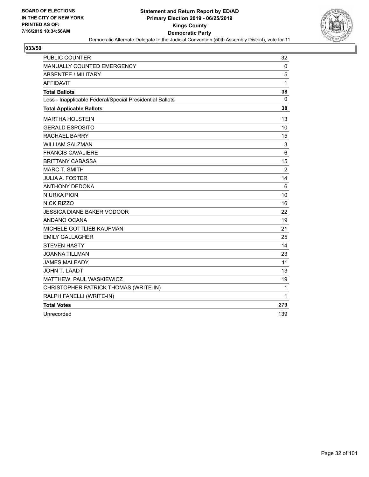

| PUBLIC COUNTER                                           | 32             |
|----------------------------------------------------------|----------------|
| <b>MANUALLY COUNTED EMERGENCY</b>                        | $\mathbf 0$    |
| <b>ABSENTEE / MILITARY</b>                               | 5              |
| <b>AFFIDAVIT</b>                                         | 1              |
| <b>Total Ballots</b>                                     | 38             |
| Less - Inapplicable Federal/Special Presidential Ballots | 0              |
| <b>Total Applicable Ballots</b>                          | 38             |
| <b>MARTHA HOLSTEIN</b>                                   | 13             |
| <b>GERALD ESPOSITO</b>                                   | 10             |
| RACHAEL BARRY                                            | 15             |
| <b>WILLIAM SALZMAN</b>                                   | 3              |
| <b>FRANCIS CAVALIERE</b>                                 | 6              |
| <b>BRITTANY CABASSA</b>                                  | 15             |
| <b>MARC T. SMITH</b>                                     | $\overline{2}$ |
| <b>JULIA A. FOSTER</b>                                   | 14             |
| <b>ANTHONY DEDONA</b>                                    | 6              |
| <b>NIURKA PION</b>                                       | 10             |
| <b>NICK RIZZO</b>                                        | 16             |
| <b>JESSICA DIANE BAKER VODOOR</b>                        | 22             |
| ANDANO OCANA                                             | 19             |
| MICHELE GOTTLIEB KAUFMAN                                 | 21             |
| <b>EMILY GALLAGHER</b>                                   | 25             |
| <b>STEVEN HASTY</b>                                      | 14             |
| <b>JOANNA TILLMAN</b>                                    | 23             |
| <b>JAMES MALEADY</b>                                     | 11             |
| JOHN T. LAADT                                            | 13             |
| MATTHEW PAUL WASKIEWICZ                                  | 19             |
| CHRISTOPHER PATRICK THOMAS (WRITE-IN)                    | 1              |
| RALPH FANELLI (WRITE-IN)                                 | 1              |
| <b>Total Votes</b>                                       | 279            |
| Unrecorded                                               | 139            |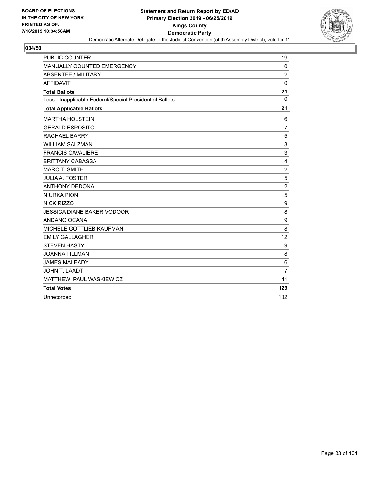

| PUBLIC COUNTER                                           | 19               |
|----------------------------------------------------------|------------------|
| MANUALLY COUNTED EMERGENCY                               | $\mathbf 0$      |
| ABSENTEE / MILITARY                                      | $\overline{c}$   |
| <b>AFFIDAVIT</b>                                         | 0                |
| <b>Total Ballots</b>                                     | 21               |
| Less - Inapplicable Federal/Special Presidential Ballots | $\Omega$         |
| <b>Total Applicable Ballots</b>                          | 21               |
| <b>MARTHA HOLSTEIN</b>                                   | 6                |
| <b>GERALD ESPOSITO</b>                                   | $\overline{7}$   |
| <b>RACHAEL BARRY</b>                                     | 5                |
| <b>WILLIAM SALZMAN</b>                                   | 3                |
| <b>FRANCIS CAVALIERE</b>                                 | 3                |
| <b>BRITTANY CABASSA</b>                                  | $\overline{4}$   |
| <b>MARC T. SMITH</b>                                     | $\boldsymbol{2}$ |
| <b>JULIA A. FOSTER</b>                                   | $\mathbf 5$      |
| <b>ANTHONY DEDONA</b>                                    | $\overline{c}$   |
| <b>NIURKA PION</b>                                       | 5                |
| NICK RIZZO                                               | $\boldsymbol{9}$ |
| <b>JESSICA DIANE BAKER VODOOR</b>                        | 8                |
| ANDANO OCANA                                             | $\boldsymbol{9}$ |
| MICHELE GOTTLIEB KAUFMAN                                 | 8                |
| <b>EMILY GALLAGHER</b>                                   | 12               |
| <b>STEVEN HASTY</b>                                      | 9                |
| <b>JOANNA TILLMAN</b>                                    | 8                |
| <b>JAMES MALEADY</b>                                     | 6                |
| JOHN T. LAADT                                            | $\overline{7}$   |
| MATTHEW PAUL WASKIEWICZ                                  | 11               |
| <b>Total Votes</b>                                       | 129              |
| Unrecorded                                               | 102              |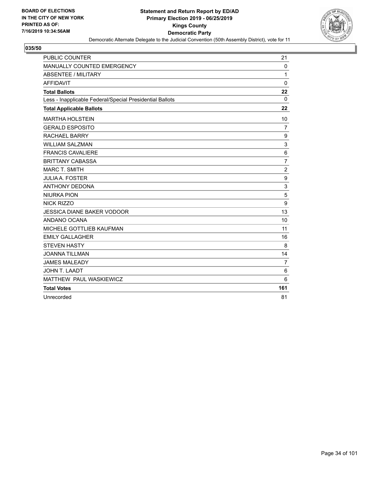

| PUBLIC COUNTER                                           | 21               |
|----------------------------------------------------------|------------------|
| MANUALLY COUNTED EMERGENCY                               | $\Omega$         |
| <b>ABSENTEE / MILITARY</b>                               | 1                |
| <b>AFFIDAVIT</b>                                         | 0                |
| <b>Total Ballots</b>                                     | 22               |
| Less - Inapplicable Federal/Special Presidential Ballots | $\Omega$         |
| <b>Total Applicable Ballots</b>                          | 22               |
| <b>MARTHA HOLSTEIN</b>                                   | 10               |
| <b>GERALD ESPOSITO</b>                                   | $\overline{7}$   |
| <b>RACHAEL BARRY</b>                                     | 9                |
| <b>WILLIAM SALZMAN</b>                                   | 3                |
| <b>FRANCIS CAVALIERE</b>                                 | $\,6$            |
| <b>BRITTANY CABASSA</b>                                  | $\overline{7}$   |
| <b>MARC T. SMITH</b>                                     | $\boldsymbol{2}$ |
| <b>JULIA A. FOSTER</b>                                   | $\boldsymbol{9}$ |
| <b>ANTHONY DEDONA</b>                                    | 3                |
| <b>NIURKA PION</b>                                       | 5                |
| NICK RIZZO                                               | 9                |
| <b>JESSICA DIANE BAKER VODOOR</b>                        | 13               |
| ANDANO OCANA                                             | 10               |
| MICHELE GOTTLIEB KAUFMAN                                 | 11               |
| <b>EMILY GALLAGHER</b>                                   | 16               |
| <b>STEVEN HASTY</b>                                      | 8                |
| <b>JOANNA TILLMAN</b>                                    | 14               |
| <b>JAMES MALEADY</b>                                     | $\overline{7}$   |
| <b>JOHN T. LAADT</b>                                     | 6                |
| MATTHEW PAUL WASKIEWICZ                                  | 6                |
| <b>Total Votes</b>                                       | 161              |
| Unrecorded                                               | 81               |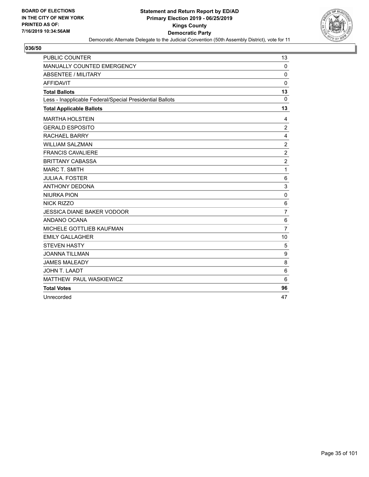

| PUBLIC COUNTER                                           | 13                      |
|----------------------------------------------------------|-------------------------|
| MANUALLY COUNTED EMERGENCY                               | 0                       |
| <b>ABSENTEE / MILITARY</b>                               | 0                       |
| <b>AFFIDAVIT</b>                                         | $\mathbf 0$             |
| <b>Total Ballots</b>                                     | 13                      |
| Less - Inapplicable Federal/Special Presidential Ballots | $\mathbf 0$             |
| <b>Total Applicable Ballots</b>                          | 13                      |
| <b>MARTHA HOLSTEIN</b>                                   | 4                       |
| <b>GERALD ESPOSITO</b>                                   | $\overline{c}$          |
| <b>RACHAEL BARRY</b>                                     | $\overline{\mathbf{4}}$ |
| <b>WILLIAM SALZMAN</b>                                   | $\overline{2}$          |
| <b>FRANCIS CAVALIERE</b>                                 | $\overline{c}$          |
| <b>BRITTANY CABASSA</b>                                  | $\overline{c}$          |
| <b>MARC T. SMITH</b>                                     | $\mathbf{1}$            |
| <b>JULIA A. FOSTER</b>                                   | 6                       |
| <b>ANTHONY DEDONA</b>                                    | 3                       |
| <b>NIURKA PION</b>                                       | $\Omega$                |
| <b>NICK RIZZO</b>                                        | 6                       |
| <b>JESSICA DIANE BAKER VODOOR</b>                        | 7                       |
| ANDANO OCANA                                             | $\,6$                   |
| MICHELE GOTTLIEB KAUFMAN                                 | $\overline{7}$          |
| <b>EMILY GALLAGHER</b>                                   | 10                      |
| <b>STEVEN HASTY</b>                                      | 5                       |
| <b>JOANNA TILLMAN</b>                                    | $\boldsymbol{9}$        |
| <b>JAMES MALEADY</b>                                     | 8                       |
| <b>JOHN T. LAADT</b>                                     | 6                       |
| MATTHEW PAUL WASKIEWICZ                                  | 6                       |
| <b>Total Votes</b>                                       | 96                      |
| Unrecorded                                               | 47                      |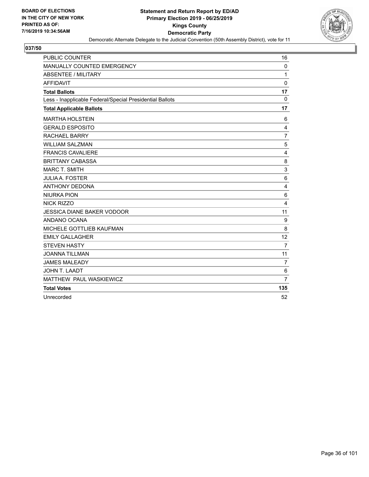

| PUBLIC COUNTER                                           | 16             |
|----------------------------------------------------------|----------------|
| MANUALLY COUNTED EMERGENCY                               | $\mathbf{0}$   |
| <b>ABSENTEE / MILITARY</b>                               | 1              |
| <b>AFFIDAVIT</b>                                         | 0              |
| <b>Total Ballots</b>                                     | 17             |
| Less - Inapplicable Federal/Special Presidential Ballots | $\Omega$       |
| <b>Total Applicable Ballots</b>                          | 17             |
| <b>MARTHA HOLSTEIN</b>                                   | 6              |
| <b>GERALD ESPOSITO</b>                                   | 4              |
| <b>RACHAEL BARRY</b>                                     | $\overline{7}$ |
| <b>WILLIAM SALZMAN</b>                                   | 5              |
| <b>FRANCIS CAVALIERE</b>                                 | $\overline{4}$ |
| <b>BRITTANY CABASSA</b>                                  | 8              |
| <b>MARC T. SMITH</b>                                     | 3              |
| <b>JULIA A. FOSTER</b>                                   | $6\phantom{1}$ |
| <b>ANTHONY DEDONA</b>                                    | 4              |
| <b>NIURKA PION</b>                                       | 6              |
| NICK RIZZO                                               | 4              |
| <b>JESSICA DIANE BAKER VODOOR</b>                        | 11             |
| ANDANO OCANA                                             | 9              |
| MICHELE GOTTLIEB KAUFMAN                                 | 8              |
| <b>EMILY GALLAGHER</b>                                   | 12             |
| <b>STEVEN HASTY</b>                                      | $\overline{7}$ |
| <b>JOANNA TILLMAN</b>                                    | 11             |
| <b>JAMES MALEADY</b>                                     | $\overline{7}$ |
| <b>JOHN T. LAADT</b>                                     | 6              |
| MATTHEW PAUL WASKIEWICZ                                  | $\overline{7}$ |
| <b>Total Votes</b>                                       | 135            |
| Unrecorded                                               | 52             |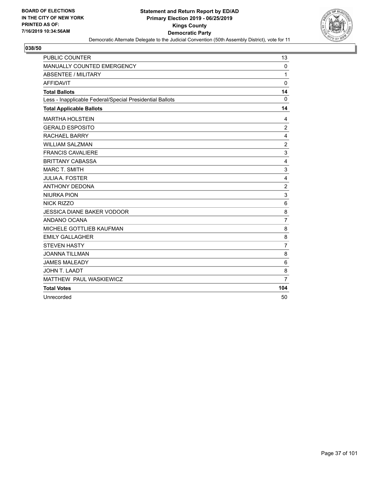

| PUBLIC COUNTER                                           | 13                      |
|----------------------------------------------------------|-------------------------|
| MANUALLY COUNTED EMERGENCY                               | $\mathbf{0}$            |
| <b>ABSENTEE / MILITARY</b>                               | 1                       |
| <b>AFFIDAVIT</b>                                         | 0                       |
| <b>Total Ballots</b>                                     | 14                      |
| Less - Inapplicable Federal/Special Presidential Ballots | $\Omega$                |
| <b>Total Applicable Ballots</b>                          | 14                      |
| <b>MARTHA HOLSTEIN</b>                                   | 4                       |
| <b>GERALD ESPOSITO</b>                                   | $\overline{c}$          |
| <b>RACHAEL BARRY</b>                                     | 4                       |
| <b>WILLIAM SALZMAN</b>                                   | $\sqrt{2}$              |
| <b>FRANCIS CAVALIERE</b>                                 | $\mathsf 3$             |
| <b>BRITTANY CABASSA</b>                                  | 4                       |
| <b>MARC T. SMITH</b>                                     | 3                       |
| <b>JULIA A. FOSTER</b>                                   | $\overline{\mathbf{4}}$ |
| <b>ANTHONY DEDONA</b>                                    | $\overline{c}$          |
| <b>NIURKA PION</b>                                       | 3                       |
| NICK RIZZO                                               | 6                       |
| <b>JESSICA DIANE BAKER VODOOR</b>                        | 8                       |
| ANDANO OCANA                                             | $\overline{7}$          |
| MICHELE GOTTLIEB KAUFMAN                                 | 8                       |
| <b>EMILY GALLAGHER</b>                                   | 8                       |
| <b>STEVEN HASTY</b>                                      | $\overline{7}$          |
| <b>JOANNA TILLMAN</b>                                    | 8                       |
| <b>JAMES MALEADY</b>                                     | 6                       |
| JOHN T. LAADT                                            | 8                       |
| MATTHEW PAUL WASKIEWICZ                                  | $\overline{7}$          |
| <b>Total Votes</b>                                       | 104                     |
| Unrecorded                                               | 50                      |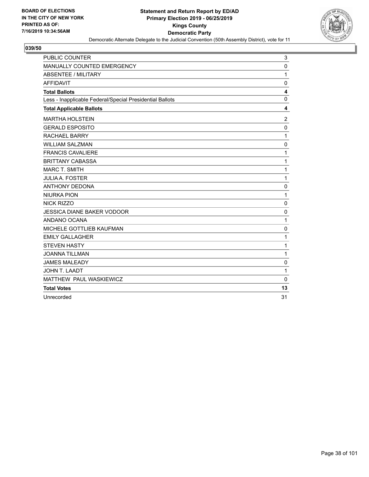

| <b>PUBLIC COUNTER</b>                                    | 3              |
|----------------------------------------------------------|----------------|
| MANUALLY COUNTED EMERGENCY                               | 0              |
| <b>ABSENTEE / MILITARY</b>                               | 1              |
| <b>AFFIDAVIT</b>                                         | 0              |
| <b>Total Ballots</b>                                     | 4              |
| Less - Inapplicable Federal/Special Presidential Ballots | 0              |
| <b>Total Applicable Ballots</b>                          | 4              |
| <b>MARTHA HOLSTEIN</b>                                   | $\overline{2}$ |
| <b>GERALD ESPOSITO</b>                                   | $\mathbf 0$    |
| <b>RACHAEL BARRY</b>                                     | $\mathbf{1}$   |
| <b>WILLIAM SALZMAN</b>                                   | $\mathbf 0$    |
| <b>FRANCIS CAVALIERE</b>                                 | $\mathbf{1}$   |
| <b>BRITTANY CABASSA</b>                                  | $\mathbf{1}$   |
| <b>MARC T. SMITH</b>                                     | 1              |
| <b>JULIA A. FOSTER</b>                                   | $\mathbf{1}$   |
| <b>ANTHONY DEDONA</b>                                    | 0              |
| <b>NIURKA PION</b>                                       | 1              |
| NICK RIZZO                                               | $\mathbf 0$    |
| <b>JESSICA DIANE BAKER VODOOR</b>                        | 0              |
| ANDANO OCANA                                             | 1              |
| MICHELE GOTTLIEB KAUFMAN                                 | 0              |
| <b>EMILY GALLAGHER</b>                                   | 1              |
| <b>STEVEN HASTY</b>                                      | $\mathbf 1$    |
| <b>JOANNA TILLMAN</b>                                    | $\mathbf{1}$   |
| <b>JAMES MALEADY</b>                                     | 0              |
| JOHN T. LAADT                                            | $\mathbf{1}$   |
| MATTHEW PAUL WASKIEWICZ                                  | $\mathbf{0}$   |
| <b>Total Votes</b>                                       | 13             |
| Unrecorded                                               | 31             |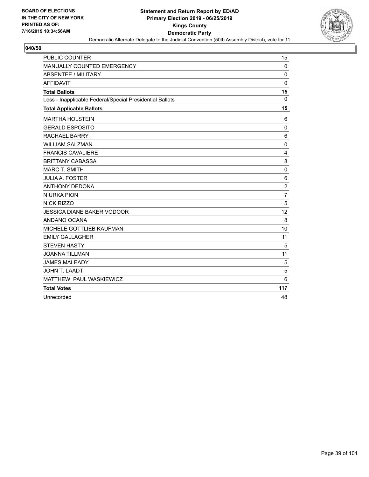

| PUBLIC COUNTER                                           | 15             |
|----------------------------------------------------------|----------------|
| MANUALLY COUNTED EMERGENCY                               | $\mathbf 0$    |
| <b>ABSENTEE / MILITARY</b>                               | $\Omega$       |
| <b>AFFIDAVIT</b>                                         | $\Omega$       |
| <b>Total Ballots</b>                                     | 15             |
| Less - Inapplicable Federal/Special Presidential Ballots | $\mathbf 0$    |
| <b>Total Applicable Ballots</b>                          | 15             |
| <b>MARTHA HOLSTEIN</b>                                   | 6              |
| <b>GERALD ESPOSITO</b>                                   | 0              |
| <b>RACHAEL BARRY</b>                                     | 6              |
| <b>WILLIAM SALZMAN</b>                                   | $\mathbf 0$    |
| <b>FRANCIS CAVALIERE</b>                                 | 4              |
| <b>BRITTANY CABASSA</b>                                  | 8              |
| <b>MARC T. SMITH</b>                                     | 0              |
| <b>JULIA A. FOSTER</b>                                   | $\,6$          |
| <b>ANTHONY DEDONA</b>                                    | $\overline{2}$ |
| <b>NIURKA PION</b>                                       | 7              |
| <b>NICK RIZZO</b>                                        | 5              |
| <b>JESSICA DIANE BAKER VODOOR</b>                        | 12             |
| ANDANO OCANA                                             | 8              |
| MICHELE GOTTLIEB KAUFMAN                                 | 10             |
| <b>EMILY GALLAGHER</b>                                   | 11             |
| <b>STEVEN HASTY</b>                                      | 5              |
| <b>JOANNA TILLMAN</b>                                    | 11             |
| <b>JAMES MALEADY</b>                                     | 5              |
| <b>JOHN T. LAADT</b>                                     | 5              |
| MATTHEW PAUL WASKIEWICZ                                  | 6              |
| <b>Total Votes</b>                                       | 117            |
| Unrecorded                                               | 48             |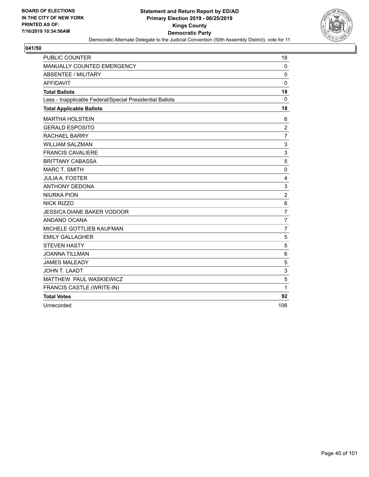

| PUBLIC COUNTER                                           | 18                        |
|----------------------------------------------------------|---------------------------|
| <b>MANUALLY COUNTED EMERGENCY</b>                        | 0                         |
| ABSENTEE / MILITARY                                      | $\Omega$                  |
| <b>AFFIDAVIT</b>                                         | $\Omega$                  |
| <b>Total Ballots</b>                                     | 18                        |
| Less - Inapplicable Federal/Special Presidential Ballots | $\Omega$                  |
| <b>Total Applicable Ballots</b>                          | 18                        |
| <b>MARTHA HOLSTEIN</b>                                   | 6                         |
| <b>GERALD ESPOSITO</b>                                   | $\overline{2}$            |
| <b>RACHAEL BARRY</b>                                     | $\overline{7}$            |
| <b>WILLIAM SALZMAN</b>                                   | 3                         |
| <b>FRANCIS CAVALIERE</b>                                 | 3                         |
| <b>BRITTANY CABASSA</b>                                  | 5                         |
| <b>MARC T. SMITH</b>                                     | $\pmb{0}$                 |
| <b>JULIA A. FOSTER</b>                                   | $\overline{\mathbf{4}}$   |
| <b>ANTHONY DEDONA</b>                                    | $\ensuremath{\mathsf{3}}$ |
| <b>NIURKA PION</b>                                       | $\sqrt{2}$                |
| NICK RIZZO                                               | 6                         |
| <b>JESSICA DIANE BAKER VODOOR</b>                        | $\overline{7}$            |
| ANDANO OCANA                                             | $\overline{7}$            |
| MICHELE GOTTLIEB KAUFMAN                                 | $\overline{7}$            |
| <b>EMILY GALLAGHER</b>                                   | 5                         |
| <b>STEVEN HASTY</b>                                      | 5                         |
| <b>JOANNA TILLMAN</b>                                    | 6                         |
| <b>JAMES MALEADY</b>                                     | $\sqrt{5}$                |
| JOHN T. LAADT                                            | 3                         |
| MATTHEW PAUL WASKIEWICZ                                  | 5                         |
| FRANCIS CASTLE (WRITE-IN)                                | 1                         |
| <b>Total Votes</b>                                       | 92                        |
| Unrecorded                                               | 106                       |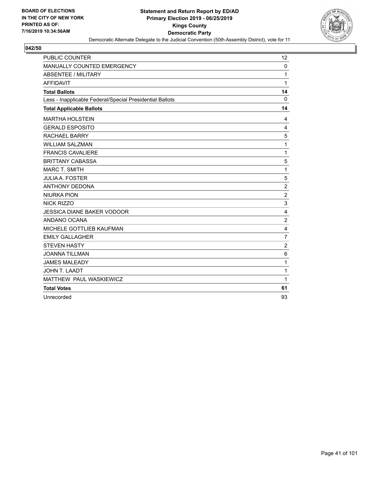

| PUBLIC COUNTER                                           | 12             |
|----------------------------------------------------------|----------------|
| MANUALLY COUNTED EMERGENCY                               | $\Omega$       |
| <b>ABSENTEE / MILITARY</b>                               | 1              |
| <b>AFFIDAVIT</b>                                         | 1              |
| <b>Total Ballots</b>                                     | 14             |
| Less - Inapplicable Federal/Special Presidential Ballots | $\mathbf{0}$   |
| <b>Total Applicable Ballots</b>                          | 14             |
| <b>MARTHA HOLSTEIN</b>                                   | 4              |
| <b>GERALD ESPOSITO</b>                                   | 4              |
| <b>RACHAEL BARRY</b>                                     | 5              |
| <b>WILLIAM SALZMAN</b>                                   | 1              |
| <b>FRANCIS CAVALIERE</b>                                 | 1              |
| <b>BRITTANY CABASSA</b>                                  | 5              |
| <b>MARC T. SMITH</b>                                     | 1              |
| <b>JULIA A. FOSTER</b>                                   | 5              |
| <b>ANTHONY DEDONA</b>                                    | $\overline{c}$ |
| <b>NIURKA PION</b>                                       | $\overline{2}$ |
| NICK RIZZO                                               | 3              |
| <b>JESSICA DIANE BAKER VODOOR</b>                        | 4              |
| ANDANO OCANA                                             | $\overline{c}$ |
| MICHELE GOTTLIEB KAUFMAN                                 | 4              |
| <b>EMILY GALLAGHER</b>                                   | $\overline{7}$ |
| <b>STEVEN HASTY</b>                                      | $\overline{c}$ |
| <b>JOANNA TILLMAN</b>                                    | $6\phantom{1}$ |
| <b>JAMES MALEADY</b>                                     | 1              |
| <b>JOHN T. LAADT</b>                                     | 1              |
| MATTHEW PAUL WASKIEWICZ                                  | 1              |
| <b>Total Votes</b>                                       | 61             |
| Unrecorded                                               | 93             |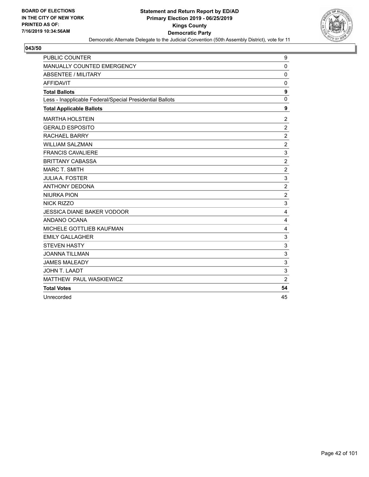

| PUBLIC COUNTER                                           | 9                |
|----------------------------------------------------------|------------------|
| MANUALLY COUNTED EMERGENCY                               | $\mathbf 0$      |
| <b>ABSENTEE / MILITARY</b>                               | $\mathbf 0$      |
| <b>AFFIDAVIT</b>                                         | 0                |
| <b>Total Ballots</b>                                     | $\boldsymbol{9}$ |
| Less - Inapplicable Federal/Special Presidential Ballots | $\mathbf{0}$     |
| <b>Total Applicable Ballots</b>                          | $\boldsymbol{9}$ |
| <b>MARTHA HOLSTEIN</b>                                   | $\overline{2}$   |
| <b>GERALD ESPOSITO</b>                                   | $\overline{2}$   |
| <b>RACHAEL BARRY</b>                                     | $\boldsymbol{2}$ |
| <b>WILLIAM SALZMAN</b>                                   | $\overline{2}$   |
| <b>FRANCIS CAVALIERE</b>                                 | 3                |
| <b>BRITTANY CABASSA</b>                                  | $\boldsymbol{2}$ |
| <b>MARC T. SMITH</b>                                     | $\overline{2}$   |
| <b>JULIA A. FOSTER</b>                                   | 3                |
| <b>ANTHONY DEDONA</b>                                    | $\overline{c}$   |
| <b>NIURKA PION</b>                                       | $\overline{2}$   |
| NICK RIZZO                                               | 3                |
| <b>JESSICA DIANE BAKER VODOOR</b>                        | 4                |
| ANDANO OCANA                                             | 4                |
| MICHELE GOTTLIEB KAUFMAN                                 | 4                |
| <b>EMILY GALLAGHER</b>                                   | 3                |
| <b>STEVEN HASTY</b>                                      | 3                |
| <b>JOANNA TILLMAN</b>                                    | 3                |
| <b>JAMES MALEADY</b>                                     | 3                |
| JOHN T. LAADT                                            | 3                |
| MATTHEW PAUL WASKIEWICZ                                  | $\overline{2}$   |
| <b>Total Votes</b>                                       | 54               |
| Unrecorded                                               | 45               |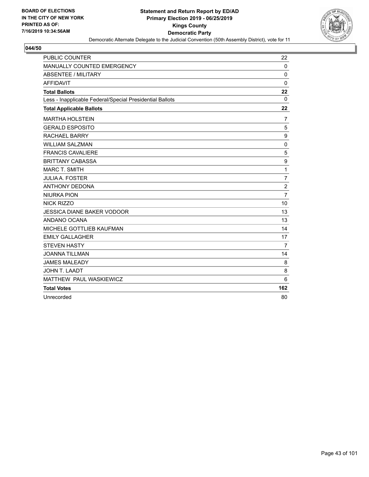

| <b>PUBLIC COUNTER</b>                                    | 22               |
|----------------------------------------------------------|------------------|
| MANUALLY COUNTED EMERGENCY                               | $\mathbf 0$      |
| <b>ABSENTEE / MILITARY</b>                               | $\Omega$         |
| <b>AFFIDAVIT</b>                                         | $\Omega$         |
| <b>Total Ballots</b>                                     | 22               |
| Less - Inapplicable Federal/Special Presidential Ballots | $\mathbf 0$      |
| <b>Total Applicable Ballots</b>                          | 22               |
| <b>MARTHA HOLSTEIN</b>                                   | $\overline{7}$   |
| <b>GERALD ESPOSITO</b>                                   | 5                |
| <b>RACHAEL BARRY</b>                                     | 9                |
| <b>WILLIAM SALZMAN</b>                                   | $\mathbf 0$      |
| <b>FRANCIS CAVALIERE</b>                                 | 5                |
| <b>BRITTANY CABASSA</b>                                  | $\boldsymbol{9}$ |
| <b>MARC T. SMITH</b>                                     | 1                |
| <b>JULIA A. FOSTER</b>                                   | $\overline{7}$   |
| <b>ANTHONY DEDONA</b>                                    | $\overline{c}$   |
| <b>NIURKA PION</b>                                       | $\overline{7}$   |
| <b>NICK RIZZO</b>                                        | 10               |
| <b>JESSICA DIANE BAKER VODOOR</b>                        | 13               |
| ANDANO OCANA                                             | 13               |
| MICHELE GOTTLIEB KAUFMAN                                 | 14               |
| <b>EMILY GALLAGHER</b>                                   | 17               |
| <b>STEVEN HASTY</b>                                      | 7                |
| <b>JOANNA TILLMAN</b>                                    | 14               |
| <b>JAMES MALEADY</b>                                     | 8                |
| <b>JOHN T. LAADT</b>                                     | 8                |
| MATTHEW PAUL WASKIEWICZ                                  | 6                |
| <b>Total Votes</b>                                       | 162              |
| Unrecorded                                               | 80               |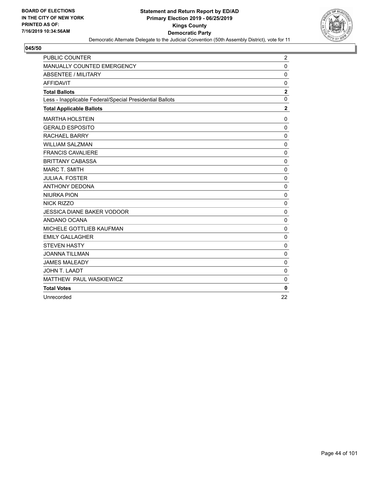

| PUBLIC COUNTER                                           | $\overline{c}$   |
|----------------------------------------------------------|------------------|
| MANUALLY COUNTED EMERGENCY                               | 0                |
| <b>ABSENTEE / MILITARY</b>                               | $\mathbf 0$      |
| <b>AFFIDAVIT</b>                                         | 0                |
| <b>Total Ballots</b>                                     | $\boldsymbol{2}$ |
| Less - Inapplicable Federal/Special Presidential Ballots | $\mathbf 0$      |
| <b>Total Applicable Ballots</b>                          | $\mathbf 2$      |
| <b>MARTHA HOLSTEIN</b>                                   | $\mathbf 0$      |
| <b>GERALD ESPOSITO</b>                                   | $\mathbf 0$      |
| <b>RACHAEL BARRY</b>                                     | 0                |
| <b>WILLIAM SALZMAN</b>                                   | $\pmb{0}$        |
| <b>FRANCIS CAVALIERE</b>                                 | $\mathbf 0$      |
| <b>BRITTANY CABASSA</b>                                  | $\mathbf 0$      |
| <b>MARC T. SMITH</b>                                     | $\pmb{0}$        |
| <b>JULIA A. FOSTER</b>                                   | $\mathbf 0$      |
| <b>ANTHONY DEDONA</b>                                    | 0                |
| <b>NIURKA PION</b>                                       | $\mathbf 0$      |
| <b>NICK RIZZO</b>                                        | $\mathbf 0$      |
| <b>JESSICA DIANE BAKER VODOOR</b>                        | $\pmb{0}$        |
| ANDANO OCANA                                             | 0                |
| MICHELE GOTTLIEB KAUFMAN                                 | $\mathbf 0$      |
| <b>EMILY GALLAGHER</b>                                   | $\mathbf 0$      |
| <b>STEVEN HASTY</b>                                      | $\mathbf 0$      |
| <b>JOANNA TILLMAN</b>                                    | $\mathbf 0$      |
| <b>JAMES MALEADY</b>                                     | $\mathbf 0$      |
| <b>JOHN T. LAADT</b>                                     | $\mathbf 0$      |
| MATTHEW PAUL WASKIEWICZ                                  | $\mathbf 0$      |
| <b>Total Votes</b>                                       | $\bf{0}$         |
| Unrecorded                                               | 22               |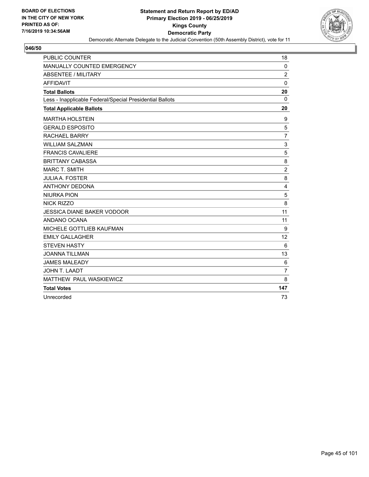

| PUBLIC COUNTER                                           | 18               |
|----------------------------------------------------------|------------------|
| MANUALLY COUNTED EMERGENCY                               | $\mathbf 0$      |
| <b>ABSENTEE / MILITARY</b>                               | $\overline{c}$   |
| <b>AFFIDAVIT</b>                                         | $\Omega$         |
| <b>Total Ballots</b>                                     | 20               |
| Less - Inapplicable Federal/Special Presidential Ballots | $\Omega$         |
| <b>Total Applicable Ballots</b>                          | 20               |
| <b>MARTHA HOLSTEIN</b>                                   | 9                |
| <b>GERALD ESPOSITO</b>                                   | 5                |
| <b>RACHAEL BARRY</b>                                     | $\overline{7}$   |
| <b>WILLIAM SALZMAN</b>                                   | 3                |
| <b>FRANCIS CAVALIERE</b>                                 | 5                |
| <b>BRITTANY CABASSA</b>                                  | 8                |
| <b>MARC T. SMITH</b>                                     | $\boldsymbol{2}$ |
| <b>JULIA A. FOSTER</b>                                   | 8                |
| <b>ANTHONY DEDONA</b>                                    | $\overline{4}$   |
| <b>NIURKA PION</b>                                       | 5                |
| <b>NICK RIZZO</b>                                        | 8                |
| <b>JESSICA DIANE BAKER VODOOR</b>                        | 11               |
| ANDANO OCANA                                             | 11               |
| MICHELE GOTTLIEB KAUFMAN                                 | 9                |
| <b>EMILY GALLAGHER</b>                                   | 12               |
| <b>STEVEN HASTY</b>                                      | 6                |
| <b>JOANNA TILLMAN</b>                                    | 13               |
| <b>JAMES MALEADY</b>                                     | 6                |
| <b>JOHN T. LAADT</b>                                     | $\overline{7}$   |
| MATTHEW PAUL WASKIEWICZ                                  | 8                |
| <b>Total Votes</b>                                       | 147              |
| Unrecorded                                               | 73               |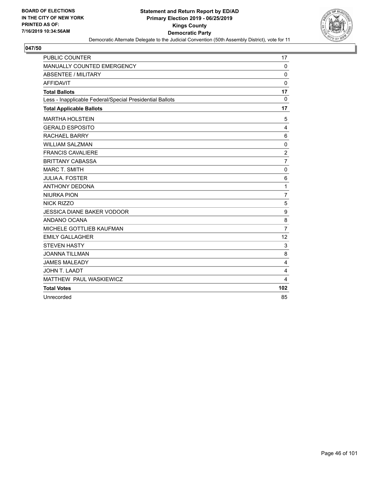

| PUBLIC COUNTER                                           | 17               |
|----------------------------------------------------------|------------------|
| MANUALLY COUNTED EMERGENCY                               | $\mathbf 0$      |
| <b>ABSENTEE / MILITARY</b>                               | $\Omega$         |
| <b>AFFIDAVIT</b>                                         | $\mathbf 0$      |
| <b>Total Ballots</b>                                     | 17               |
| Less - Inapplicable Federal/Special Presidential Ballots | $\mathbf 0$      |
| <b>Total Applicable Ballots</b>                          | 17               |
| <b>MARTHA HOLSTEIN</b>                                   | 5                |
| <b>GERALD ESPOSITO</b>                                   | 4                |
| <b>RACHAEL BARRY</b>                                     | 6                |
| <b>WILLIAM SALZMAN</b>                                   | $\mathbf 0$      |
| <b>FRANCIS CAVALIERE</b>                                 | $\overline{c}$   |
| <b>BRITTANY CABASSA</b>                                  | $\overline{7}$   |
| <b>MARC T. SMITH</b>                                     | 0                |
| <b>JULIA A. FOSTER</b>                                   | 6                |
| <b>ANTHONY DEDONA</b>                                    | 1                |
| <b>NIURKA PION</b>                                       | 7                |
| <b>NICK RIZZO</b>                                        | 5                |
| <b>JESSICA DIANE BAKER VODOOR</b>                        | $\boldsymbol{9}$ |
| ANDANO OCANA                                             | 8                |
| MICHELE GOTTLIEB KAUFMAN                                 | $\overline{7}$   |
| <b>EMILY GALLAGHER</b>                                   | 12               |
| <b>STEVEN HASTY</b>                                      | 3                |
| <b>JOANNA TILLMAN</b>                                    | 8                |
| <b>JAMES MALEADY</b>                                     | 4                |
| <b>JOHN T. LAADT</b>                                     | 4                |
| MATTHEW PAUL WASKIEWICZ                                  | 4                |
| <b>Total Votes</b>                                       | 102              |
| Unrecorded                                               | 85               |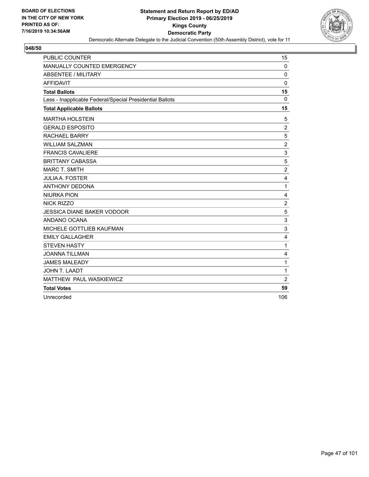

| PUBLIC COUNTER                                           | 15               |
|----------------------------------------------------------|------------------|
| MANUALLY COUNTED EMERGENCY                               | $\mathbf 0$      |
| <b>ABSENTEE / MILITARY</b>                               | $\Omega$         |
| <b>AFFIDAVIT</b>                                         | $\Omega$         |
| <b>Total Ballots</b>                                     | 15               |
| Less - Inapplicable Federal/Special Presidential Ballots | $\mathbf 0$      |
| <b>Total Applicable Ballots</b>                          | 15               |
| <b>MARTHA HOLSTEIN</b>                                   | 5                |
| <b>GERALD ESPOSITO</b>                                   | $\overline{2}$   |
| <b>RACHAEL BARRY</b>                                     | 5                |
| <b>WILLIAM SALZMAN</b>                                   | $\boldsymbol{2}$ |
| <b>FRANCIS CAVALIERE</b>                                 | 3                |
| <b>BRITTANY CABASSA</b>                                  | 5                |
| <b>MARC T. SMITH</b>                                     | $\overline{2}$   |
| <b>JULIA A. FOSTER</b>                                   | 4                |
| <b>ANTHONY DEDONA</b>                                    | 1                |
| <b>NIURKA PION</b>                                       | 4                |
| <b>NICK RIZZO</b>                                        | $\overline{c}$   |
| <b>JESSICA DIANE BAKER VODOOR</b>                        | 5                |
| ANDANO OCANA                                             | 3                |
| MICHELE GOTTLIEB KAUFMAN                                 | 3                |
| <b>EMILY GALLAGHER</b>                                   | 4                |
| <b>STEVEN HASTY</b>                                      | 1                |
| <b>JOANNA TILLMAN</b>                                    | 4                |
| <b>JAMES MALEADY</b>                                     | 1                |
| <b>JOHN T. LAADT</b>                                     | 1                |
| MATTHEW PAUL WASKIEWICZ                                  | $\overline{c}$   |
| <b>Total Votes</b>                                       | 59               |
| Unrecorded                                               | 106              |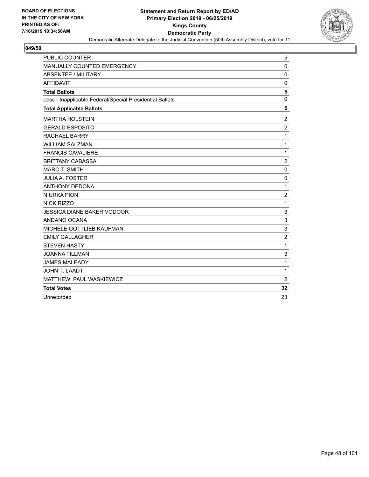

| <b>PUBLIC COUNTER</b>                                    | 5              |
|----------------------------------------------------------|----------------|
| MANUALLY COUNTED EMERGENCY                               | 0              |
| <b>ABSENTEE / MILITARY</b>                               | $\mathbf 0$    |
| <b>AFFIDAVIT</b>                                         | 0              |
| <b>Total Ballots</b>                                     | 5              |
| Less - Inapplicable Federal/Special Presidential Ballots | 0              |
| <b>Total Applicable Ballots</b>                          | 5              |
| <b>MARTHA HOLSTEIN</b>                                   | $\overline{c}$ |
| <b>GERALD ESPOSITO</b>                                   | $\overline{c}$ |
| <b>RACHAEL BARRY</b>                                     | $\mathbf{1}$   |
| <b>WILLIAM SALZMAN</b>                                   | 1              |
| <b>FRANCIS CAVALIERE</b>                                 | $\mathbf{1}$   |
| <b>BRITTANY CABASSA</b>                                  | $\overline{c}$ |
| <b>MARC T. SMITH</b>                                     | 0              |
| <b>JULIA A. FOSTER</b>                                   | $\mathbf 0$    |
| <b>ANTHONY DEDONA</b>                                    | 1              |
| <b>NIURKA PION</b>                                       | $\overline{c}$ |
| <b>NICK RIZZO</b>                                        | $\mathbf{1}$   |
| <b>JESSICA DIANE BAKER VODOOR</b>                        | 3              |
| ANDANO OCANA                                             | 3              |
| <b>MICHELE GOTTLIEB KAUFMAN</b>                          | 3              |
| <b>EMILY GALLAGHER</b>                                   | $\overline{c}$ |
| <b>STEVEN HASTY</b>                                      | $\mathbf{1}$   |
| <b>JOANNA TILLMAN</b>                                    | 3              |
| <b>JAMES MALEADY</b>                                     | $\mathbf 1$    |
| JOHN T. LAADT                                            | 1              |
| MATTHEW PAUL WASKIEWICZ                                  | $\overline{2}$ |
| <b>Total Votes</b>                                       | 32             |
| Unrecorded                                               | 23             |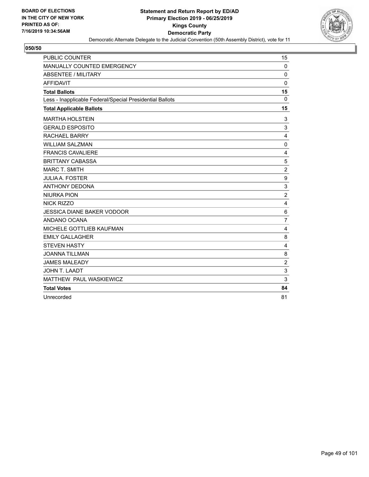

| PUBLIC COUNTER                                           | 15                      |
|----------------------------------------------------------|-------------------------|
| MANUALLY COUNTED EMERGENCY                               | $\mathbf 0$             |
| <b>ABSENTEE / MILITARY</b>                               | $\mathbf 0$             |
| <b>AFFIDAVIT</b>                                         | $\mathbf 0$             |
| <b>Total Ballots</b>                                     | 15                      |
| Less - Inapplicable Federal/Special Presidential Ballots | $\mathbf 0$             |
| <b>Total Applicable Ballots</b>                          | 15                      |
| <b>MARTHA HOLSTEIN</b>                                   | 3                       |
| <b>GERALD ESPOSITO</b>                                   | 3                       |
| <b>RACHAEL BARRY</b>                                     | 4                       |
| <b>WILLIAM SALZMAN</b>                                   | $\mathbf 0$             |
| <b>FRANCIS CAVALIERE</b>                                 | 4                       |
| <b>BRITTANY CABASSA</b>                                  | 5                       |
| <b>MARC T. SMITH</b>                                     | $\boldsymbol{2}$        |
| <b>JULIA A. FOSTER</b>                                   | $\boldsymbol{9}$        |
| <b>ANTHONY DEDONA</b>                                    | 3                       |
| <b>NIURKA PION</b>                                       | $\overline{c}$          |
| <b>NICK RIZZO</b>                                        | $\overline{\mathbf{4}}$ |
| <b>JESSICA DIANE BAKER VODOOR</b>                        | $\,6$                   |
| ANDANO OCANA                                             | $\overline{7}$          |
| MICHELE GOTTLIEB KAUFMAN                                 | 4                       |
| <b>EMILY GALLAGHER</b>                                   | 8                       |
| <b>STEVEN HASTY</b>                                      | 4                       |
| <b>JOANNA TILLMAN</b>                                    | 8                       |
| <b>JAMES MALEADY</b>                                     | $\overline{\mathbf{c}}$ |
| JOHN T. LAADT                                            | 3                       |
| MATTHEW PAUL WASKIEWICZ                                  | 3                       |
| <b>Total Votes</b>                                       | 84                      |
| Unrecorded                                               | 81                      |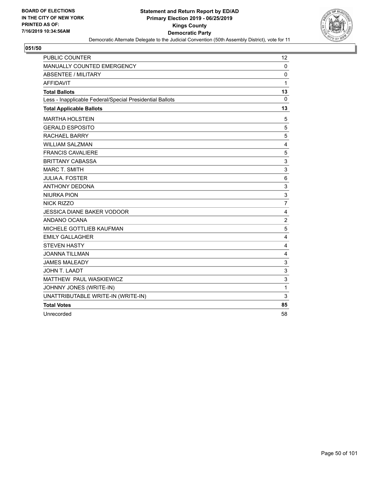

| <b>PUBLIC COUNTER</b>                                    | 12             |
|----------------------------------------------------------|----------------|
| <b>MANUALLY COUNTED EMERGENCY</b>                        | $\mathbf 0$    |
| <b>ABSENTEE / MILITARY</b>                               | $\mathbf 0$    |
| <b>AFFIDAVIT</b>                                         | 1              |
| <b>Total Ballots</b>                                     | 13             |
| Less - Inapplicable Federal/Special Presidential Ballots | $\mathbf{0}$   |
| <b>Total Applicable Ballots</b>                          | 13             |
| <b>MARTHA HOLSTEIN</b>                                   | 5              |
| <b>GERALD ESPOSITO</b>                                   | 5              |
| <b>RACHAEL BARRY</b>                                     | 5              |
| <b>WILLIAM SALZMAN</b>                                   | 4              |
| <b>FRANCIS CAVALIERE</b>                                 | 5              |
| <b>BRITTANY CABASSA</b>                                  | 3              |
| <b>MARC T. SMITH</b>                                     | 3              |
| <b>JULIA A. FOSTER</b>                                   | 6              |
| <b>ANTHONY DEDONA</b>                                    | 3              |
| <b>NIURKA PION</b>                                       | 3              |
| <b>NICK RIZZO</b>                                        | $\overline{7}$ |
| <b>JESSICA DIANE BAKER VODOOR</b>                        | 4              |
| ANDANO OCANA                                             | $\overline{c}$ |
| MICHELE GOTTLIEB KAUFMAN                                 | 5              |
| <b>EMILY GALLAGHER</b>                                   | 4              |
| <b>STEVEN HASTY</b>                                      | 4              |
| <b>JOANNA TILLMAN</b>                                    | 4              |
| <b>JAMES MALEADY</b>                                     | 3              |
| JOHN T. LAADT                                            | 3              |
| MATTHEW PAUL WASKIEWICZ                                  | 3              |
| JOHNNY JONES (WRITE-IN)                                  | 1              |
| UNATTRIBUTABLE WRITE-IN (WRITE-IN)                       | 3              |
| <b>Total Votes</b>                                       | 85             |
| Unrecorded                                               | 58             |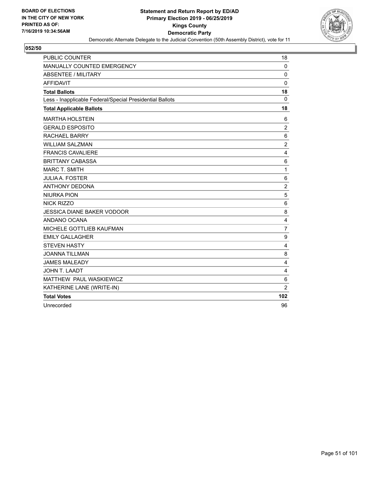

| PUBLIC COUNTER                                           | 18             |
|----------------------------------------------------------|----------------|
| <b>MANUALLY COUNTED EMERGENCY</b>                        | 0              |
| <b>ABSENTEE / MILITARY</b>                               | $\mathbf 0$    |
| <b>AFFIDAVIT</b>                                         | $\Omega$       |
| <b>Total Ballots</b>                                     | 18             |
| Less - Inapplicable Federal/Special Presidential Ballots | $\Omega$       |
| <b>Total Applicable Ballots</b>                          | 18             |
| <b>MARTHA HOLSTEIN</b>                                   | 6              |
| <b>GERALD ESPOSITO</b>                                   | $\overline{2}$ |
| <b>RACHAEL BARRY</b>                                     | 6              |
| <b>WILLIAM SALZMAN</b>                                   | $\overline{2}$ |
| <b>FRANCIS CAVALIERE</b>                                 | 4              |
| <b>BRITTANY CABASSA</b>                                  | $\,6$          |
| <b>MARC T. SMITH</b>                                     | $\mathbf{1}$   |
| <b>JULIA A. FOSTER</b>                                   | 6              |
| <b>ANTHONY DEDONA</b>                                    | $\overline{c}$ |
| <b>NIURKA PION</b>                                       | 5              |
| <b>NICK RIZZO</b>                                        | 6              |
| <b>JESSICA DIANE BAKER VODOOR</b>                        | 8              |
| ANDANO OCANA                                             | 4              |
| MICHELE GOTTLIEB KAUFMAN                                 | $\overline{7}$ |
| <b>EMILY GALLAGHER</b>                                   | 9              |
| <b>STEVEN HASTY</b>                                      | $\overline{4}$ |
| <b>JOANNA TILLMAN</b>                                    | 8              |
| <b>JAMES MALEADY</b>                                     | 4              |
| JOHN T. LAADT                                            | 4              |
| MATTHEW PAUL WASKIEWICZ                                  | 6              |
| KATHERINE LANE (WRITE-IN)                                | $\overline{c}$ |
| <b>Total Votes</b>                                       | 102            |
| Unrecorded                                               | 96             |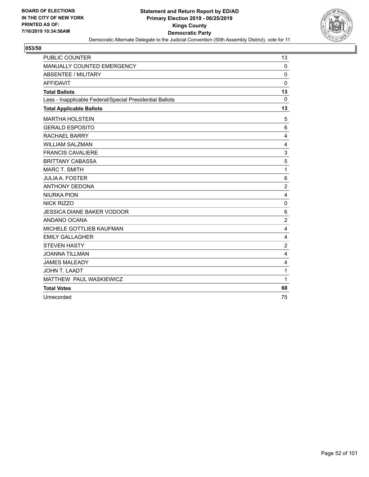

| PUBLIC COUNTER                                           | 13               |
|----------------------------------------------------------|------------------|
| MANUALLY COUNTED EMERGENCY                               | $\mathbf{0}$     |
| <b>ABSENTEE / MILITARY</b>                               | 0                |
| <b>AFFIDAVIT</b>                                         | 0                |
| <b>Total Ballots</b>                                     | 13               |
| Less - Inapplicable Federal/Special Presidential Ballots | $\mathbf 0$      |
| <b>Total Applicable Ballots</b>                          | 13               |
| <b>MARTHA HOLSTEIN</b>                                   | 5                |
| <b>GERALD ESPOSITO</b>                                   | 6                |
| <b>RACHAEL BARRY</b>                                     | 4                |
| <b>WILLIAM SALZMAN</b>                                   | 4                |
| <b>FRANCIS CAVALIERE</b>                                 | 3                |
| <b>BRITTANY CABASSA</b>                                  | 5                |
| <b>MARC T. SMITH</b>                                     | 1                |
| <b>JULIA A. FOSTER</b>                                   | $\,6$            |
| <b>ANTHONY DEDONA</b>                                    | $\overline{2}$   |
| <b>NIURKA PION</b>                                       | 4                |
| NICK RIZZO                                               | $\mathbf 0$      |
| <b>JESSICA DIANE BAKER VODOOR</b>                        | 6                |
| ANDANO OCANA                                             | $\overline{2}$   |
| MICHELE GOTTLIEB KAUFMAN                                 | 4                |
| <b>EMILY GALLAGHER</b>                                   | 4                |
| <b>STEVEN HASTY</b>                                      | $\boldsymbol{2}$ |
| <b>JOANNA TILLMAN</b>                                    | 4                |
| <b>JAMES MALEADY</b>                                     | 4                |
| JOHN T. LAADT                                            | 1                |
| MATTHEW PAUL WASKIEWICZ                                  | 1                |
| <b>Total Votes</b>                                       | 68               |
| Unrecorded                                               | 75               |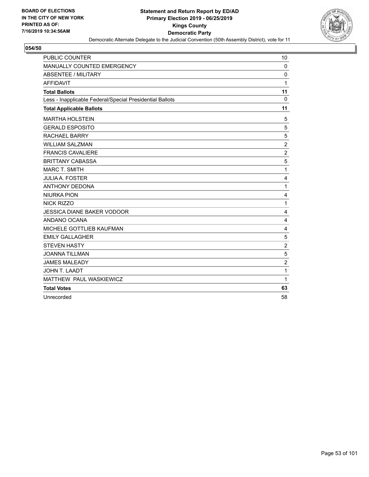

| PUBLIC COUNTER                                           | 10               |
|----------------------------------------------------------|------------------|
| MANUALLY COUNTED EMERGENCY                               | $\mathbf 0$      |
| <b>ABSENTEE / MILITARY</b>                               | $\Omega$         |
| <b>AFFIDAVIT</b>                                         | 1                |
| <b>Total Ballots</b>                                     | 11               |
| Less - Inapplicable Federal/Special Presidential Ballots | $\mathbf 0$      |
| <b>Total Applicable Ballots</b>                          | 11               |
| <b>MARTHA HOLSTEIN</b>                                   | 5                |
| <b>GERALD ESPOSITO</b>                                   | 5                |
| <b>RACHAEL BARRY</b>                                     | 5                |
| <b>WILLIAM SALZMAN</b>                                   | $\boldsymbol{2}$ |
| <b>FRANCIS CAVALIERE</b>                                 | $\overline{c}$   |
| <b>BRITTANY CABASSA</b>                                  | 5                |
| <b>MARC T. SMITH</b>                                     | 1                |
| <b>JULIA A. FOSTER</b>                                   | 4                |
| <b>ANTHONY DEDONA</b>                                    | 1                |
| <b>NIURKA PION</b>                                       | 4                |
| <b>NICK RIZZO</b>                                        | 1                |
| <b>JESSICA DIANE BAKER VODOOR</b>                        | 4                |
| ANDANO OCANA                                             | 4                |
| MICHELE GOTTLIEB KAUFMAN                                 | 4                |
| <b>EMILY GALLAGHER</b>                                   | 5                |
| <b>STEVEN HASTY</b>                                      | $\overline{c}$   |
| <b>JOANNA TILLMAN</b>                                    | 5                |
| <b>JAMES MALEADY</b>                                     | $\overline{c}$   |
| JOHN T. LAADT                                            | 1                |
| MATTHEW PAUL WASKIEWICZ                                  | 1                |
| <b>Total Votes</b>                                       | 63               |
| Unrecorded                                               | 58               |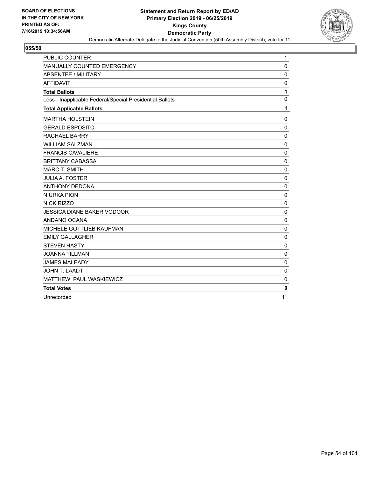

| PUBLIC COUNTER                                           | 1            |
|----------------------------------------------------------|--------------|
| MANUALLY COUNTED EMERGENCY                               | $\mathbf 0$  |
| <b>ABSENTEE / MILITARY</b>                               | $\mathbf 0$  |
| <b>AFFIDAVIT</b>                                         | 0            |
| <b>Total Ballots</b>                                     | 1            |
| Less - Inapplicable Federal/Special Presidential Ballots | $\mathbf 0$  |
| <b>Total Applicable Ballots</b>                          | 1            |
| <b>MARTHA HOLSTEIN</b>                                   | 0            |
| <b>GERALD ESPOSITO</b>                                   | $\mathbf 0$  |
| <b>RACHAEL BARRY</b>                                     | $\mathbf 0$  |
| <b>WILLIAM SALZMAN</b>                                   | $\mathbf 0$  |
| <b>FRANCIS CAVALIERE</b>                                 | $\mathbf 0$  |
| <b>BRITTANY CABASSA</b>                                  | $\mathbf 0$  |
| <b>MARC T. SMITH</b>                                     | 0            |
| <b>JULIA A. FOSTER</b>                                   | $\Omega$     |
| <b>ANTHONY DEDONA</b>                                    | 0            |
| <b>NIURKA PION</b>                                       | $\mathbf 0$  |
| <b>NICK RIZZO</b>                                        | 0            |
| <b>JESSICA DIANE BAKER VODOOR</b>                        | $\mathbf 0$  |
| ANDANO OCANA                                             | $\mathbf 0$  |
| MICHELE GOTTLIEB KAUFMAN                                 | $\mathbf 0$  |
| <b>EMILY GALLAGHER</b>                                   | $\pmb{0}$    |
| <b>STEVEN HASTY</b>                                      | $\mathbf 0$  |
| <b>JOANNA TILLMAN</b>                                    | $\mathbf 0$  |
| <b>JAMES MALEADY</b>                                     | $\mathbf 0$  |
| JOHN T. LAADT                                            | $\mathbf 0$  |
| MATTHEW PAUL WASKIEWICZ                                  | 0            |
| <b>Total Votes</b>                                       | $\mathbf{0}$ |
| Unrecorded                                               | 11           |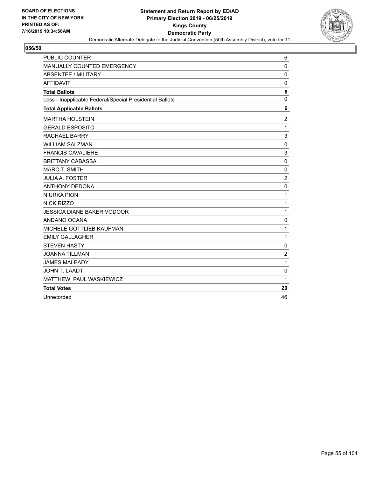

| PUBLIC COUNTER                                           | 6              |
|----------------------------------------------------------|----------------|
| MANUALLY COUNTED EMERGENCY                               | $\mathbf 0$    |
| <b>ABSENTEE / MILITARY</b>                               | $\mathbf 0$    |
| <b>AFFIDAVIT</b>                                         | 0              |
| <b>Total Ballots</b>                                     | 6              |
| Less - Inapplicable Federal/Special Presidential Ballots | $\mathbf 0$    |
| <b>Total Applicable Ballots</b>                          | 6              |
| <b>MARTHA HOLSTEIN</b>                                   | $\overline{c}$ |
| <b>GERALD ESPOSITO</b>                                   | $\mathbf{1}$   |
| <b>RACHAEL BARRY</b>                                     | 3              |
| <b>WILLIAM SALZMAN</b>                                   | $\mathbf 0$    |
| <b>FRANCIS CAVALIERE</b>                                 | 3              |
| <b>BRITTANY CABASSA</b>                                  | $\Omega$       |
| <b>MARC T. SMITH</b>                                     | 0              |
| <b>JULIA A. FOSTER</b>                                   | $\overline{c}$ |
| <b>ANTHONY DEDONA</b>                                    | $\mathbf 0$    |
| <b>NIURKA PION</b>                                       | 1              |
| <b>NICK RIZZO</b>                                        | 1              |
| <b>JESSICA DIANE BAKER VODOOR</b>                        | 1              |
| ANDANO OCANA                                             | $\mathbf 0$    |
| MICHELE GOTTLIEB KAUFMAN                                 | 1              |
| <b>EMILY GALLAGHER</b>                                   | 1              |
| <b>STEVEN HASTY</b>                                      | $\mathbf 0$    |
| <b>JOANNA TILLMAN</b>                                    | $\overline{c}$ |
| <b>JAMES MALEADY</b>                                     | $\mathbf 1$    |
| JOHN T. LAADT                                            | $\mathbf 0$    |
| MATTHEW PAUL WASKIEWICZ                                  | 1              |
| <b>Total Votes</b>                                       | 20             |
| Unrecorded                                               | 46             |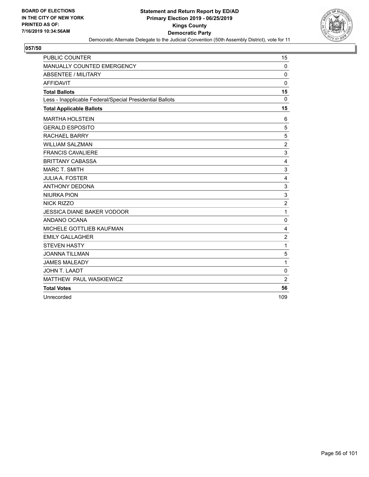

| PUBLIC COUNTER                                           | 15             |
|----------------------------------------------------------|----------------|
| MANUALLY COUNTED EMERGENCY                               | $\mathbf{0}$   |
| <b>ABSENTEE / MILITARY</b>                               | 0              |
| <b>AFFIDAVIT</b>                                         | 0              |
| <b>Total Ballots</b>                                     | 15             |
| Less - Inapplicable Federal/Special Presidential Ballots | $\Omega$       |
| <b>Total Applicable Ballots</b>                          | 15             |
| <b>MARTHA HOLSTEIN</b>                                   | 6              |
| <b>GERALD ESPOSITO</b>                                   | 5              |
| <b>RACHAEL BARRY</b>                                     | 5              |
| <b>WILLIAM SALZMAN</b>                                   | $\overline{c}$ |
| <b>FRANCIS CAVALIERE</b>                                 | 3              |
| <b>BRITTANY CABASSA</b>                                  | 4              |
| <b>MARC T. SMITH</b>                                     | 3              |
| <b>JULIA A. FOSTER</b>                                   | 4              |
| <b>ANTHONY DEDONA</b>                                    | 3              |
| <b>NIURKA PION</b>                                       | 3              |
| NICK RIZZO                                               | $\overline{2}$ |
| <b>JESSICA DIANE BAKER VODOOR</b>                        | 1              |
| ANDANO OCANA                                             | $\mathbf 0$    |
| MICHELE GOTTLIEB KAUFMAN                                 | 4              |
| <b>EMILY GALLAGHER</b>                                   | $\overline{c}$ |
| <b>STEVEN HASTY</b>                                      | 1              |
| <b>JOANNA TILLMAN</b>                                    | 5              |
| <b>JAMES MALEADY</b>                                     | 1              |
| <b>JOHN T. LAADT</b>                                     | $\mathbf 0$    |
| MATTHEW PAUL WASKIEWICZ                                  | $\overline{c}$ |
| <b>Total Votes</b>                                       | 56             |
| Unrecorded                                               | 109            |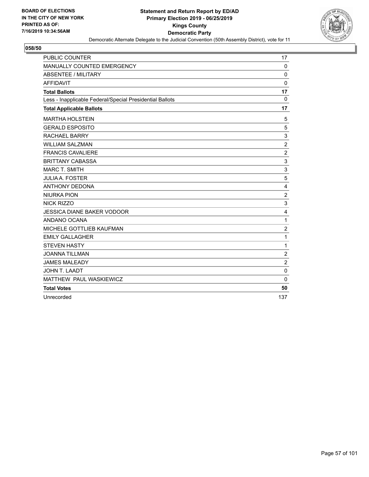

| PUBLIC COUNTER                                           | 17             |
|----------------------------------------------------------|----------------|
| MANUALLY COUNTED EMERGENCY                               | $\mathbf{0}$   |
| <b>ABSENTEE / MILITARY</b>                               | 0              |
| <b>AFFIDAVIT</b>                                         | $\mathbf 0$    |
| <b>Total Ballots</b>                                     | 17             |
| Less - Inapplicable Federal/Special Presidential Ballots | $\mathbf 0$    |
| <b>Total Applicable Ballots</b>                          | 17             |
| <b>MARTHA HOLSTEIN</b>                                   | 5              |
| <b>GERALD ESPOSITO</b>                                   | 5              |
| <b>RACHAEL BARRY</b>                                     | 3              |
| <b>WILLIAM SALZMAN</b>                                   | $\overline{2}$ |
| <b>FRANCIS CAVALIERE</b>                                 | $\overline{c}$ |
| <b>BRITTANY CABASSA</b>                                  | 3              |
| <b>MARC T. SMITH</b>                                     | 3              |
| <b>JULIA A. FOSTER</b>                                   | 5              |
| <b>ANTHONY DEDONA</b>                                    | 4              |
| <b>NIURKA PION</b>                                       | $\overline{2}$ |
| <b>NICK RIZZO</b>                                        | 3              |
| <b>JESSICA DIANE BAKER VODOOR</b>                        | 4              |
| ANDANO OCANA                                             | 1              |
| MICHELE GOTTLIEB KAUFMAN                                 | $\overline{c}$ |
| <b>EMILY GALLAGHER</b>                                   | 1              |
| <b>STEVEN HASTY</b>                                      | 1              |
| <b>JOANNA TILLMAN</b>                                    | $\overline{2}$ |
| <b>JAMES MALEADY</b>                                     | $\overline{2}$ |
| <b>JOHN T. LAADT</b>                                     | $\mathbf 0$    |
| MATTHEW PAUL WASKIEWICZ                                  | $\mathbf{0}$   |
| <b>Total Votes</b>                                       | 50             |
| Unrecorded                                               | 137            |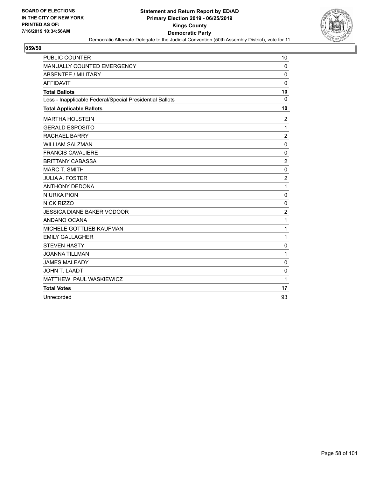

| PUBLIC COUNTER                                           | 10                      |
|----------------------------------------------------------|-------------------------|
| MANUALLY COUNTED EMERGENCY                               | 0                       |
| <b>ABSENTEE / MILITARY</b>                               | $\mathbf{0}$            |
| <b>AFFIDAVIT</b>                                         | $\mathbf{0}$            |
| <b>Total Ballots</b>                                     | 10                      |
| Less - Inapplicable Federal/Special Presidential Ballots | 0                       |
| <b>Total Applicable Ballots</b>                          | 10                      |
| <b>MARTHA HOLSTEIN</b>                                   | $\overline{2}$          |
| <b>GERALD ESPOSITO</b>                                   | 1                       |
| <b>RACHAEL BARRY</b>                                     | $\overline{\mathbf{c}}$ |
| <b>WILLIAM SALZMAN</b>                                   | $\mathbf 0$             |
| <b>FRANCIS CAVALIERE</b>                                 | $\mathbf 0$             |
| <b>BRITTANY CABASSA</b>                                  | $\overline{2}$          |
| <b>MARC T. SMITH</b>                                     | $\mathbf 0$             |
| <b>JULIA A. FOSTER</b>                                   | $\overline{2}$          |
| <b>ANTHONY DEDONA</b>                                    | 1                       |
| <b>NIURKA PION</b>                                       | $\mathbf 0$             |
| <b>NICK RIZZO</b>                                        | 0                       |
| <b>JESSICA DIANE BAKER VODOOR</b>                        | $\overline{2}$          |
| ANDANO OCANA                                             | 1                       |
| MICHELE GOTTLIEB KAUFMAN                                 | $\mathbf{1}$            |
| <b>EMILY GALLAGHER</b>                                   | $\mathbf{1}$            |
| <b>STEVEN HASTY</b>                                      | 0                       |
| <b>JOANNA TILLMAN</b>                                    | 1                       |
| <b>JAMES MALEADY</b>                                     | 0                       |
| JOHN T. LAADT                                            | $\mathbf 0$             |
| MATTHEW PAUL WASKIEWICZ                                  | $\mathbf{1}$            |
| <b>Total Votes</b>                                       | 17                      |
| Unrecorded                                               | 93                      |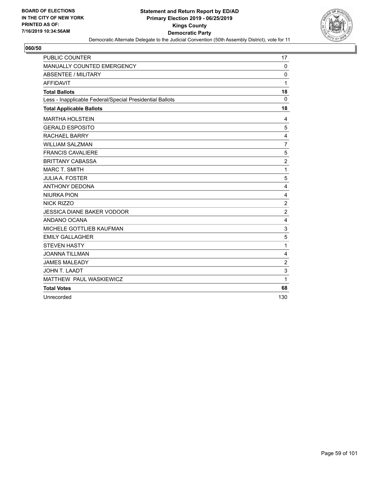

| PUBLIC COUNTER                                           | 17             |
|----------------------------------------------------------|----------------|
| MANUALLY COUNTED EMERGENCY                               | $\mathbf 0$    |
| <b>ABSENTEE / MILITARY</b>                               | $\Omega$       |
| <b>AFFIDAVIT</b>                                         | 1              |
| <b>Total Ballots</b>                                     | 18             |
| Less - Inapplicable Federal/Special Presidential Ballots | $\mathbf 0$    |
| <b>Total Applicable Ballots</b>                          | 18             |
| <b>MARTHA HOLSTEIN</b>                                   | 4              |
| <b>GERALD ESPOSITO</b>                                   | 5              |
| <b>RACHAEL BARRY</b>                                     | 4              |
| <b>WILLIAM SALZMAN</b>                                   | $\overline{7}$ |
| <b>FRANCIS CAVALIERE</b>                                 | 5              |
| <b>BRITTANY CABASSA</b>                                  | $\overline{c}$ |
| <b>MARC T. SMITH</b>                                     | $\mathbf{1}$   |
| <b>JULIA A. FOSTER</b>                                   | 5              |
| <b>ANTHONY DEDONA</b>                                    | 4              |
| <b>NIURKA PION</b>                                       | 4              |
| <b>NICK RIZZO</b>                                        | $\overline{c}$ |
| <b>JESSICA DIANE BAKER VODOOR</b>                        | $\overline{2}$ |
| ANDANO OCANA                                             | $\overline{4}$ |
| MICHELE GOTTLIEB KAUFMAN                                 | 3              |
| <b>EMILY GALLAGHER</b>                                   | 5              |
| <b>STEVEN HASTY</b>                                      | 1              |
| <b>JOANNA TILLMAN</b>                                    | 4              |
| <b>JAMES MALEADY</b>                                     | $\overline{c}$ |
| <b>JOHN T. LAADT</b>                                     | 3              |
| MATTHEW PAUL WASKIEWICZ                                  | 1              |
| <b>Total Votes</b>                                       | 68             |
| Unrecorded                                               | 130            |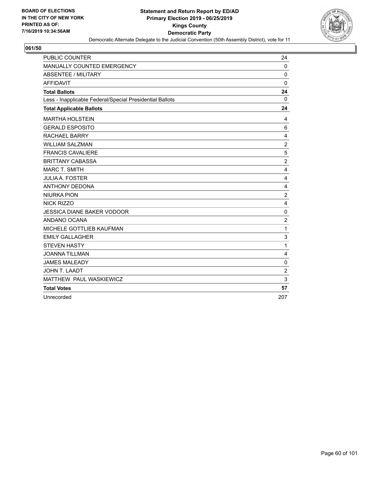

| PUBLIC COUNTER                                           | 24                      |
|----------------------------------------------------------|-------------------------|
| MANUALLY COUNTED EMERGENCY                               | $\mathbf 0$             |
| <b>ABSENTEE / MILITARY</b>                               | $\Omega$                |
| <b>AFFIDAVIT</b>                                         | $\mathbf{0}$            |
| <b>Total Ballots</b>                                     | 24                      |
| Less - Inapplicable Federal/Special Presidential Ballots | $\mathbf{0}$            |
| <b>Total Applicable Ballots</b>                          | 24                      |
| <b>MARTHA HOLSTEIN</b>                                   | 4                       |
| <b>GERALD ESPOSITO</b>                                   | 6                       |
| <b>RACHAEL BARRY</b>                                     | 4                       |
| <b>WILLIAM SALZMAN</b>                                   | $\sqrt{2}$              |
| <b>FRANCIS CAVALIERE</b>                                 | 5                       |
| <b>BRITTANY CABASSA</b>                                  | $\overline{c}$          |
| <b>MARC T. SMITH</b>                                     | 4                       |
| <b>JULIA A. FOSTER</b>                                   | $\overline{4}$          |
| <b>ANTHONY DEDONA</b>                                    | 4                       |
| <b>NIURKA PION</b>                                       | $\overline{c}$          |
| <b>NICK RIZZO</b>                                        | $\overline{\mathbf{4}}$ |
| <b>JESSICA DIANE BAKER VODOOR</b>                        | $\mathbf 0$             |
| ANDANO OCANA                                             | $\overline{2}$          |
| MICHELE GOTTLIEB KAUFMAN                                 | $\mathbf{1}$            |
| <b>EMILY GALLAGHER</b>                                   | $\sqrt{3}$              |
| <b>STEVEN HASTY</b>                                      | 1                       |
| <b>JOANNA TILLMAN</b>                                    | 4                       |
| <b>JAMES MALEADY</b>                                     | $\mathbf 0$             |
| <b>JOHN T. LAADT</b>                                     | $\overline{2}$          |
| MATTHEW PAUL WASKIEWICZ                                  | 3                       |
| <b>Total Votes</b>                                       | 57                      |
| Unrecorded                                               | 207                     |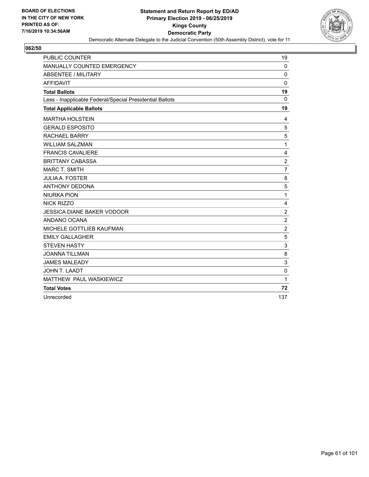

| PUBLIC COUNTER                                           | 19             |
|----------------------------------------------------------|----------------|
| MANUALLY COUNTED EMERGENCY                               | $\mathbf 0$    |
| ABSENTEE / MILITARY                                      | $\Omega$       |
| <b>AFFIDAVIT</b>                                         | $\Omega$       |
| <b>Total Ballots</b>                                     | 19             |
| Less - Inapplicable Federal/Special Presidential Ballots | $\mathbf 0$    |
| <b>Total Applicable Ballots</b>                          | 19             |
| <b>MARTHA HOLSTEIN</b>                                   | 4              |
| <b>GERALD ESPOSITO</b>                                   | 5              |
| <b>RACHAEL BARRY</b>                                     | 5              |
| <b>WILLIAM SALZMAN</b>                                   | 1              |
| <b>FRANCIS CAVALIERE</b>                                 | 4              |
| <b>BRITTANY CABASSA</b>                                  | $\overline{c}$ |
| <b>MARC T. SMITH</b>                                     | $\overline{7}$ |
| <b>JULIA A. FOSTER</b>                                   | 8              |
| <b>ANTHONY DEDONA</b>                                    | 5              |
| <b>NIURKA PION</b>                                       | $\mathbf{1}$   |
| <b>NICK RIZZO</b>                                        | 4              |
| <b>JESSICA DIANE BAKER VODOOR</b>                        | $\overline{c}$ |
| ANDANO OCANA                                             | $\overline{2}$ |
| MICHELE GOTTLIEB KAUFMAN                                 | $\overline{c}$ |
| <b>EMILY GALLAGHER</b>                                   | 5              |
| <b>STEVEN HASTY</b>                                      | 3              |
| <b>JOANNA TILLMAN</b>                                    | 8              |
| <b>JAMES MALEADY</b>                                     | 3              |
| <b>JOHN T. LAADT</b>                                     | $\mathbf 0$    |
| MATTHEW PAUL WASKIEWICZ                                  | 1              |
| <b>Total Votes</b>                                       | 72             |
| Unrecorded                                               | 137            |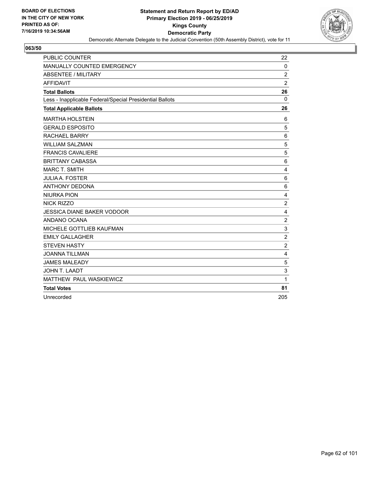

| PUBLIC COUNTER                                           | 22             |
|----------------------------------------------------------|----------------|
| MANUALLY COUNTED EMERGENCY                               | $\mathbf 0$    |
| <b>ABSENTEE / MILITARY</b>                               | $\overline{c}$ |
| <b>AFFIDAVIT</b>                                         | $\overline{2}$ |
| <b>Total Ballots</b>                                     | 26             |
| Less - Inapplicable Federal/Special Presidential Ballots | $\mathbf{0}$   |
| <b>Total Applicable Ballots</b>                          | 26             |
| <b>MARTHA HOLSTEIN</b>                                   | 6              |
| <b>GERALD ESPOSITO</b>                                   | 5              |
| <b>RACHAEL BARRY</b>                                     | 6              |
| <b>WILLIAM SALZMAN</b>                                   | 5              |
| <b>FRANCIS CAVALIERE</b>                                 | 5              |
| <b>BRITTANY CABASSA</b>                                  | $\,6$          |
| <b>MARC T. SMITH</b>                                     | $\overline{4}$ |
| <b>JULIA A. FOSTER</b>                                   | 6              |
| <b>ANTHONY DEDONA</b>                                    | 6              |
| <b>NIURKA PION</b>                                       | 4              |
| <b>NICK RIZZO</b>                                        | $\overline{c}$ |
| <b>JESSICA DIANE BAKER VODOOR</b>                        | 4              |
| ANDANO OCANA                                             | $\overline{c}$ |
| MICHELE GOTTLIEB KAUFMAN                                 | 3              |
| <b>EMILY GALLAGHER</b>                                   | $\overline{2}$ |
| <b>STEVEN HASTY</b>                                      | $\overline{c}$ |
| <b>JOANNA TILLMAN</b>                                    | 4              |
| <b>JAMES MALEADY</b>                                     | 5              |
| <b>JOHN T. LAADT</b>                                     | 3              |
| MATTHEW PAUL WASKIEWICZ                                  | 1              |
| <b>Total Votes</b>                                       | 81             |
| Unrecorded                                               | 205            |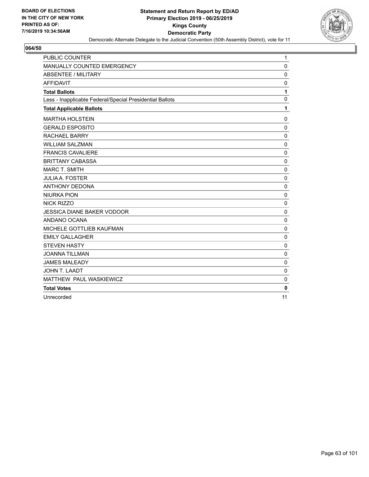

| PUBLIC COUNTER                                           | 1           |
|----------------------------------------------------------|-------------|
| MANUALLY COUNTED EMERGENCY                               | $\mathbf 0$ |
| <b>ABSENTEE / MILITARY</b>                               | $\mathbf 0$ |
| <b>AFFIDAVIT</b>                                         | 0           |
| <b>Total Ballots</b>                                     | 1           |
| Less - Inapplicable Federal/Special Presidential Ballots | $\mathbf 0$ |
| <b>Total Applicable Ballots</b>                          | 1           |
| <b>MARTHA HOLSTEIN</b>                                   | 0           |
| <b>GERALD ESPOSITO</b>                                   | $\mathbf 0$ |
| <b>RACHAEL BARRY</b>                                     | $\mathbf 0$ |
| <b>WILLIAM SALZMAN</b>                                   | $\mathbf 0$ |
| <b>FRANCIS CAVALIERE</b>                                 | $\mathbf 0$ |
| <b>BRITTANY CABASSA</b>                                  | $\mathbf 0$ |
| <b>MARC T. SMITH</b>                                     | 0           |
| <b>JULIA A. FOSTER</b>                                   | $\Omega$    |
| <b>ANTHONY DEDONA</b>                                    | 0           |
| <b>NIURKA PION</b>                                       | $\mathbf 0$ |
| <b>NICK RIZZO</b>                                        | 0           |
| <b>JESSICA DIANE BAKER VODOOR</b>                        | $\mathbf 0$ |
| ANDANO OCANA                                             | $\mathbf 0$ |
| MICHELE GOTTLIEB KAUFMAN                                 | $\mathbf 0$ |
| <b>EMILY GALLAGHER</b>                                   | $\pmb{0}$   |
| <b>STEVEN HASTY</b>                                      | $\mathbf 0$ |
| <b>JOANNA TILLMAN</b>                                    | $\mathbf 0$ |
| <b>JAMES MALEADY</b>                                     | $\mathbf 0$ |
| JOHN T. LAADT                                            | $\mathbf 0$ |
| MATTHEW PAUL WASKIEWICZ                                  | 0           |
| <b>Total Votes</b>                                       | $\bf{0}$    |
| Unrecorded                                               | 11          |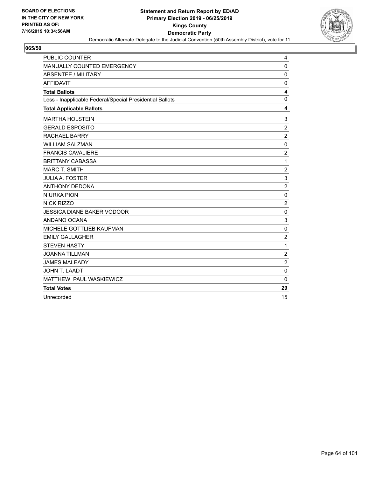

| PUBLIC COUNTER                                           | 4                       |
|----------------------------------------------------------|-------------------------|
| MANUALLY COUNTED EMERGENCY                               | 0                       |
| <b>ABSENTEE / MILITARY</b>                               | $\mathbf 0$             |
| <b>AFFIDAVIT</b>                                         | 0                       |
| <b>Total Ballots</b>                                     | $\overline{\mathbf{4}}$ |
| Less - Inapplicable Federal/Special Presidential Ballots | $\mathbf 0$             |
| <b>Total Applicable Ballots</b>                          | 4                       |
| <b>MARTHA HOLSTEIN</b>                                   | 3                       |
| <b>GERALD ESPOSITO</b>                                   | $\overline{2}$          |
| <b>RACHAEL BARRY</b>                                     | $\overline{2}$          |
| <b>WILLIAM SALZMAN</b>                                   | $\mathbf 0$             |
| <b>FRANCIS CAVALIERE</b>                                 | $\overline{c}$          |
| <b>BRITTANY CABASSA</b>                                  | 1                       |
| <b>MARC T. SMITH</b>                                     | $\overline{c}$          |
| <b>JULIA A. FOSTER</b>                                   | 3                       |
| <b>ANTHONY DEDONA</b>                                    | $\boldsymbol{2}$        |
| <b>NIURKA PION</b>                                       | 0                       |
| <b>NICK RIZZO</b>                                        | $\overline{c}$          |
| <b>JESSICA DIANE BAKER VODOOR</b>                        | $\mathbf 0$             |
| ANDANO OCANA                                             | 3                       |
| MICHELE GOTTLIEB KAUFMAN                                 | $\mathbf 0$             |
| <b>EMILY GALLAGHER</b>                                   | $\overline{2}$          |
| <b>STEVEN HASTY</b>                                      | 1                       |
| <b>JOANNA TILLMAN</b>                                    | $\overline{c}$          |
| <b>JAMES MALEADY</b>                                     | $\overline{c}$          |
| JOHN T. LAADT                                            | $\mathbf 0$             |
| MATTHEW PAUL WASKIEWICZ                                  | $\mathbf{0}$            |
| <b>Total Votes</b>                                       | 29                      |
| Unrecorded                                               | 15                      |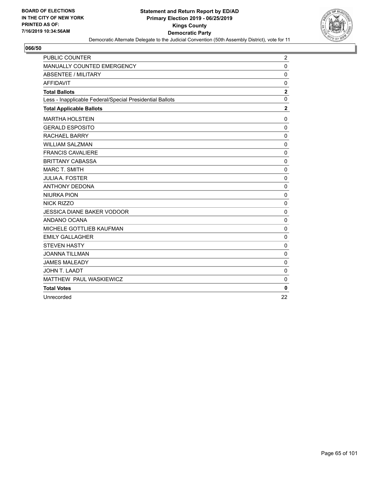

| PUBLIC COUNTER                                           | $\overline{c}$   |
|----------------------------------------------------------|------------------|
| MANUALLY COUNTED EMERGENCY                               | 0                |
| <b>ABSENTEE / MILITARY</b>                               | $\mathbf 0$      |
| <b>AFFIDAVIT</b>                                         | 0                |
| <b>Total Ballots</b>                                     | $\boldsymbol{2}$ |
| Less - Inapplicable Federal/Special Presidential Ballots | $\mathbf 0$      |
| <b>Total Applicable Ballots</b>                          | $\mathbf 2$      |
| <b>MARTHA HOLSTEIN</b>                                   | $\mathbf 0$      |
| <b>GERALD ESPOSITO</b>                                   | $\mathbf 0$      |
| <b>RACHAEL BARRY</b>                                     | 0                |
| <b>WILLIAM SALZMAN</b>                                   | $\pmb{0}$        |
| <b>FRANCIS CAVALIERE</b>                                 | $\mathbf 0$      |
| <b>BRITTANY CABASSA</b>                                  | $\mathbf 0$      |
| <b>MARC T. SMITH</b>                                     | $\pmb{0}$        |
| <b>JULIA A. FOSTER</b>                                   | $\mathbf 0$      |
| <b>ANTHONY DEDONA</b>                                    | 0                |
| <b>NIURKA PION</b>                                       | $\mathbf 0$      |
| <b>NICK RIZZO</b>                                        | $\mathbf 0$      |
| <b>JESSICA DIANE BAKER VODOOR</b>                        | $\pmb{0}$        |
| ANDANO OCANA                                             | 0                |
| MICHELE GOTTLIEB KAUFMAN                                 | $\mathbf 0$      |
| <b>EMILY GALLAGHER</b>                                   | $\mathbf 0$      |
| <b>STEVEN HASTY</b>                                      | $\mathbf 0$      |
| <b>JOANNA TILLMAN</b>                                    | $\mathbf 0$      |
| <b>JAMES MALEADY</b>                                     | $\mathbf 0$      |
| <b>JOHN T. LAADT</b>                                     | $\mathbf 0$      |
| MATTHEW PAUL WASKIEWICZ                                  | $\mathbf 0$      |
| <b>Total Votes</b>                                       | $\bf{0}$         |
| Unrecorded                                               | 22               |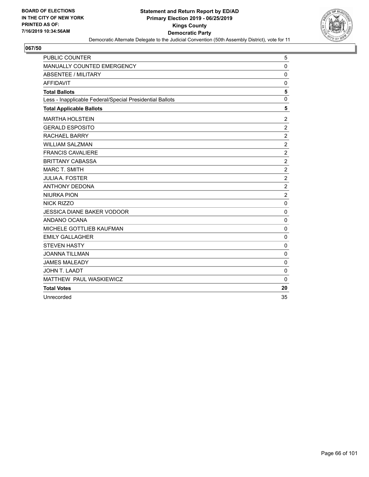

| <b>PUBLIC COUNTER</b>                                    | 5                |
|----------------------------------------------------------|------------------|
| MANUALLY COUNTED EMERGENCY                               | $\mathbf 0$      |
| <b>ABSENTEE / MILITARY</b>                               | $\mathbf 0$      |
| <b>AFFIDAVIT</b>                                         | 0                |
| <b>Total Ballots</b>                                     | 5                |
| Less - Inapplicable Federal/Special Presidential Ballots | $\mathbf 0$      |
| <b>Total Applicable Ballots</b>                          | 5                |
| <b>MARTHA HOLSTEIN</b>                                   | $\overline{c}$   |
| <b>GERALD ESPOSITO</b>                                   | $\overline{2}$   |
| RACHAEL BARRY                                            | $\boldsymbol{2}$ |
| <b>WILLIAM SALZMAN</b>                                   | $\sqrt{2}$       |
| <b>FRANCIS CAVALIERE</b>                                 | $\overline{c}$   |
| <b>BRITTANY CABASSA</b>                                  | $\overline{c}$   |
| <b>MARC T. SMITH</b>                                     | $\boldsymbol{2}$ |
| <b>JULIA A. FOSTER</b>                                   | $\boldsymbol{2}$ |
| <b>ANTHONY DEDONA</b>                                    | $\overline{c}$   |
| <b>NIURKA PION</b>                                       | $\overline{c}$   |
| <b>NICK RIZZO</b>                                        | $\mathbf 0$      |
| <b>JESSICA DIANE BAKER VODOOR</b>                        | 0                |
| ANDANO OCANA                                             | $\mathbf 0$      |
| MICHELE GOTTLIEB KAUFMAN                                 | 0                |
| <b>EMILY GALLAGHER</b>                                   | $\pmb{0}$        |
| <b>STEVEN HASTY</b>                                      | $\mathbf 0$      |
| <b>JOANNA TILLMAN</b>                                    | $\mathbf 0$      |
| <b>JAMES MALEADY</b>                                     | 0                |
| JOHN T. LAADT                                            | $\mathbf 0$      |
| MATTHEW PAUL WASKIEWICZ                                  | $\Omega$         |
| <b>Total Votes</b>                                       | 20               |
| Unrecorded                                               | 35               |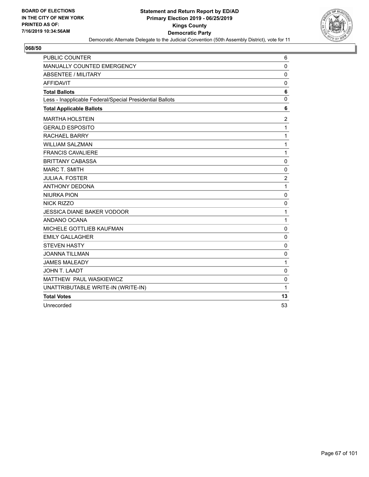

| <b>PUBLIC COUNTER</b>                                    | 6              |
|----------------------------------------------------------|----------------|
| MANUALLY COUNTED EMERGENCY                               | $\mathbf 0$    |
| ABSENTEE / MILITARY                                      | $\mathbf 0$    |
| <b>AFFIDAVIT</b>                                         | 0              |
| <b>Total Ballots</b>                                     | 6              |
| Less - Inapplicable Federal/Special Presidential Ballots | $\mathbf 0$    |
| <b>Total Applicable Ballots</b>                          | 6              |
| <b>MARTHA HOLSTEIN</b>                                   | $\overline{2}$ |
| <b>GERALD ESPOSITO</b>                                   | 1              |
| <b>RACHAEL BARRY</b>                                     | 1              |
| <b>WILLIAM SALZMAN</b>                                   | 1              |
| <b>FRANCIS CAVALIERE</b>                                 | $\mathbf{1}$   |
| <b>BRITTANY CABASSA</b>                                  | 0              |
| <b>MARC T. SMITH</b>                                     | 0              |
| <b>JULIA A. FOSTER</b>                                   | $\overline{c}$ |
| <b>ANTHONY DEDONA</b>                                    | 1              |
| <b>NIURKA PION</b>                                       | $\mathbf 0$    |
| <b>NICK RIZZO</b>                                        | 0              |
| <b>JESSICA DIANE BAKER VODOOR</b>                        | 1              |
| ANDANO OCANA                                             | 1              |
| MICHELE GOTTLIEB KAUFMAN                                 | 0              |
| <b>EMILY GALLAGHER</b>                                   | $\mathbf 0$    |
| <b>STEVEN HASTY</b>                                      | $\mathbf 0$    |
| <b>JOANNA TILLMAN</b>                                    | $\mathbf 0$    |
| <b>JAMES MALEADY</b>                                     | 1              |
| JOHN T. LAADT                                            | $\mathbf 0$    |
| MATTHEW PAUL WASKIEWICZ                                  | $\mathbf 0$    |
| UNATTRIBUTABLE WRITE-IN (WRITE-IN)                       | 1              |
| <b>Total Votes</b>                                       | 13             |
| Unrecorded                                               | 53             |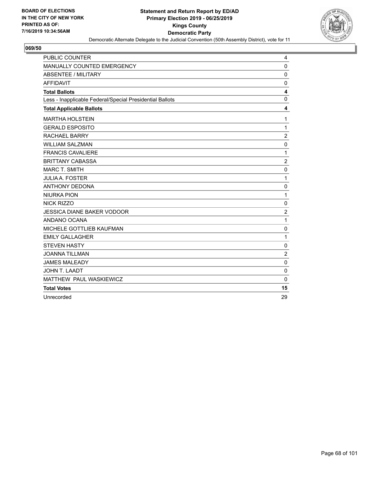

| PUBLIC COUNTER                                           | 4                       |
|----------------------------------------------------------|-------------------------|
| MANUALLY COUNTED EMERGENCY                               | $\mathbf 0$             |
| ABSENTEE / MILITARY                                      | 0                       |
| <b>AFFIDAVIT</b>                                         | 0                       |
| <b>Total Ballots</b>                                     | $\overline{\mathbf{4}}$ |
| Less - Inapplicable Federal/Special Presidential Ballots | 0                       |
| <b>Total Applicable Ballots</b>                          | 4                       |
| <b>MARTHA HOLSTEIN</b>                                   | 1                       |
| <b>GERALD ESPOSITO</b>                                   | 1                       |
| <b>RACHAEL BARRY</b>                                     | $\overline{2}$          |
| <b>WILLIAM SALZMAN</b>                                   | $\mathbf 0$             |
| <b>FRANCIS CAVALIERE</b>                                 | 1                       |
| <b>BRITTANY CABASSA</b>                                  | $\overline{c}$          |
| <b>MARC T. SMITH</b>                                     | $\mathbf 0$             |
| <b>JULIA A. FOSTER</b>                                   | 1                       |
| <b>ANTHONY DEDONA</b>                                    | $\mathbf 0$             |
| <b>NIURKA PION</b>                                       | 1                       |
| <b>NICK RIZZO</b>                                        | $\mathbf 0$             |
| <b>JESSICA DIANE BAKER VODOOR</b>                        | $\overline{c}$          |
| ANDANO OCANA                                             | 1                       |
| MICHELE GOTTLIEB KAUFMAN                                 | 0                       |
| <b>EMILY GALLAGHER</b>                                   | 1                       |
| <b>STEVEN HASTY</b>                                      | $\mathbf 0$             |
| <b>JOANNA TILLMAN</b>                                    | $\overline{2}$          |
| <b>JAMES MALEADY</b>                                     | 0                       |
| JOHN T. LAADT                                            | $\mathbf 0$             |
| MATTHEW PAUL WASKIEWICZ                                  | $\Omega$                |
| <b>Total Votes</b>                                       | 15                      |
| Unrecorded                                               | 29                      |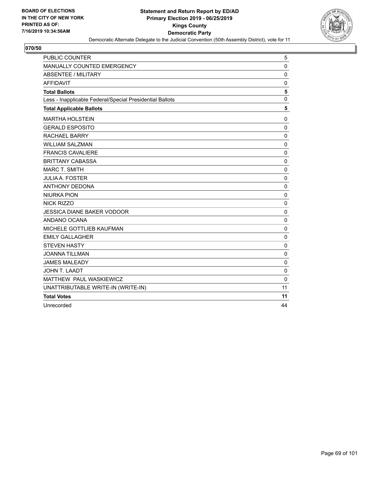

| <b>PUBLIC COUNTER</b>                                    | 5              |
|----------------------------------------------------------|----------------|
| <b>MANUALLY COUNTED EMERGENCY</b>                        | 0              |
| <b>ABSENTEE / MILITARY</b>                               | $\mathbf 0$    |
| <b>AFFIDAVIT</b>                                         | $\mathbf 0$    |
| <b>Total Ballots</b>                                     | 5              |
| Less - Inapplicable Federal/Special Presidential Ballots | $\overline{0}$ |
| <b>Total Applicable Ballots</b>                          | 5              |
| <b>MARTHA HOLSTEIN</b>                                   | 0              |
| <b>GERALD ESPOSITO</b>                                   | $\mathbf 0$    |
| <b>RACHAEL BARRY</b>                                     | $\mathbf 0$    |
| <b>WILLIAM SALZMAN</b>                                   | 0              |
| <b>FRANCIS CAVALIERE</b>                                 | 0              |
| <b>BRITTANY CABASSA</b>                                  | $\mathbf 0$    |
| <b>MARC T. SMITH</b>                                     | $\mathbf 0$    |
| <b>JULIA A. FOSTER</b>                                   | $\mathbf 0$    |
| <b>ANTHONY DEDONA</b>                                    | $\mathbf 0$    |
| <b>NIURKA PION</b>                                       | $\mathbf 0$    |
| <b>NICK RIZZO</b>                                        | $\mathbf 0$    |
| <b>JESSICA DIANE BAKER VODOOR</b>                        | $\mathbf 0$    |
| ANDANO OCANA                                             | $\Omega$       |
| MICHELE GOTTLIEB KAUFMAN                                 | $\mathbf 0$    |
| <b>EMILY GALLAGHER</b>                                   | $\mathbf 0$    |
| <b>STEVEN HASTY</b>                                      | $\mathbf 0$    |
| <b>JOANNA TILLMAN</b>                                    | $\mathbf 0$    |
| <b>JAMES MALEADY</b>                                     | 0              |
| JOHN T. LAADT                                            | 0              |
| MATTHEW PAUL WASKIEWICZ                                  | $\Omega$       |
| UNATTRIBUTABLE WRITE-IN (WRITE-IN)                       | 11             |
| <b>Total Votes</b>                                       | 11             |
| Unrecorded                                               | 44             |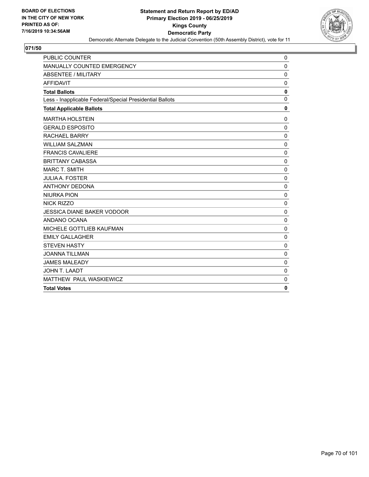

| <b>PUBLIC COUNTER</b>                                    | 0            |
|----------------------------------------------------------|--------------|
| MANUALLY COUNTED EMERGENCY                               | $\mathbf 0$  |
| <b>ABSENTEE / MILITARY</b>                               | $\mathbf 0$  |
| <b>AFFIDAVIT</b>                                         | $\mathbf 0$  |
| <b>Total Ballots</b>                                     | $\mathbf 0$  |
| Less - Inapplicable Federal/Special Presidential Ballots | $\Omega$     |
| <b>Total Applicable Ballots</b>                          | $\mathbf 0$  |
| <b>MARTHA HOLSTEIN</b>                                   | $\mathbf 0$  |
| <b>GERALD ESPOSITO</b>                                   | $\mathbf 0$  |
| <b>RACHAEL BARRY</b>                                     | $\pmb{0}$    |
| <b>WILLIAM SALZMAN</b>                                   | $\mathbf 0$  |
| <b>FRANCIS CAVALIERE</b>                                 | $\mathbf 0$  |
| <b>BRITTANY CABASSA</b>                                  | $\Omega$     |
| <b>MARC T. SMITH</b>                                     | $\Omega$     |
| <b>JULIA A. FOSTER</b>                                   | $\mathbf 0$  |
| <b>ANTHONY DEDONA</b>                                    | $\mathbf 0$  |
| <b>NIURKA PION</b>                                       | $\mathbf 0$  |
| <b>NICK RIZZO</b>                                        | $\mathbf 0$  |
| <b>JESSICA DIANE BAKER VODOOR</b>                        | $\mathbf 0$  |
| ANDANO OCANA                                             | $\mathbf 0$  |
| MICHELE GOTTLIEB KAUFMAN                                 | $\mathbf 0$  |
| <b>EMILY GALLAGHER</b>                                   | $\Omega$     |
| <b>STEVEN HASTY</b>                                      | $\mathbf 0$  |
| <b>JOANNA TILLMAN</b>                                    | $\mathbf 0$  |
| <b>JAMES MALEADY</b>                                     | $\mathbf 0$  |
| JOHN T. LAADT                                            | 0            |
| MATTHEW PAUL WASKIEWICZ                                  | $\mathbf 0$  |
| <b>Total Votes</b>                                       | $\mathbf{0}$ |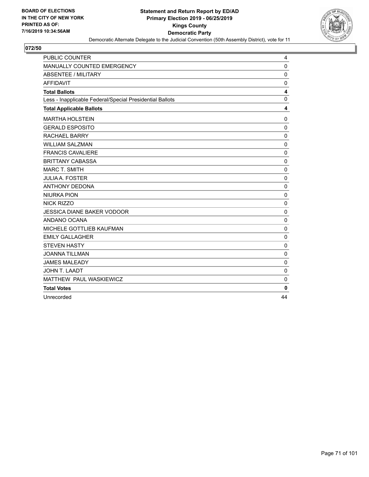

| PUBLIC COUNTER                                           | 4           |
|----------------------------------------------------------|-------------|
| MANUALLY COUNTED EMERGENCY                               | $\mathbf 0$ |
| ABSENTEE / MILITARY                                      | $\mathbf 0$ |
| <b>AFFIDAVIT</b>                                         | $\mathbf 0$ |
| <b>Total Ballots</b>                                     | 4           |
| Less - Inapplicable Federal/Special Presidential Ballots | $\mathbf 0$ |
| <b>Total Applicable Ballots</b>                          | 4           |
| <b>MARTHA HOLSTEIN</b>                                   | $\mathbf 0$ |
| <b>GERALD ESPOSITO</b>                                   | $\mathbf 0$ |
| <b>RACHAEL BARRY</b>                                     | 0           |
| <b>WILLIAM SALZMAN</b>                                   | $\mathbf 0$ |
| <b>FRANCIS CAVALIERE</b>                                 | 0           |
| <b>BRITTANY CABASSA</b>                                  | $\Omega$    |
| <b>MARC T. SMITH</b>                                     | 0           |
| <b>JULIA A. FOSTER</b>                                   | $\mathbf 0$ |
| <b>ANTHONY DEDONA</b>                                    | $\mathbf 0$ |
| <b>NIURKA PION</b>                                       | $\mathbf 0$ |
| <b>NICK RIZZO</b>                                        | $\mathbf 0$ |
| <b>JESSICA DIANE BAKER VODOOR</b>                        | 0           |
| ANDANO OCANA                                             | $\mathbf 0$ |
| MICHELE GOTTLIEB KAUFMAN                                 | 0           |
| <b>EMILY GALLAGHER</b>                                   | $\pmb{0}$   |
| <b>STEVEN HASTY</b>                                      | $\mathbf 0$ |
| <b>JOANNA TILLMAN</b>                                    | $\mathbf 0$ |
| <b>JAMES MALEADY</b>                                     | 0           |
| JOHN T. LAADT                                            | $\mathbf 0$ |
| MATTHEW PAUL WASKIEWICZ                                  | $\Omega$    |
| <b>Total Votes</b>                                       | 0           |
| Unrecorded                                               | 44          |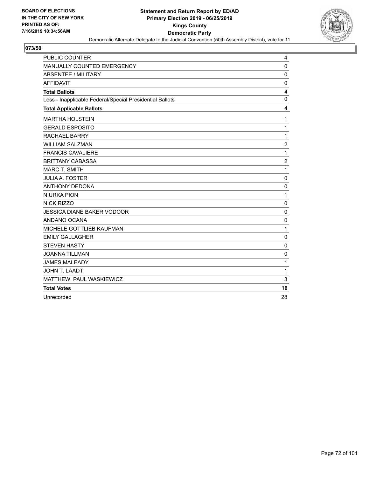

| <b>PUBLIC COUNTER</b>                                    | 4              |
|----------------------------------------------------------|----------------|
| MANUALLY COUNTED EMERGENCY                               | $\mathbf 0$    |
| <b>ABSENTEE / MILITARY</b>                               | $\mathbf 0$    |
| <b>AFFIDAVIT</b>                                         | 0              |
| <b>Total Ballots</b>                                     | 4              |
| Less - Inapplicable Federal/Special Presidential Ballots | $\mathbf 0$    |
| <b>Total Applicable Ballots</b>                          | 4              |
| <b>MARTHA HOLSTEIN</b>                                   | 1              |
| <b>GERALD ESPOSITO</b>                                   | 1              |
| <b>RACHAEL BARRY</b>                                     | $\mathbf{1}$   |
| <b>WILLIAM SALZMAN</b>                                   | $\sqrt{2}$     |
| <b>FRANCIS CAVALIERE</b>                                 | 1              |
| <b>BRITTANY CABASSA</b>                                  | $\overline{c}$ |
| <b>MARC T. SMITH</b>                                     | 1              |
| <b>JULIA A. FOSTER</b>                                   | $\mathbf 0$    |
| <b>ANTHONY DEDONA</b>                                    | $\mathbf 0$    |
| <b>NIURKA PION</b>                                       | 1              |
| <b>NICK RIZZO</b>                                        | 0              |
| <b>JESSICA DIANE BAKER VODOOR</b>                        | $\mathbf 0$    |
| ANDANO OCANA                                             | $\mathbf 0$    |
| MICHELE GOTTLIEB KAUFMAN                                 | 1              |
| <b>EMILY GALLAGHER</b>                                   | $\mathbf 0$    |
| <b>STEVEN HASTY</b>                                      | $\mathbf 0$    |
| <b>JOANNA TILLMAN</b>                                    | $\mathbf 0$    |
| <b>JAMES MALEADY</b>                                     | 1              |
| JOHN T. LAADT                                            | 1              |
| MATTHEW PAUL WASKIEWICZ                                  | 3              |
| <b>Total Votes</b>                                       | 16             |
| Unrecorded                                               | 28             |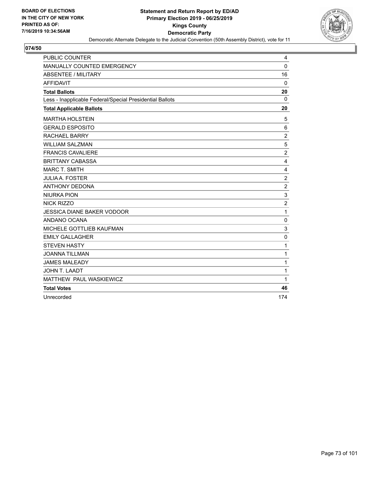

| <b>PUBLIC COUNTER</b>                                    | 4              |
|----------------------------------------------------------|----------------|
| MANUALLY COUNTED EMERGENCY                               | 0              |
| ABSENTEE / MILITARY                                      | 16             |
| <b>AFFIDAVIT</b>                                         | 0              |
| <b>Total Ballots</b>                                     | 20             |
| Less - Inapplicable Federal/Special Presidential Ballots | $\Omega$       |
| <b>Total Applicable Ballots</b>                          | 20             |
| <b>MARTHA HOLSTEIN</b>                                   | 5              |
| <b>GERALD ESPOSITO</b>                                   | 6              |
| <b>RACHAEL BARRY</b>                                     | $\overline{c}$ |
| <b>WILLIAM SALZMAN</b>                                   | 5              |
| <b>FRANCIS CAVALIERE</b>                                 | $\overline{c}$ |
| <b>BRITTANY CABASSA</b>                                  | 4              |
| <b>MARC T. SMITH</b>                                     | 4              |
| <b>JULIA A. FOSTER</b>                                   | $\overline{c}$ |
| <b>ANTHONY DEDONA</b>                                    | $\overline{c}$ |
| <b>NIURKA PION</b>                                       | 3              |
| NICK RIZZO                                               | $\overline{2}$ |
| <b>JESSICA DIANE BAKER VODOOR</b>                        | 1              |
| ANDANO OCANA                                             | 0              |
| MICHELE GOTTLIEB KAUFMAN                                 | 3              |
| <b>EMILY GALLAGHER</b>                                   | $\mathbf 0$    |
| <b>STEVEN HASTY</b>                                      | 1              |
| <b>JOANNA TILLMAN</b>                                    | 1              |
| <b>JAMES MALEADY</b>                                     | $\mathbf{1}$   |
| JOHN T. LAADT                                            | 1              |
| MATTHEW PAUL WASKIEWICZ                                  | $\mathbf{1}$   |
| <b>Total Votes</b>                                       | 46             |
| Unrecorded                                               | 174            |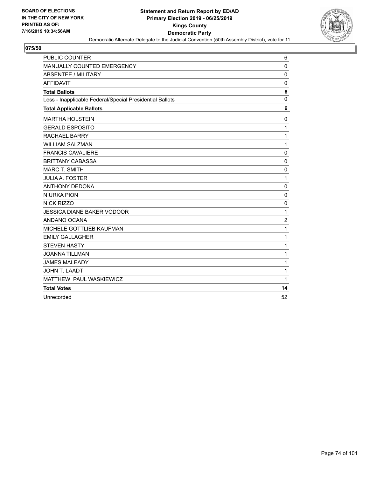

| <b>PUBLIC COUNTER</b>                                    | 6              |
|----------------------------------------------------------|----------------|
| MANUALLY COUNTED EMERGENCY                               | 0              |
| <b>ABSENTEE / MILITARY</b>                               | $\mathbf 0$    |
| <b>AFFIDAVIT</b>                                         | 0              |
| <b>Total Ballots</b>                                     | 6              |
| Less - Inapplicable Federal/Special Presidential Ballots | 0              |
| <b>Total Applicable Ballots</b>                          | 6              |
| <b>MARTHA HOLSTEIN</b>                                   | 0              |
| <b>GERALD ESPOSITO</b>                                   | $\mathbf{1}$   |
| <b>RACHAEL BARRY</b>                                     | $\mathbf{1}$   |
| <b>WILLIAM SALZMAN</b>                                   | $\mathbf{1}$   |
| <b>FRANCIS CAVALIERE</b>                                 | 0              |
| <b>BRITTANY CABASSA</b>                                  | $\mathbf 0$    |
| <b>MARC T. SMITH</b>                                     | 0              |
| <b>JULIA A. FOSTER</b>                                   | $\mathbf{1}$   |
| <b>ANTHONY DEDONA</b>                                    | 0              |
| <b>NIURKA PION</b>                                       | $\mathbf 0$    |
| <b>NICK RIZZO</b>                                        | $\mathbf 0$    |
| <b>JESSICA DIANE BAKER VODOOR</b>                        | 1              |
| ANDANO OCANA                                             | $\overline{c}$ |
| <b>MICHELE GOTTLIEB KAUFMAN</b>                          | 1              |
| <b>EMILY GALLAGHER</b>                                   | $\mathbf{1}$   |
| <b>STEVEN HASTY</b>                                      | $\mathbf{1}$   |
| <b>JOANNA TILLMAN</b>                                    | 1              |
| <b>JAMES MALEADY</b>                                     | $\mathbf 1$    |
| JOHN T. LAADT                                            | 1              |
| MATTHEW PAUL WASKIEWICZ                                  | $\mathbf{1}$   |
| <b>Total Votes</b>                                       | 14             |
| Unrecorded                                               | 52             |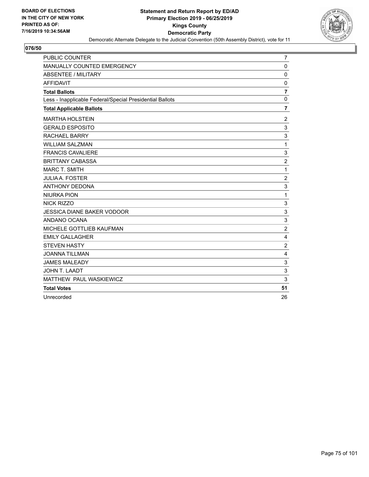

| PUBLIC COUNTER                                           | $\overline{7}$          |
|----------------------------------------------------------|-------------------------|
| MANUALLY COUNTED EMERGENCY                               | $\mathbf 0$             |
| <b>ABSENTEE / MILITARY</b>                               | $\mathbf 0$             |
| <b>AFFIDAVIT</b>                                         | 0                       |
| <b>Total Ballots</b>                                     | $\overline{\mathbf{r}}$ |
| Less - Inapplicable Federal/Special Presidential Ballots | $\mathbf 0$             |
| <b>Total Applicable Ballots</b>                          | $\overline{7}$          |
| <b>MARTHA HOLSTEIN</b>                                   | $\overline{c}$          |
| <b>GERALD ESPOSITO</b>                                   | 3                       |
| <b>RACHAEL BARRY</b>                                     | 3                       |
| <b>WILLIAM SALZMAN</b>                                   | 1                       |
| <b>FRANCIS CAVALIERE</b>                                 | 3                       |
| <b>BRITTANY CABASSA</b>                                  | $\boldsymbol{2}$        |
| <b>MARC T. SMITH</b>                                     | 1                       |
| <b>JULIA A. FOSTER</b>                                   | $\overline{c}$          |
| <b>ANTHONY DEDONA</b>                                    | 3                       |
| <b>NIURKA PION</b>                                       | $\mathbf 1$             |
| <b>NICK RIZZO</b>                                        | 3                       |
| <b>JESSICA DIANE BAKER VODOOR</b>                        | 3                       |
| ANDANO OCANA                                             | 3                       |
| MICHELE GOTTLIEB KAUFMAN                                 | $\overline{2}$          |
| <b>EMILY GALLAGHER</b>                                   | 4                       |
| <b>STEVEN HASTY</b>                                      | $\overline{2}$          |
| <b>JOANNA TILLMAN</b>                                    | 4                       |
| <b>JAMES MALEADY</b>                                     | 3                       |
| JOHN T. LAADT                                            | 3                       |
| MATTHEW PAUL WASKIEWICZ                                  | 3                       |
| <b>Total Votes</b>                                       | 51                      |
| Unrecorded                                               | 26                      |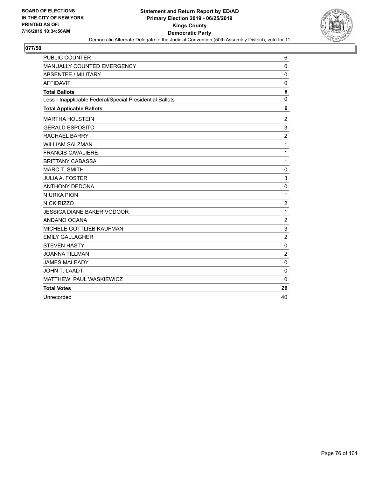

| PUBLIC COUNTER                                           | 6              |
|----------------------------------------------------------|----------------|
| MANUALLY COUNTED EMERGENCY                               | $\mathbf 0$    |
| <b>ABSENTEE / MILITARY</b>                               | $\mathbf 0$    |
| <b>AFFIDAVIT</b>                                         | 0              |
| <b>Total Ballots</b>                                     | 6              |
| Less - Inapplicable Federal/Special Presidential Ballots | $\mathbf 0$    |
| <b>Total Applicable Ballots</b>                          | 6              |
| <b>MARTHA HOLSTEIN</b>                                   | $\overline{2}$ |
| <b>GERALD ESPOSITO</b>                                   | 3              |
| <b>RACHAEL BARRY</b>                                     | $\overline{c}$ |
| <b>WILLIAM SALZMAN</b>                                   | 1              |
| <b>FRANCIS CAVALIERE</b>                                 | 1              |
| <b>BRITTANY CABASSA</b>                                  | 1              |
| <b>MARC T. SMITH</b>                                     | $\mathbf 0$    |
| <b>JULIA A. FOSTER</b>                                   | 3              |
| <b>ANTHONY DEDONA</b>                                    | $\mathbf 0$    |
| <b>NIURKA PION</b>                                       | 1              |
| NICK RIZZO                                               | $\overline{c}$ |
| <b>JESSICA DIANE BAKER VODOOR</b>                        | 1              |
| ANDANO OCANA                                             | $\overline{c}$ |
| MICHELE GOTTLIEB KAUFMAN                                 | 3              |
| <b>EMILY GALLAGHER</b>                                   | $\overline{c}$ |
| <b>STEVEN HASTY</b>                                      | $\pmb{0}$      |
| <b>JOANNA TILLMAN</b>                                    | $\overline{2}$ |
| <b>JAMES MALEADY</b>                                     | 0              |
| JOHN T. LAADT                                            | $\mathbf 0$    |
| MATTHEW PAUL WASKIEWICZ                                  | $\Omega$       |
| <b>Total Votes</b>                                       | 26             |
| Unrecorded                                               | 40             |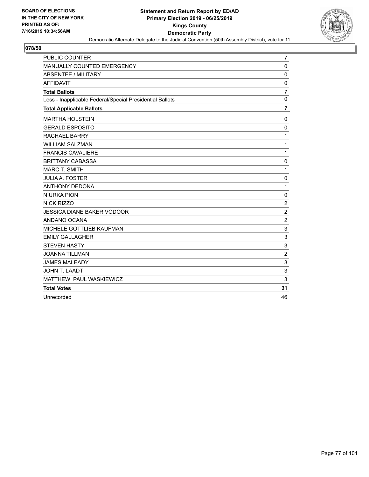

| PUBLIC COUNTER                                           | $\overline{7}$          |
|----------------------------------------------------------|-------------------------|
| MANUALLY COUNTED EMERGENCY                               | $\mathbf 0$             |
| <b>ABSENTEE / MILITARY</b>                               | $\Omega$                |
| <b>AFFIDAVIT</b>                                         | 0                       |
| <b>Total Ballots</b>                                     | $\overline{\mathbf{r}}$ |
| Less - Inapplicable Federal/Special Presidential Ballots | $\pmb{0}$               |
| <b>Total Applicable Ballots</b>                          | $\overline{\mathbf{r}}$ |
| <b>MARTHA HOLSTEIN</b>                                   | 0                       |
| <b>GERALD ESPOSITO</b>                                   | $\Omega$                |
| <b>RACHAEL BARRY</b>                                     | 1                       |
| <b>WILLIAM SALZMAN</b>                                   | 1                       |
| <b>FRANCIS CAVALIERE</b>                                 | 1                       |
| <b>BRITTANY CABASSA</b>                                  | $\mathbf 0$             |
| <b>MARC T. SMITH</b>                                     | 1                       |
| <b>JULIA A. FOSTER</b>                                   | $\mathbf 0$             |
| <b>ANTHONY DEDONA</b>                                    | 1                       |
| <b>NIURKA PION</b>                                       | $\mathbf 0$             |
| <b>NICK RIZZO</b>                                        | $\overline{c}$          |
| <b>JESSICA DIANE BAKER VODOOR</b>                        | $\overline{2}$          |
| ANDANO OCANA                                             | $\overline{2}$          |
| MICHELE GOTTLIEB KAUFMAN                                 | 3                       |
| <b>EMILY GALLAGHER</b>                                   | $\mathsf 3$             |
| <b>STEVEN HASTY</b>                                      | 3                       |
| <b>JOANNA TILLMAN</b>                                    | $\overline{2}$          |
| <b>JAMES MALEADY</b>                                     | 3                       |
| <b>JOHN T. LAADT</b>                                     | 3                       |
| MATTHEW PAUL WASKIEWICZ                                  | 3                       |
| <b>Total Votes</b>                                       | 31                      |
| Unrecorded                                               | 46                      |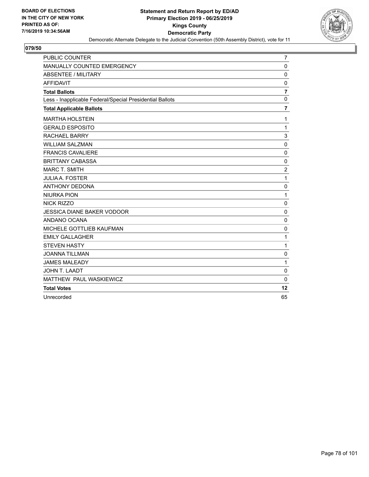

| PUBLIC COUNTER                                           | $\overline{7}$          |
|----------------------------------------------------------|-------------------------|
| MANUALLY COUNTED EMERGENCY                               | $\mathbf 0$             |
| <b>ABSENTEE / MILITARY</b>                               | $\mathbf 0$             |
| <b>AFFIDAVIT</b>                                         | 0                       |
| <b>Total Ballots</b>                                     | $\overline{\mathbf{r}}$ |
| Less - Inapplicable Federal/Special Presidential Ballots | $\mathbf 0$             |
| <b>Total Applicable Ballots</b>                          | $\overline{7}$          |
| <b>MARTHA HOLSTEIN</b>                                   | 1                       |
| <b>GERALD ESPOSITO</b>                                   | $\mathbf{1}$            |
| <b>RACHAEL BARRY</b>                                     | 3                       |
| <b>WILLIAM SALZMAN</b>                                   | $\mathbf 0$             |
| <b>FRANCIS CAVALIERE</b>                                 | $\mathbf 0$             |
| <b>BRITTANY CABASSA</b>                                  | $\mathbf 0$             |
| <b>MARC T. SMITH</b>                                     | $\overline{c}$          |
| <b>JULIA A. FOSTER</b>                                   | 1                       |
| <b>ANTHONY DEDONA</b>                                    | 0                       |
| <b>NIURKA PION</b>                                       | 1                       |
| <b>NICK RIZZO</b>                                        | 0                       |
| <b>JESSICA DIANE BAKER VODOOR</b>                        | $\mathbf 0$             |
| ANDANO OCANA                                             | $\mathbf 0$             |
| MICHELE GOTTLIEB KAUFMAN                                 | $\mathbf 0$             |
| <b>EMILY GALLAGHER</b>                                   | 1                       |
| <b>STEVEN HASTY</b>                                      | 1                       |
| <b>JOANNA TILLMAN</b>                                    | 0                       |
| <b>JAMES MALEADY</b>                                     | 1                       |
| JOHN T. LAADT                                            | $\mathbf 0$             |
| MATTHEW PAUL WASKIEWICZ                                  | $\mathbf{0}$            |
| <b>Total Votes</b>                                       | 12                      |
| Unrecorded                                               | 65                      |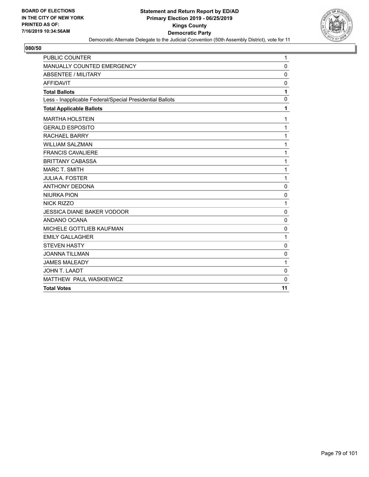

| <b>PUBLIC COUNTER</b>                                    | 1            |
|----------------------------------------------------------|--------------|
| MANUALLY COUNTED EMERGENCY                               | 0            |
| <b>ABSENTEE / MILITARY</b>                               | $\mathbf 0$  |
| <b>AFFIDAVIT</b>                                         | $\mathbf 0$  |
| <b>Total Ballots</b>                                     | 1            |
| Less - Inapplicable Federal/Special Presidential Ballots | $\mathbf 0$  |
| <b>Total Applicable Ballots</b>                          | 1            |
| <b>MARTHA HOLSTEIN</b>                                   | 1            |
| <b>GERALD ESPOSITO</b>                                   | 1            |
| <b>RACHAEL BARRY</b>                                     | 1            |
| <b>WILLIAM SALZMAN</b>                                   | 1            |
| <b>FRANCIS CAVALIERE</b>                                 | 1            |
| <b>BRITTANY CABASSA</b>                                  | 1            |
| <b>MARC T. SMITH</b>                                     | 1            |
| <b>JULIA A. FOSTER</b>                                   | $\mathbf{1}$ |
| <b>ANTHONY DEDONA</b>                                    | $\mathbf 0$  |
| <b>NIURKA PION</b>                                       | $\mathbf{0}$ |
| <b>NICK RIZZO</b>                                        | 1            |
| <b>JESSICA DIANE BAKER VODOOR</b>                        | $\mathbf 0$  |
| ANDANO OCANA                                             | $\mathbf 0$  |
| MICHELE GOTTLIEB KAUFMAN                                 | $\mathbf 0$  |
| <b>EMILY GALLAGHER</b>                                   | 1            |
| <b>STEVEN HASTY</b>                                      | 0            |
| <b>JOANNA TILLMAN</b>                                    | $\mathbf 0$  |
| <b>JAMES MALEADY</b>                                     | 1            |
| JOHN T. LAADT                                            | $\mathbf 0$  |
| MATTHEW PAUL WASKIEWICZ                                  | $\mathbf 0$  |
| <b>Total Votes</b>                                       | 11           |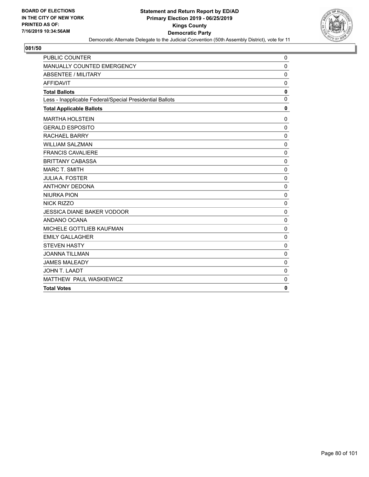

| <b>PUBLIC COUNTER</b>                                    | 0            |
|----------------------------------------------------------|--------------|
| MANUALLY COUNTED EMERGENCY                               | $\mathbf 0$  |
| <b>ABSENTEE / MILITARY</b>                               | $\mathbf 0$  |
| <b>AFFIDAVIT</b>                                         | $\mathbf 0$  |
| <b>Total Ballots</b>                                     | $\mathbf 0$  |
| Less - Inapplicable Federal/Special Presidential Ballots | $\Omega$     |
| <b>Total Applicable Ballots</b>                          | $\mathbf 0$  |
| <b>MARTHA HOLSTEIN</b>                                   | $\mathbf 0$  |
| <b>GERALD ESPOSITO</b>                                   | $\mathbf 0$  |
| <b>RACHAEL BARRY</b>                                     | $\pmb{0}$    |
| <b>WILLIAM SALZMAN</b>                                   | $\mathbf 0$  |
| <b>FRANCIS CAVALIERE</b>                                 | $\mathbf 0$  |
| <b>BRITTANY CABASSA</b>                                  | $\Omega$     |
| <b>MARC T. SMITH</b>                                     | $\Omega$     |
| <b>JULIA A. FOSTER</b>                                   | $\mathbf 0$  |
| <b>ANTHONY DEDONA</b>                                    | $\mathbf 0$  |
| <b>NIURKA PION</b>                                       | $\mathbf 0$  |
| <b>NICK RIZZO</b>                                        | $\mathbf 0$  |
| <b>JESSICA DIANE BAKER VODOOR</b>                        | $\mathbf 0$  |
| ANDANO OCANA                                             | $\mathbf 0$  |
| MICHELE GOTTLIEB KAUFMAN                                 | $\mathbf 0$  |
| <b>EMILY GALLAGHER</b>                                   | $\Omega$     |
| <b>STEVEN HASTY</b>                                      | $\mathbf 0$  |
| <b>JOANNA TILLMAN</b>                                    | $\mathbf 0$  |
| <b>JAMES MALEADY</b>                                     | $\mathbf 0$  |
| JOHN T. LAADT                                            | 0            |
| MATTHEW PAUL WASKIEWICZ                                  | $\mathbf 0$  |
| <b>Total Votes</b>                                       | $\mathbf{0}$ |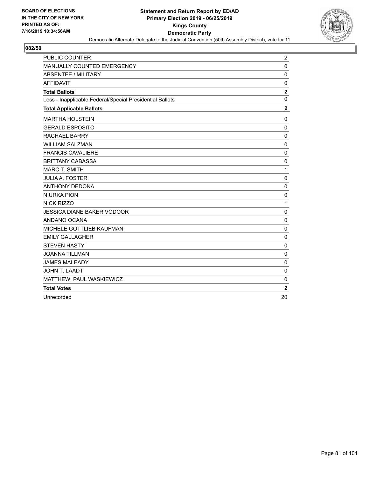

| <b>PUBLIC COUNTER</b>                                    | $\overline{c}$ |
|----------------------------------------------------------|----------------|
| MANUALLY COUNTED EMERGENCY                               | $\mathbf 0$    |
| <b>ABSENTEE / MILITARY</b>                               | $\mathbf 0$    |
| <b>AFFIDAVIT</b>                                         | 0              |
| <b>Total Ballots</b>                                     | $\bf 2$        |
| Less - Inapplicable Federal/Special Presidential Ballots | $\mathbf 0$    |
| <b>Total Applicable Ballots</b>                          | $\overline{2}$ |
| <b>MARTHA HOLSTEIN</b>                                   | 0              |
| <b>GERALD ESPOSITO</b>                                   | $\mathbf 0$    |
| <b>RACHAEL BARRY</b>                                     | 0              |
| <b>WILLIAM SALZMAN</b>                                   | $\mathbf 0$    |
| <b>FRANCIS CAVALIERE</b>                                 | 0              |
| <b>BRITTANY CABASSA</b>                                  | 0              |
| <b>MARC T. SMITH</b>                                     | 1              |
| <b>JULIA A. FOSTER</b>                                   | $\Omega$       |
| <b>ANTHONY DEDONA</b>                                    | 0              |
| <b>NIURKA PION</b>                                       | $\mathbf 0$    |
| <b>NICK RIZZO</b>                                        | 1              |
| <b>JESSICA DIANE BAKER VODOOR</b>                        | $\mathbf 0$    |
| ANDANO OCANA                                             | $\mathbf 0$    |
| <b>MICHELE GOTTLIEB KAUFMAN</b>                          | $\mathbf 0$    |
| <b>EMILY GALLAGHER</b>                                   | $\pmb{0}$      |
| <b>STEVEN HASTY</b>                                      | $\mathbf 0$    |
| <b>JOANNA TILLMAN</b>                                    | $\mathbf 0$    |
| <b>JAMES MALEADY</b>                                     | $\mathbf 0$    |
| JOHN T. LAADT                                            | $\mathbf 0$    |
| MATTHEW PAUL WASKIEWICZ                                  | 0              |
| <b>Total Votes</b>                                       | $\mathbf{2}$   |
| Unrecorded                                               | 20             |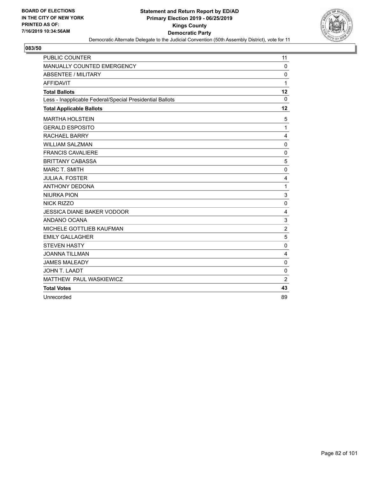

| PUBLIC COUNTER                                           | 11             |
|----------------------------------------------------------|----------------|
| MANUALLY COUNTED EMERGENCY                               | $\mathbf 0$    |
| <b>ABSENTEE / MILITARY</b>                               | $\Omega$       |
| <b>AFFIDAVIT</b>                                         | 1              |
| <b>Total Ballots</b>                                     | 12             |
| Less - Inapplicable Federal/Special Presidential Ballots | $\mathbf 0$    |
| <b>Total Applicable Ballots</b>                          | 12             |
| <b>MARTHA HOLSTEIN</b>                                   | 5              |
| <b>GERALD ESPOSITO</b>                                   | 1              |
| <b>RACHAEL BARRY</b>                                     | 4              |
| <b>WILLIAM SALZMAN</b>                                   | $\mathbf 0$    |
| <b>FRANCIS CAVALIERE</b>                                 | $\mathbf 0$    |
| <b>BRITTANY CABASSA</b>                                  | 5              |
| <b>MARC T. SMITH</b>                                     | 0              |
| <b>JULIA A. FOSTER</b>                                   | 4              |
| <b>ANTHONY DEDONA</b>                                    | 1              |
| <b>NIURKA PION</b>                                       | 3              |
| <b>NICK RIZZO</b>                                        | $\mathbf 0$    |
| <b>JESSICA DIANE BAKER VODOOR</b>                        | 4              |
| ANDANO OCANA                                             | 3              |
| MICHELE GOTTLIEB KAUFMAN                                 | $\overline{2}$ |
| <b>EMILY GALLAGHER</b>                                   | 5              |
| <b>STEVEN HASTY</b>                                      | $\mathbf 0$    |
| <b>JOANNA TILLMAN</b>                                    | 4              |
| <b>JAMES MALEADY</b>                                     | $\pmb{0}$      |
| <b>JOHN T. LAADT</b>                                     | $\mathbf 0$    |
| MATTHEW PAUL WASKIEWICZ                                  | $\overline{2}$ |
| <b>Total Votes</b>                                       | 43             |
| Unrecorded                                               | 89             |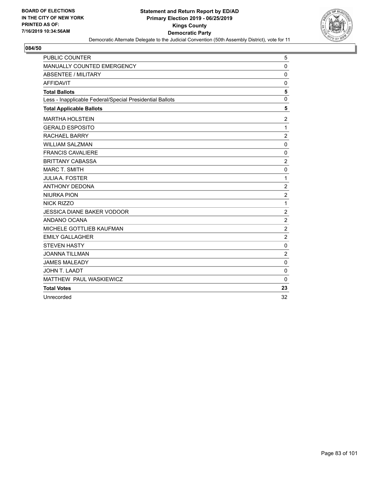

| <b>PUBLIC COUNTER</b>                                    | 5              |
|----------------------------------------------------------|----------------|
| <b>MANUALLY COUNTED EMERGENCY</b>                        | $\Omega$       |
| ABSENTEE / MILITARY                                      | 0              |
| <b>AFFIDAVIT</b>                                         | 0              |
| <b>Total Ballots</b>                                     | 5              |
| Less - Inapplicable Federal/Special Presidential Ballots | $\mathbf 0$    |
| <b>Total Applicable Ballots</b>                          | 5              |
| <b>MARTHA HOLSTEIN</b>                                   | $\overline{2}$ |
| <b>GERALD ESPOSITO</b>                                   | 1              |
| <b>RACHAEL BARRY</b>                                     | $\overline{2}$ |
| <b>WILLIAM SALZMAN</b>                                   | $\mathbf 0$    |
| <b>FRANCIS CAVALIERE</b>                                 | $\pmb{0}$      |
| <b>BRITTANY CABASSA</b>                                  | $\overline{c}$ |
| <b>MARC T. SMITH</b>                                     | $\mathbf 0$    |
| <b>JULIA A. FOSTER</b>                                   | 1              |
| <b>ANTHONY DEDONA</b>                                    | $\overline{c}$ |
| <b>NIURKA PION</b>                                       | $\overline{c}$ |
| <b>NICK RIZZO</b>                                        | 1              |
| <b>JESSICA DIANE BAKER VODOOR</b>                        | $\overline{c}$ |
| ANDANO OCANA                                             | $\overline{c}$ |
| MICHELE GOTTLIEB KAUFMAN                                 | $\overline{2}$ |
| <b>EMILY GALLAGHER</b>                                   | $\overline{c}$ |
| <b>STEVEN HASTY</b>                                      | 0              |
| <b>JOANNA TILLMAN</b>                                    | $\overline{2}$ |
| <b>JAMES MALEADY</b>                                     | 0              |
| <b>JOHN T. LAADT</b>                                     | $\mathbf 0$    |
| MATTHEW PAUL WASKIEWICZ                                  | 0              |
| <b>Total Votes</b>                                       | 23             |
| Unrecorded                                               | 32             |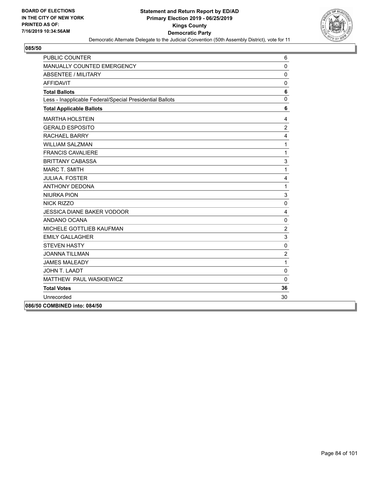

| <b>PUBLIC COUNTER</b>                                    | 6              |
|----------------------------------------------------------|----------------|
| MANUALLY COUNTED EMERGENCY                               | 0              |
| <b>ABSENTEE / MILITARY</b>                               | $\mathbf 0$    |
| <b>AFFIDAVIT</b>                                         | $\mathbf 0$    |
| <b>Total Ballots</b>                                     | 6              |
| Less - Inapplicable Federal/Special Presidential Ballots | $\mathbf{0}$   |
| <b>Total Applicable Ballots</b>                          | 6              |
| <b>MARTHA HOLSTEIN</b>                                   | 4              |
| <b>GERALD ESPOSITO</b>                                   | $\overline{2}$ |
| <b>RACHAEL BARRY</b>                                     | $\overline{4}$ |
| <b>WILLIAM SALZMAN</b>                                   | $\mathbf{1}$   |
| <b>FRANCIS CAVALIERE</b>                                 | $\mathbf{1}$   |
| <b>BRITTANY CABASSA</b>                                  | 3              |
| <b>MARC T. SMITH</b>                                     | $\mathbf{1}$   |
| <b>JULIA A. FOSTER</b>                                   | 4              |
| <b>ANTHONY DEDONA</b>                                    | $\mathbf{1}$   |
| <b>NIURKA PION</b>                                       | 3              |
| <b>NICK RIZZO</b>                                        | $\mathbf 0$    |
| <b>JESSICA DIANE BAKER VODOOR</b>                        | 4              |
| ANDANO OCANA                                             | 0              |
| MICHELE GOTTLIEB KAUFMAN                                 | $\sqrt{2}$     |
| <b>EMILY GALLAGHER</b>                                   | 3              |
| <b>STEVEN HASTY</b>                                      | $\mathbf 0$    |
| <b>JOANNA TILLMAN</b>                                    | $\overline{2}$ |
| <b>JAMES MALEADY</b>                                     | $\mathbf{1}$   |
| JOHN T. LAADT                                            | $\mathbf 0$    |
| MATTHEW PAUL WASKIEWICZ                                  | $\mathbf 0$    |
| <b>Total Votes</b>                                       | 36             |
| Unrecorded                                               | 30             |
| 086/50 COMBINED into: 084/50                             |                |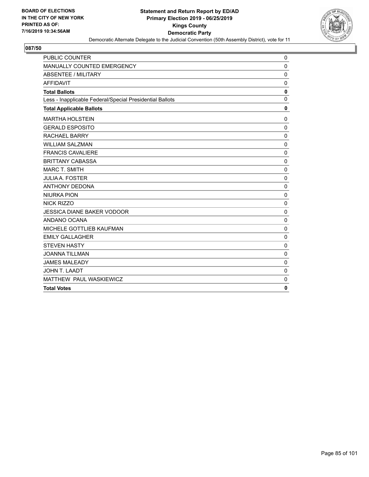

| <b>PUBLIC COUNTER</b>                                    | 0            |
|----------------------------------------------------------|--------------|
| MANUALLY COUNTED EMERGENCY                               | 0            |
| <b>ABSENTEE / MILITARY</b>                               | $\mathbf 0$  |
| <b>AFFIDAVIT</b>                                         | $\mathbf 0$  |
| <b>Total Ballots</b>                                     | $\mathbf 0$  |
| Less - Inapplicable Federal/Special Presidential Ballots | $\mathbf 0$  |
| <b>Total Applicable Ballots</b>                          | $\mathbf 0$  |
| <b>MARTHA HOLSTEIN</b>                                   | 0            |
| <b>GERALD ESPOSITO</b>                                   | $\mathbf 0$  |
| <b>RACHAEL BARRY</b>                                     | $\pmb{0}$    |
| <b>WILLIAM SALZMAN</b>                                   | $\mathbf 0$  |
| <b>FRANCIS CAVALIERE</b>                                 | $\mathbf 0$  |
| <b>BRITTANY CABASSA</b>                                  | $\Omega$     |
| <b>MARC T. SMITH</b>                                     | $\Omega$     |
| <b>JULIA A. FOSTER</b>                                   | $\mathbf 0$  |
| <b>ANTHONY DEDONA</b>                                    | $\mathbf 0$  |
| <b>NIURKA PION</b>                                       | $\mathbf{0}$ |
| NICK RIZZO                                               | 0            |
| <b>JESSICA DIANE BAKER VODOOR</b>                        | $\mathbf 0$  |
| ANDANO OCANA                                             | $\mathbf 0$  |
| MICHELE GOTTLIEB KAUFMAN                                 | $\mathbf 0$  |
| <b>EMILY GALLAGHER</b>                                   | $\mathbf 0$  |
| <b>STEVEN HASTY</b>                                      | 0            |
| <b>JOANNA TILLMAN</b>                                    | $\Omega$     |
| <b>JAMES MALEADY</b>                                     | $\Omega$     |
| JOHN T. LAADT                                            | $\mathbf 0$  |
| MATTHEW PAUL WASKIEWICZ                                  | $\mathbf 0$  |
| <b>Total Votes</b>                                       | $\mathbf{0}$ |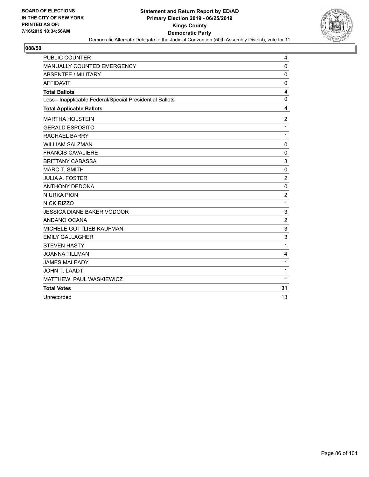

| PUBLIC COUNTER                                           | 4                       |
|----------------------------------------------------------|-------------------------|
| MANUALLY COUNTED EMERGENCY                               | 0                       |
| ABSENTEE / MILITARY                                      | 0                       |
| <b>AFFIDAVIT</b>                                         | 0                       |
| <b>Total Ballots</b>                                     | $\overline{\mathbf{4}}$ |
| Less - Inapplicable Federal/Special Presidential Ballots | 0                       |
| <b>Total Applicable Ballots</b>                          | 4                       |
| <b>MARTHA HOLSTEIN</b>                                   | $\overline{2}$          |
| <b>GERALD ESPOSITO</b>                                   | $\mathbf{1}$            |
| <b>RACHAEL BARRY</b>                                     | $\mathbf{1}$            |
| <b>WILLIAM SALZMAN</b>                                   | $\mathbf 0$             |
| <b>FRANCIS CAVALIERE</b>                                 | 0                       |
| <b>BRITTANY CABASSA</b>                                  | 3                       |
| <b>MARC T. SMITH</b>                                     | 0                       |
| <b>JULIA A. FOSTER</b>                                   | $\overline{c}$          |
| <b>ANTHONY DEDONA</b>                                    | $\mathbf 0$             |
| <b>NIURKA PION</b>                                       | $\overline{c}$          |
| <b>NICK RIZZO</b>                                        | $\mathbf{1}$            |
| <b>JESSICA DIANE BAKER VODOOR</b>                        | 3                       |
| ANDANO OCANA                                             | $\overline{c}$          |
| MICHELE GOTTLIEB KAUFMAN                                 | 3                       |
| <b>EMILY GALLAGHER</b>                                   | 3                       |
| <b>STEVEN HASTY</b>                                      | 1                       |
| <b>JOANNA TILLMAN</b>                                    | 4                       |
| <b>JAMES MALEADY</b>                                     | $\mathbf 1$             |
| JOHN T. LAADT                                            | 1                       |
| MATTHEW PAUL WASKIEWICZ                                  | $\mathbf{1}$            |
| <b>Total Votes</b>                                       | 31                      |
| Unrecorded                                               | 13                      |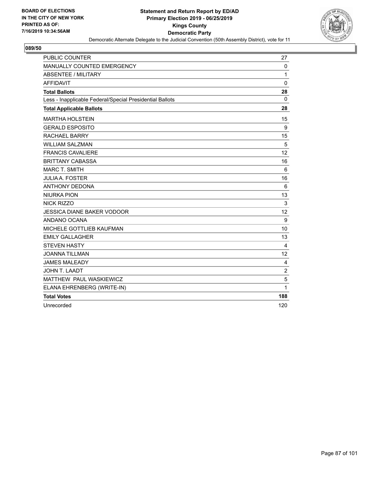

| <b>PUBLIC COUNTER</b>                                    | 27             |
|----------------------------------------------------------|----------------|
| MANUALLY COUNTED EMERGENCY                               | 0              |
| <b>ABSENTEE / MILITARY</b>                               | 1              |
| <b>AFFIDAVIT</b>                                         | $\Omega$       |
| <b>Total Ballots</b>                                     | 28             |
| Less - Inapplicable Federal/Special Presidential Ballots | 0              |
| <b>Total Applicable Ballots</b>                          | 28             |
| <b>MARTHA HOLSTEIN</b>                                   | 15             |
| <b>GERALD ESPOSITO</b>                                   | 9              |
| <b>RACHAEL BARRY</b>                                     | 15             |
| <b>WILLIAM SALZMAN</b>                                   | 5              |
| <b>FRANCIS CAVALIERE</b>                                 | 12             |
| <b>BRITTANY CABASSA</b>                                  | 16             |
| <b>MARC T. SMITH</b>                                     | 6              |
| <b>JULIA A. FOSTER</b>                                   | 16             |
| <b>ANTHONY DEDONA</b>                                    | 6              |
| <b>NIURKA PION</b>                                       | 13             |
| NICK RIZZO                                               | 3              |
| <b>JESSICA DIANE BAKER VODOOR</b>                        | 12             |
| ANDANO OCANA                                             | 9              |
| MICHELE GOTTLIEB KAUFMAN                                 | 10             |
| <b>EMILY GALLAGHER</b>                                   | 13             |
| <b>STEVEN HASTY</b>                                      | $\overline{4}$ |
| <b>JOANNA TILLMAN</b>                                    | 12             |
| <b>JAMES MALEADY</b>                                     | 4              |
| JOHN T. LAADT                                            | $\overline{2}$ |
| MATTHEW PAUL WASKIEWICZ                                  | $\sqrt{5}$     |
| ELANA EHRENBERG (WRITE-IN)                               | 1              |
| <b>Total Votes</b>                                       | 188            |
| Unrecorded                                               | 120            |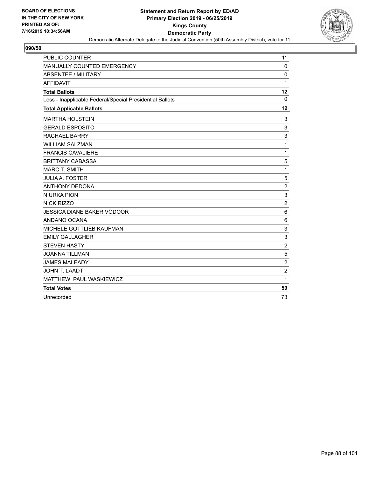

| PUBLIC COUNTER                                           | 11               |
|----------------------------------------------------------|------------------|
| MANUALLY COUNTED EMERGENCY                               | 0                |
| <b>ABSENTEE / MILITARY</b>                               | $\mathbf 0$      |
| <b>AFFIDAVIT</b>                                         | $\mathbf{1}$     |
| <b>Total Ballots</b>                                     | 12               |
| Less - Inapplicable Federal/Special Presidential Ballots | $\mathbf 0$      |
| <b>Total Applicable Ballots</b>                          | 12               |
| <b>MARTHA HOLSTEIN</b>                                   | 3                |
| <b>GERALD ESPOSITO</b>                                   | 3                |
| <b>RACHAEL BARRY</b>                                     | 3                |
| <b>WILLIAM SALZMAN</b>                                   | $\mathbf 1$      |
| <b>FRANCIS CAVALIERE</b>                                 | $\mathbf{1}$     |
| <b>BRITTANY CABASSA</b>                                  | 5                |
| <b>MARC T. SMITH</b>                                     | $\mathbf{1}$     |
| <b>JULIA A. FOSTER</b>                                   | 5                |
| <b>ANTHONY DEDONA</b>                                    | $\overline{c}$   |
| <b>NIURKA PION</b>                                       | 3                |
| <b>NICK RIZZO</b>                                        | $\overline{2}$   |
| <b>JESSICA DIANE BAKER VODOOR</b>                        | 6                |
| ANDANO OCANA                                             | 6                |
| MICHELE GOTTLIEB KAUFMAN                                 | 3                |
| <b>EMILY GALLAGHER</b>                                   | 3                |
| <b>STEVEN HASTY</b>                                      | $\boldsymbol{2}$ |
| <b>JOANNA TILLMAN</b>                                    | 5                |
| <b>JAMES MALEADY</b>                                     | $\overline{2}$   |
| <b>JOHN T. LAADT</b>                                     | $\overline{2}$   |
| MATTHEW PAUL WASKIEWICZ                                  | $\mathbf{1}$     |
| <b>Total Votes</b>                                       | 59               |
| Unrecorded                                               | 73               |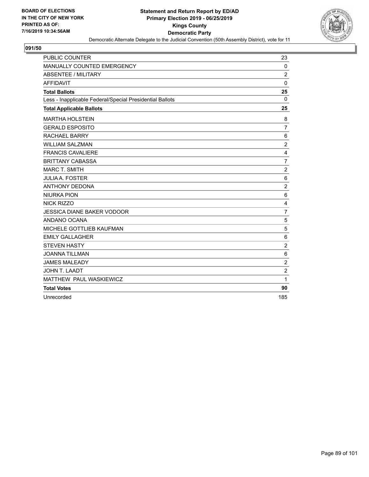

| PUBLIC COUNTER                                           | 23                      |
|----------------------------------------------------------|-------------------------|
| MANUALLY COUNTED EMERGENCY                               | $\mathbf 0$             |
| <b>ABSENTEE / MILITARY</b>                               | $\overline{2}$          |
| <b>AFFIDAVIT</b>                                         | $\Omega$                |
| <b>Total Ballots</b>                                     | 25                      |
| Less - Inapplicable Federal/Special Presidential Ballots | $\Omega$                |
| <b>Total Applicable Ballots</b>                          | 25                      |
| <b>MARTHA HOLSTEIN</b>                                   | 8                       |
| <b>GERALD ESPOSITO</b>                                   | $\overline{7}$          |
| <b>RACHAEL BARRY</b>                                     | 6                       |
| <b>WILLIAM SALZMAN</b>                                   | $\overline{\mathbf{c}}$ |
| <b>FRANCIS CAVALIERE</b>                                 | $\overline{\mathbf{4}}$ |
| <b>BRITTANY CABASSA</b>                                  | $\overline{7}$          |
| <b>MARC T. SMITH</b>                                     | $\overline{c}$          |
| <b>JULIA A. FOSTER</b>                                   | $\,6$                   |
| <b>ANTHONY DEDONA</b>                                    | $\overline{c}$          |
| <b>NIURKA PION</b>                                       | 6                       |
| <b>NICK RIZZO</b>                                        | $\overline{\mathbf{4}}$ |
| <b>JESSICA DIANE BAKER VODOOR</b>                        | $\overline{7}$          |
| ANDANO OCANA                                             | 5                       |
| MICHELE GOTTLIEB KAUFMAN                                 | 5                       |
| <b>EMILY GALLAGHER</b>                                   | 6                       |
| <b>STEVEN HASTY</b>                                      | $\overline{c}$          |
| <b>JOANNA TILLMAN</b>                                    | $\,6$                   |
| <b>JAMES MALEADY</b>                                     | $\overline{c}$          |
| <b>JOHN T. LAADT</b>                                     | $\overline{c}$          |
| MATTHEW PAUL WASKIEWICZ                                  | 1                       |
| <b>Total Votes</b>                                       | 90                      |
| Unrecorded                                               | 185                     |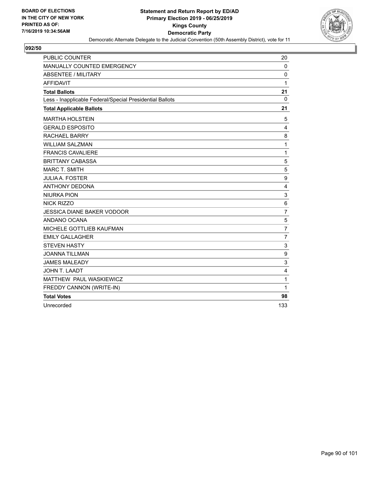

| <b>PUBLIC COUNTER</b>                                    | 20               |
|----------------------------------------------------------|------------------|
| <b>MANUALLY COUNTED EMERGENCY</b>                        | 0                |
| <b>ABSENTEE / MILITARY</b>                               | $\mathbf 0$      |
| <b>AFFIDAVIT</b>                                         | 1                |
| <b>Total Ballots</b>                                     | 21               |
| Less - Inapplicable Federal/Special Presidential Ballots | 0                |
| <b>Total Applicable Ballots</b>                          | 21               |
| <b>MARTHA HOLSTEIN</b>                                   | 5                |
| <b>GERALD ESPOSITO</b>                                   | 4                |
| <b>RACHAEL BARRY</b>                                     | 8                |
| <b>WILLIAM SALZMAN</b>                                   | 1                |
| <b>FRANCIS CAVALIERE</b>                                 | 1                |
| <b>BRITTANY CABASSA</b>                                  | 5                |
| <b>MARC T. SMITH</b>                                     | 5                |
| <b>JULIA A. FOSTER</b>                                   | 9                |
| <b>ANTHONY DEDONA</b>                                    | $\overline{4}$   |
| <b>NIURKA PION</b>                                       | 3                |
| <b>NICK RIZZO</b>                                        | 6                |
| <b>JESSICA DIANE BAKER VODOOR</b>                        | $\overline{7}$   |
| ANDANO OCANA                                             | 5                |
| MICHELE GOTTLIEB KAUFMAN                                 | $\overline{7}$   |
| <b>EMILY GALLAGHER</b>                                   | $\overline{7}$   |
| <b>STEVEN HASTY</b>                                      | 3                |
| <b>JOANNA TILLMAN</b>                                    | $\boldsymbol{9}$ |
| <b>JAMES MALEADY</b>                                     | 3                |
| JOHN T. LAADT                                            | 4                |
| MATTHEW PAUL WASKIEWICZ                                  | 1                |
| FREDDY CANNON (WRITE-IN)                                 | 1                |
| <b>Total Votes</b>                                       | 98               |
| Unrecorded                                               | 133              |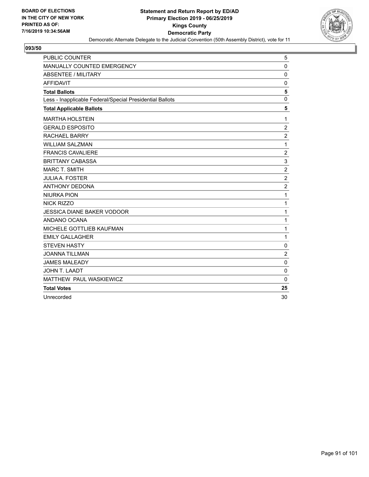

| PUBLIC COUNTER                                           | 5                       |
|----------------------------------------------------------|-------------------------|
| MANUALLY COUNTED EMERGENCY                               | 0                       |
| ABSENTEE / MILITARY                                      | 0                       |
| <b>AFFIDAVIT</b>                                         | 0                       |
| <b>Total Ballots</b>                                     | 5                       |
| Less - Inapplicable Federal/Special Presidential Ballots | 0                       |
| <b>Total Applicable Ballots</b>                          | 5                       |
| <b>MARTHA HOLSTEIN</b>                                   | $\mathbf{1}$            |
| <b>GERALD ESPOSITO</b>                                   | $\overline{2}$          |
| <b>RACHAEL BARRY</b>                                     | $\overline{\mathbf{c}}$ |
| <b>WILLIAM SALZMAN</b>                                   | $\mathbf{1}$            |
| <b>FRANCIS CAVALIERE</b>                                 | $\overline{2}$          |
| <b>BRITTANY CABASSA</b>                                  | 3                       |
| <b>MARC T. SMITH</b>                                     | $\boldsymbol{2}$        |
| <b>JULIA A. FOSTER</b>                                   | $\overline{c}$          |
| <b>ANTHONY DEDONA</b>                                    | $\overline{2}$          |
| <b>NIURKA PION</b>                                       | 1                       |
| <b>NICK RIZZO</b>                                        | $\mathbf{1}$            |
| <b>JESSICA DIANE BAKER VODOOR</b>                        | $\mathbf{1}$            |
| ANDANO OCANA                                             | 1                       |
| <b>MICHELE GOTTLIEB KAUFMAN</b>                          | $\mathbf{1}$            |
| <b>EMILY GALLAGHER</b>                                   | $\mathbf{1}$            |
| <b>STEVEN HASTY</b>                                      | 0                       |
| <b>JOANNA TILLMAN</b>                                    | $\overline{c}$          |
| <b>JAMES MALEADY</b>                                     | 0                       |
| JOHN T. LAADT                                            | $\mathbf 0$             |
| MATTHEW PAUL WASKIEWICZ                                  | $\mathbf{0}$            |
| <b>Total Votes</b>                                       | 25                      |
| Unrecorded                                               | 30                      |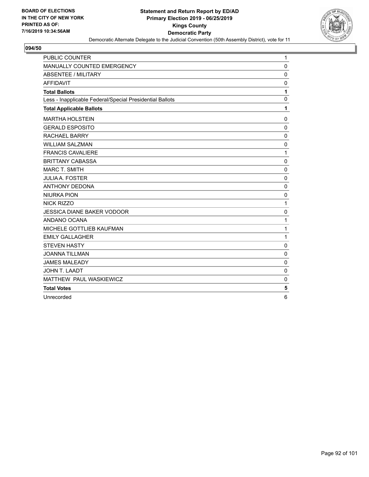

| PUBLIC COUNTER                                           | 1           |
|----------------------------------------------------------|-------------|
| MANUALLY COUNTED EMERGENCY                               | $\mathbf 0$ |
| <b>ABSENTEE / MILITARY</b>                               | $\mathbf 0$ |
| <b>AFFIDAVIT</b>                                         | 0           |
| <b>Total Ballots</b>                                     | 1           |
| Less - Inapplicable Federal/Special Presidential Ballots | $\mathbf 0$ |
| <b>Total Applicable Ballots</b>                          | 1           |
| <b>MARTHA HOLSTEIN</b>                                   | 0           |
| <b>GERALD ESPOSITO</b>                                   | $\mathbf 0$ |
| <b>RACHAEL BARRY</b>                                     | $\mathbf 0$ |
| <b>WILLIAM SALZMAN</b>                                   | $\mathbf 0$ |
| <b>FRANCIS CAVALIERE</b>                                 | 1           |
| <b>BRITTANY CABASSA</b>                                  | $\mathbf 0$ |
| <b>MARC T. SMITH</b>                                     | $\mathbf 0$ |
| <b>JULIA A. FOSTER</b>                                   | $\mathbf 0$ |
| <b>ANTHONY DEDONA</b>                                    | $\mathbf 0$ |
| <b>NIURKA PION</b>                                       | $\mathbf 0$ |
| NICK RIZZO                                               | 1           |
| <b>JESSICA DIANE BAKER VODOOR</b>                        | $\mathbf 0$ |
| ANDANO OCANA                                             | 1           |
| MICHELE GOTTLIEB KAUFMAN                                 | 1           |
| <b>EMILY GALLAGHER</b>                                   | 1           |
| <b>STEVEN HASTY</b>                                      | 0           |
| <b>JOANNA TILLMAN</b>                                    | $\mathbf 0$ |
| <b>JAMES MALEADY</b>                                     | 0           |
| JOHN T. LAADT                                            | $\mathbf 0$ |
| MATTHEW PAUL WASKIEWICZ                                  | $\mathbf 0$ |
| <b>Total Votes</b>                                       | 5           |
| Unrecorded                                               | 6           |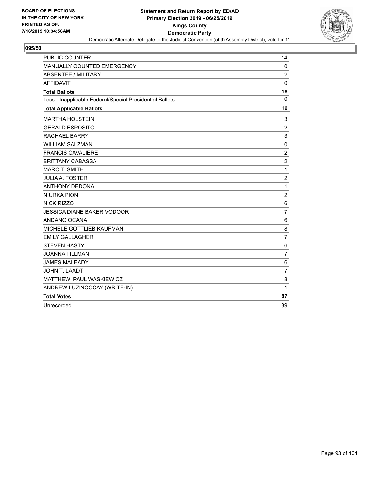

| PUBLIC COUNTER                                           | 14               |
|----------------------------------------------------------|------------------|
| <b>MANUALLY COUNTED EMERGENCY</b>                        | 0                |
| ABSENTEE / MILITARY                                      | $\overline{2}$   |
| <b>AFFIDAVIT</b>                                         | 0                |
| <b>Total Ballots</b>                                     | 16               |
| Less - Inapplicable Federal/Special Presidential Ballots | $\Omega$         |
| <b>Total Applicable Ballots</b>                          | 16               |
| <b>MARTHA HOLSTEIN</b>                                   | 3                |
| <b>GERALD ESPOSITO</b>                                   | $\overline{2}$   |
| <b>RACHAEL BARRY</b>                                     | $\mathsf 3$      |
| <b>WILLIAM SALZMAN</b>                                   | 0                |
| <b>FRANCIS CAVALIERE</b>                                 | $\boldsymbol{2}$ |
| <b>BRITTANY CABASSA</b>                                  | $\boldsymbol{2}$ |
| <b>MARC T. SMITH</b>                                     | 1                |
| <b>JULIA A. FOSTER</b>                                   | $\overline{2}$   |
| <b>ANTHONY DEDONA</b>                                    | $\mathbf{1}$     |
| <b>NIURKA PION</b>                                       | 2                |
| <b>NICK RIZZO</b>                                        | 6                |
| <b>JESSICA DIANE BAKER VODOOR</b>                        | $\overline{7}$   |
| ANDANO OCANA                                             | 6                |
| MICHELE GOTTLIEB KAUFMAN                                 | 8                |
| <b>EMILY GALLAGHER</b>                                   | $\overline{7}$   |
| <b>STEVEN HASTY</b>                                      | 6                |
| <b>JOANNA TILLMAN</b>                                    | $\overline{7}$   |
| <b>JAMES MALEADY</b>                                     | 6                |
| <b>JOHN T. LAADT</b>                                     | $\overline{7}$   |
| MATTHEW PAUL WASKIEWICZ                                  | 8                |
| ANDREW LUZINOCCAY (WRITE-IN)                             | 1                |
| <b>Total Votes</b>                                       | 87               |
| Unrecorded                                               | 89               |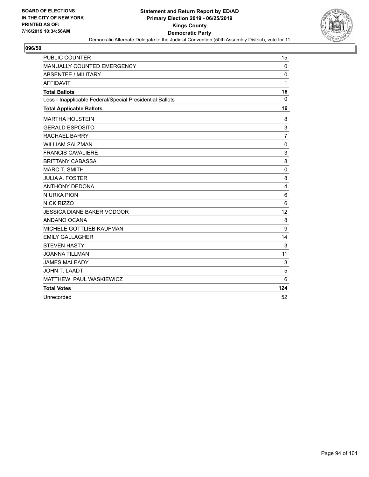

| PUBLIC COUNTER                                           | 15             |
|----------------------------------------------------------|----------------|
| MANUALLY COUNTED EMERGENCY                               | $\mathbf 0$    |
| <b>ABSENTEE / MILITARY</b>                               | $\Omega$       |
| <b>AFFIDAVIT</b>                                         | 1              |
| <b>Total Ballots</b>                                     | 16             |
| Less - Inapplicable Federal/Special Presidential Ballots | $\mathbf 0$    |
| <b>Total Applicable Ballots</b>                          | 16             |
| <b>MARTHA HOLSTEIN</b>                                   | 8              |
| <b>GERALD ESPOSITO</b>                                   | 3              |
| <b>RACHAEL BARRY</b>                                     | $\overline{7}$ |
| <b>WILLIAM SALZMAN</b>                                   | $\mathbf 0$    |
| <b>FRANCIS CAVALIERE</b>                                 | 3              |
| <b>BRITTANY CABASSA</b>                                  | 8              |
| <b>MARC T. SMITH</b>                                     | $\mathbf 0$    |
| <b>JULIA A. FOSTER</b>                                   | 8              |
| <b>ANTHONY DEDONA</b>                                    | 4              |
| <b>NIURKA PION</b>                                       | 6              |
| <b>NICK RIZZO</b>                                        | 6              |
| <b>JESSICA DIANE BAKER VODOOR</b>                        | 12             |
| ANDANO OCANA                                             | 8              |
| MICHELE GOTTLIEB KAUFMAN                                 | 9              |
| <b>EMILY GALLAGHER</b>                                   | 14             |
| <b>STEVEN HASTY</b>                                      | 3              |
| <b>JOANNA TILLMAN</b>                                    | 11             |
| <b>JAMES MALEADY</b>                                     | 3              |
| <b>JOHN T. LAADT</b>                                     | 5              |
| MATTHEW PAUL WASKIEWICZ                                  | 6              |
| <b>Total Votes</b>                                       | 124            |
| Unrecorded                                               | 52             |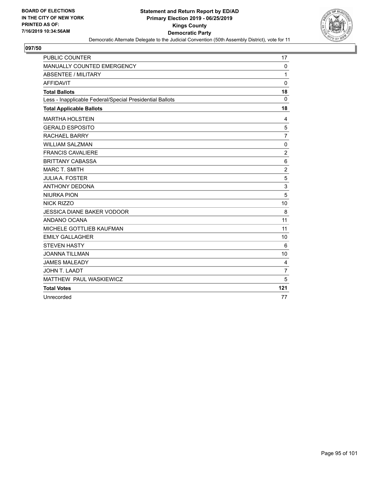

| PUBLIC COUNTER                                           | 17             |
|----------------------------------------------------------|----------------|
| MANUALLY COUNTED EMERGENCY                               | $\mathbf{0}$   |
| <b>ABSENTEE / MILITARY</b>                               | 1              |
| <b>AFFIDAVIT</b>                                         | 0              |
| <b>Total Ballots</b>                                     | 18             |
| Less - Inapplicable Federal/Special Presidential Ballots | $\Omega$       |
| <b>Total Applicable Ballots</b>                          | 18             |
| <b>MARTHA HOLSTEIN</b>                                   | 4              |
| <b>GERALD ESPOSITO</b>                                   | 5              |
| <b>RACHAEL BARRY</b>                                     | $\overline{7}$ |
| <b>WILLIAM SALZMAN</b>                                   | $\mathbf 0$    |
| <b>FRANCIS CAVALIERE</b>                                 | $\overline{c}$ |
| <b>BRITTANY CABASSA</b>                                  | 6              |
| <b>MARC T. SMITH</b>                                     | $\overline{c}$ |
| <b>JULIA A. FOSTER</b>                                   | 5              |
| <b>ANTHONY DEDONA</b>                                    | 3              |
| <b>NIURKA PION</b>                                       | 5              |
| <b>NICK RIZZO</b>                                        | 10             |
| <b>JESSICA DIANE BAKER VODOOR</b>                        | 8              |
| ANDANO OCANA                                             | 11             |
| MICHELE GOTTLIEB KAUFMAN                                 | 11             |
| <b>EMILY GALLAGHER</b>                                   | 10             |
| <b>STEVEN HASTY</b>                                      | 6              |
| <b>JOANNA TILLMAN</b>                                    | 10             |
| <b>JAMES MALEADY</b>                                     | 4              |
| <b>JOHN T. LAADT</b>                                     | $\overline{7}$ |
| MATTHEW PAUL WASKIEWICZ                                  | 5              |
| <b>Total Votes</b>                                       | 121            |
| Unrecorded                                               | 77             |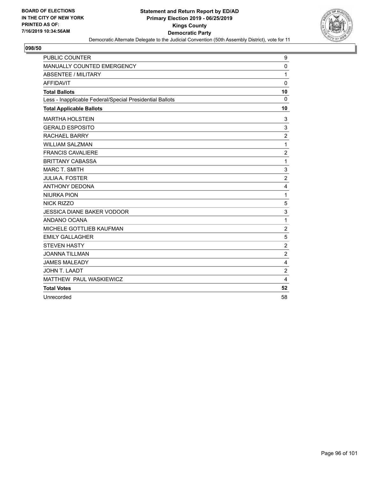

| PUBLIC COUNTER                                           | 9                |
|----------------------------------------------------------|------------------|
| MANUALLY COUNTED EMERGENCY                               | 0                |
| ABSENTEE / MILITARY                                      | 1                |
| <b>AFFIDAVIT</b>                                         | $\mathbf 0$      |
| <b>Total Ballots</b>                                     | 10               |
| Less - Inapplicable Federal/Special Presidential Ballots | $\mathbf 0$      |
| <b>Total Applicable Ballots</b>                          | 10               |
| <b>MARTHA HOLSTEIN</b>                                   | 3                |
| <b>GERALD ESPOSITO</b>                                   | 3                |
| <b>RACHAEL BARRY</b>                                     | $\overline{2}$   |
| <b>WILLIAM SALZMAN</b>                                   | $\mathbf{1}$     |
| <b>FRANCIS CAVALIERE</b>                                 | $\boldsymbol{2}$ |
| <b>BRITTANY CABASSA</b>                                  | $\mathbf{1}$     |
| <b>MARC T. SMITH</b>                                     | 3                |
| <b>JULIA A. FOSTER</b>                                   | $\overline{c}$   |
| <b>ANTHONY DEDONA</b>                                    | 4                |
| <b>NIURKA PION</b>                                       | $\mathbf{1}$     |
| <b>NICK RIZZO</b>                                        | 5                |
| <b>JESSICA DIANE BAKER VODOOR</b>                        | 3                |
| ANDANO OCANA                                             | 1                |
| MICHELE GOTTLIEB KAUFMAN                                 | $\overline{c}$   |
| <b>EMILY GALLAGHER</b>                                   | 5                |
| <b>STEVEN HASTY</b>                                      | $\overline{c}$   |
| <b>JOANNA TILLMAN</b>                                    | $\overline{c}$   |
| <b>JAMES MALEADY</b>                                     | 4                |
| JOHN T. LAADT                                            | $\overline{2}$   |
| MATTHEW PAUL WASKIEWICZ                                  | 4                |
| <b>Total Votes</b>                                       | 52               |
| Unrecorded                                               | 58               |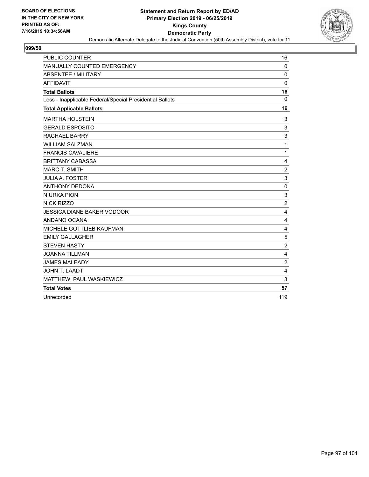

| PUBLIC COUNTER                                           | 16             |
|----------------------------------------------------------|----------------|
| MANUALLY COUNTED EMERGENCY                               | $\mathbf 0$    |
| <b>ABSENTEE / MILITARY</b>                               | 0              |
| <b>AFFIDAVIT</b>                                         | 0              |
| <b>Total Ballots</b>                                     | 16             |
| Less - Inapplicable Federal/Special Presidential Ballots | $\mathbf 0$    |
| <b>Total Applicable Ballots</b>                          | 16             |
| <b>MARTHA HOLSTEIN</b>                                   | 3              |
| <b>GERALD ESPOSITO</b>                                   | 3              |
| <b>RACHAEL BARRY</b>                                     | 3              |
| <b>WILLIAM SALZMAN</b>                                   | 1              |
| <b>FRANCIS CAVALIERE</b>                                 | 1              |
| <b>BRITTANY CABASSA</b>                                  | 4              |
| <b>MARC T. SMITH</b>                                     | $\overline{2}$ |
| <b>JULIA A. FOSTER</b>                                   | 3              |
| <b>ANTHONY DEDONA</b>                                    | $\mathbf 0$    |
| <b>NIURKA PION</b>                                       | 3              |
| <b>NICK RIZZO</b>                                        | $\overline{2}$ |
| <b>JESSICA DIANE BAKER VODOOR</b>                        | 4              |
| ANDANO OCANA                                             | 4              |
| MICHELE GOTTLIEB KAUFMAN                                 | 4              |
| <b>EMILY GALLAGHER</b>                                   | 5              |
| <b>STEVEN HASTY</b>                                      | $\overline{c}$ |
| <b>JOANNA TILLMAN</b>                                    | 4              |
| <b>JAMES MALEADY</b>                                     | $\overline{c}$ |
| JOHN T. LAADT                                            | $\overline{4}$ |
| MATTHEW PAUL WASKIEWICZ                                  | 3              |
| <b>Total Votes</b>                                       | 57             |
| Unrecorded                                               | 119            |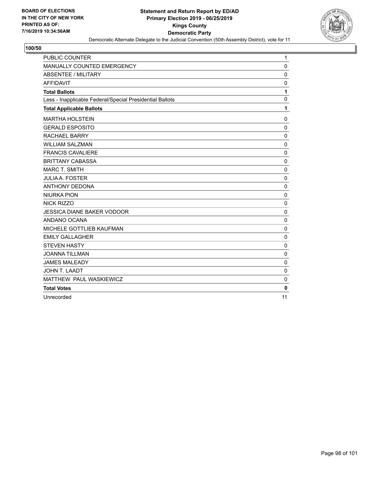

| PUBLIC COUNTER                                           | 1           |
|----------------------------------------------------------|-------------|
| MANUALLY COUNTED EMERGENCY                               | $\mathbf 0$ |
| <b>ABSENTEE / MILITARY</b>                               | 0           |
| <b>AFFIDAVIT</b>                                         | 0           |
| <b>Total Ballots</b>                                     | 1           |
| Less - Inapplicable Federal/Special Presidential Ballots | $\mathbf 0$ |
| <b>Total Applicable Ballots</b>                          | 1           |
| <b>MARTHA HOLSTEIN</b>                                   | 0           |
| <b>GERALD ESPOSITO</b>                                   | $\mathbf 0$ |
| <b>RACHAEL BARRY</b>                                     | $\mathbf 0$ |
| <b>WILLIAM SALZMAN</b>                                   | $\mathbf 0$ |
| <b>FRANCIS CAVALIERE</b>                                 | $\mathbf 0$ |
| <b>BRITTANY CABASSA</b>                                  | $\Omega$    |
| <b>MARC T. SMITH</b>                                     | 0           |
| <b>JULIA A. FOSTER</b>                                   | $\mathbf 0$ |
| <b>ANTHONY DEDONA</b>                                    | $\mathbf 0$ |
| <b>NIURKA PION</b>                                       | $\mathbf 0$ |
| <b>NICK RIZZO</b>                                        | $\mathbf 0$ |
| <b>JESSICA DIANE BAKER VODOOR</b>                        | $\mathbf 0$ |
| ANDANO OCANA                                             | $\mathbf 0$ |
| MICHELE GOTTLIEB KAUFMAN                                 | $\mathbf 0$ |
| <b>EMILY GALLAGHER</b>                                   | $\mathbf 0$ |
| <b>STEVEN HASTY</b>                                      | $\mathbf 0$ |
| <b>JOANNA TILLMAN</b>                                    | $\mathbf 0$ |
| <b>JAMES MALEADY</b>                                     | $\mathbf 0$ |
| JOHN T. LAADT                                            | $\mathbf 0$ |
| MATTHEW PAUL WASKIEWICZ                                  | 0           |
| <b>Total Votes</b>                                       | $\bf{0}$    |
| Unrecorded                                               | 11          |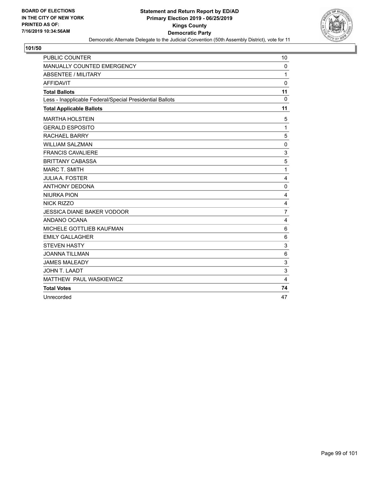

| PUBLIC COUNTER                                           | 10                        |
|----------------------------------------------------------|---------------------------|
| MANUALLY COUNTED EMERGENCY                               | 0                         |
| <b>ABSENTEE / MILITARY</b>                               | $\mathbf{1}$              |
| <b>AFFIDAVIT</b>                                         | 0                         |
| <b>Total Ballots</b>                                     | 11                        |
| Less - Inapplicable Federal/Special Presidential Ballots | $\mathbf 0$               |
| <b>Total Applicable Ballots</b>                          | 11                        |
| <b>MARTHA HOLSTEIN</b>                                   | 5                         |
| <b>GERALD ESPOSITO</b>                                   | $\mathbf{1}$              |
| <b>RACHAEL BARRY</b>                                     | 5                         |
| <b>WILLIAM SALZMAN</b>                                   | $\mathbf 0$               |
| <b>FRANCIS CAVALIERE</b>                                 | $\ensuremath{\mathsf{3}}$ |
| <b>BRITTANY CABASSA</b>                                  | 5                         |
| <b>MARC T. SMITH</b>                                     | $\mathbf{1}$              |
| <b>JULIA A. FOSTER</b>                                   | 4                         |
| <b>ANTHONY DEDONA</b>                                    | $\mathbf 0$               |
| <b>NIURKA PION</b>                                       | 4                         |
| <b>NICK RIZZO</b>                                        | 4                         |
| <b>JESSICA DIANE BAKER VODOOR</b>                        | 7                         |
| ANDANO OCANA                                             | 4                         |
| MICHELE GOTTLIEB KAUFMAN                                 | 6                         |
| <b>EMILY GALLAGHER</b>                                   | 6                         |
| <b>STEVEN HASTY</b>                                      | 3                         |
| <b>JOANNA TILLMAN</b>                                    | 6                         |
| <b>JAMES MALEADY</b>                                     | 3                         |
| JOHN T. LAADT                                            | 3                         |
| MATTHEW PAUL WASKIEWICZ                                  | $\overline{4}$            |
| <b>Total Votes</b>                                       | 74                        |
| Unrecorded                                               | 47                        |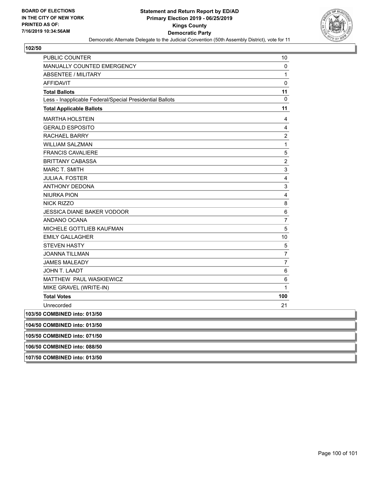

| PUBLIC COUNTER                                           | 10                      |
|----------------------------------------------------------|-------------------------|
| MANUALLY COUNTED EMERGENCY                               | 0                       |
| <b>ABSENTEE / MILITARY</b>                               | 1                       |
| <b>AFFIDAVIT</b>                                         | $\pmb{0}$               |
| <b>Total Ballots</b>                                     | 11                      |
| Less - Inapplicable Federal/Special Presidential Ballots | 0                       |
| <b>Total Applicable Ballots</b>                          | 11                      |
| <b>MARTHA HOLSTEIN</b>                                   | 4                       |
| <b>GERALD ESPOSITO</b>                                   | 4                       |
| <b>RACHAEL BARRY</b>                                     | $\overline{2}$          |
| <b>WILLIAM SALZMAN</b>                                   | $\mathbf{1}$            |
| <b>FRANCIS CAVALIERE</b>                                 | 5                       |
| <b>BRITTANY CABASSA</b>                                  | $\overline{c}$          |
| <b>MARC T. SMITH</b>                                     | 3                       |
| <b>JULIA A. FOSTER</b>                                   | $\overline{\mathbf{4}}$ |
| <b>ANTHONY DEDONA</b>                                    | 3                       |
| <b>NIURKA PION</b>                                       | 4                       |
| <b>NICK RIZZO</b>                                        | 8                       |
| <b>JESSICA DIANE BAKER VODOOR</b>                        | 6                       |
| ANDANO OCANA                                             | $\overline{7}$          |
| MICHELE GOTTLIEB KAUFMAN                                 | 5                       |
| <b>EMILY GALLAGHER</b>                                   | 10                      |
| <b>STEVEN HASTY</b>                                      | 5                       |
| <b>JOANNA TILLMAN</b>                                    | $\overline{7}$          |
| <b>JAMES MALEADY</b>                                     | 7                       |
| JOHN T. LAADT                                            | 6                       |
| MATTHEW PAUL WASKIEWICZ                                  | 6                       |
| MIKE GRAVEL (WRITE-IN)                                   | $\mathbf{1}$            |
| <b>Total Votes</b>                                       | 100                     |
| Unrecorded                                               | 21                      |
| 103/50 COMBINED into: 013/50                             |                         |
| 104/50 COMBINED into: 013/50                             |                         |
| 105/50 COMBINED into: 071/50                             |                         |
|                                                          |                         |

**106/50 COMBINED into: 088/50**

**107/50 COMBINED into: 013/50**